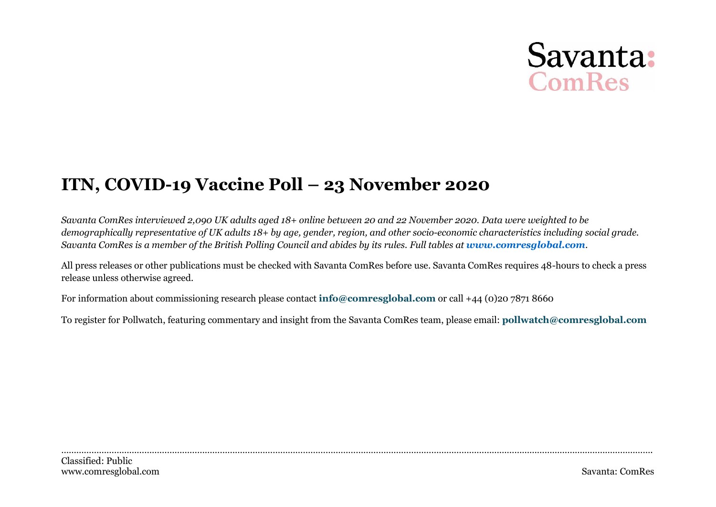# Savanta: **ComRes**

# **ITN, COVID-19 Vaccine Poll – 23 November 2020**

*Savanta ComRes interviewed 2,090 UK adults aged 18+ online between 20 and 22 November 2020. Data were weighted to be demographically representative of UK adults 18+ by age, gender, region, and other socio-economic characteristics including social grade. Savanta ComRes is a member of the British Polling Council and abides by its rules. Full tables at [www.comresglobal.com](http://www.comresglobal.com/).*

All press releases or other publications must be checked with Savanta ComRes before use. Savanta ComRes requires 48-hours to check a press release unless otherwise agreed.

For information about commissioning research please contact **[info@comresglobal.com](mailto:info@comresglobal.com)** or call +44 (0)20 7871 8660

To register for Pollwatch, featuring commentary and insight from the Savanta ComRes team, please email: **[pollwatch@comresglobal.com](mailto:pollwatch@comresglobal.com)**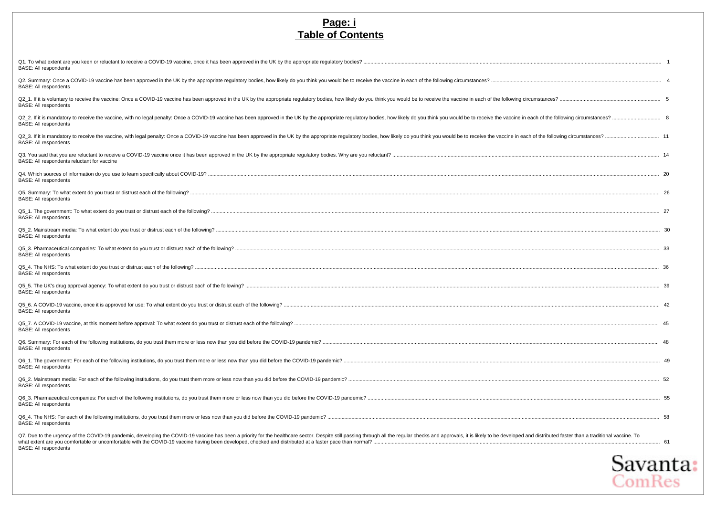#### **Page: i Table of Contents**

| <b>BASE: All respondents</b>                                                                                                                                                                                                                                   |  |
|----------------------------------------------------------------------------------------------------------------------------------------------------------------------------------------------------------------------------------------------------------------|--|
| Q2. Summary: Once a COVID-19 vaccine has been approved in the UK by the appropriate requlatory bodies, how likely do you think you would be to receive the vaccine in each of the following circumstances?<br><b>BASE: All respondents</b>                     |  |
| Q2 1. If it is voluntary to receive the vaccine: Once a COVID-19 vaccine has been approved in the UK by the appropriate requlatory bodies, how likely do you think you would be to receive the vaccine in each of the followin<br><b>BASE: All respondents</b> |  |
| Q2_2. If it is mandatory to receive the vaccine, with no legal penalty: Once a COVID-19 vaccine has been approved in the UK by the appropriate regulatory bodies, how likely do you think you would be to receive the vaccine<br><b>BASE: All respondents</b>  |  |
| Q2_3. If it is mandatory to receive the vaccine, with legal penalty: Once a COVID-19 vaccine has been approved in the UK by the appropriate regulatory bodies, how likely do you think you would be to receive the vaccine in<br><b>BASE: All respondents</b>  |  |
| BASE: All respondents reluctant for vaccine                                                                                                                                                                                                                    |  |
| <b>BASE: All respondents</b>                                                                                                                                                                                                                                   |  |
| <b>BASE: All respondents</b>                                                                                                                                                                                                                                   |  |
| <b>BASE: All respondents</b>                                                                                                                                                                                                                                   |  |
| <b>BASE: All respondents</b>                                                                                                                                                                                                                                   |  |
| <b>BASE: All respondents</b>                                                                                                                                                                                                                                   |  |
| <b>BASE: All respondents</b>                                                                                                                                                                                                                                   |  |
| <b>BASE: All respondents</b>                                                                                                                                                                                                                                   |  |
| <b>BASE: All respondents</b>                                                                                                                                                                                                                                   |  |
| <b>BASE: All respondents</b>                                                                                                                                                                                                                                   |  |
| <b>BASE: All respondents</b>                                                                                                                                                                                                                                   |  |
| <b>BASE: All respondents</b>                                                                                                                                                                                                                                   |  |
| <b>BASE: All respondents</b>                                                                                                                                                                                                                                   |  |
| <b>BASE: All respondents</b>                                                                                                                                                                                                                                   |  |
| <b>BASE: All respondents</b>                                                                                                                                                                                                                                   |  |
| Q7. Due to the urgency of the COVID-19 pandemic, developing the COVID-19 vaccine has been a priority for the healthcare sector. Despite still passing through all the regular checks and approvals, it is likely to be develop<br><b>BASE: All respondents</b> |  |

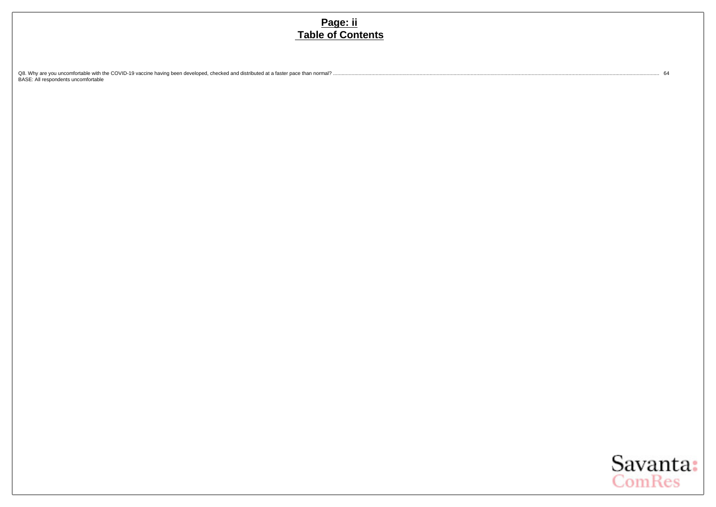#### **Page: ii Table of Contents**

[Q8. Why are you uncomfortable with the COVID-19 vaccine having been developed, checked and distributed at a faster pace than normal?](#page-66-0) ...................................................................................................................................................................................................................................... [64](#page-66-0) [BASE: All respondents uncomfortable](#page-66-0)

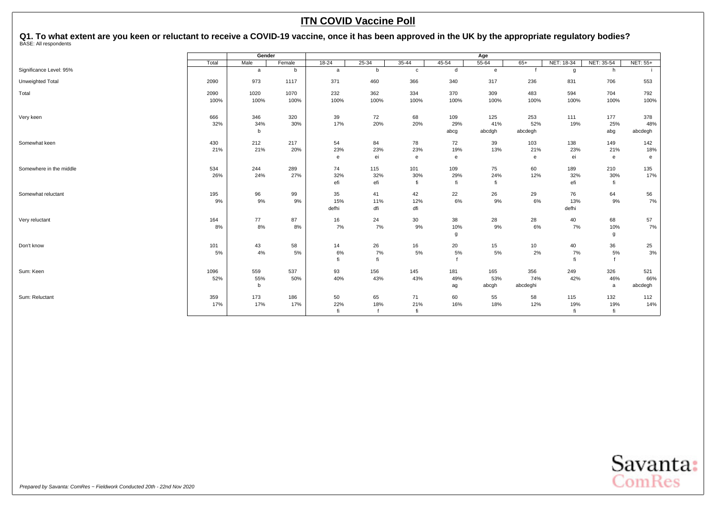<span id="page-3-0"></span>Q1. To what extent are you keen or reluctant to receive a COVID-19 vaccine, once it has been approved in the UK by the appropriate regulatory bodies?<br><sup>BASE: All respondents</sup>

|                         |       | Gender |        |           |       |              |              | Age          |          |            |            |                 |
|-------------------------|-------|--------|--------|-----------|-------|--------------|--------------|--------------|----------|------------|------------|-----------------|
|                         | Total | Male   | Female | $18 - 24$ | 25-34 | 35-44        | 45-54        | $55 - 64$    | $65+$    | NET: 18-34 | NET: 35-54 | <b>NET: 55+</b> |
| Significance Level: 95% |       | a      | b      | a         | b     | $\mathbf{C}$ | d            | $\mathbf{e}$ |          | g          | h          |                 |
| Unweighted Total        | 2090  | 973    | 1117   | 371       | 460   | 366          | 340          | 317          | 236      | 831        | 706        | 553             |
| Total                   | 2090  | 1020   | 1070   | 232       | 362   | 334          | 370          | 309          | 483      | 594        | 704        | 792             |
|                         | 100%  | 100%   | 100%   | 100%      | 100%  | 100%         | 100%         | 100%         | 100%     | 100%       | 100%       | 100%            |
| Very keen               | 666   | 346    | 320    | 39        | 72    | 68           | 109          | 125          | 253      | 111        | 177        | 378             |
|                         | 32%   | 34%    | 30%    | 17%       | 20%   | 20%          | 29%          | 41%          | 52%      | 19%        | 25%        | 48%             |
|                         |       | h      |        |           |       |              | abcg         | abcdgh       | abcdegh  |            | abg        | abcdegh         |
| Somewhat keen           | 430   | 212    | 217    | 54        | 84    | 78           | 72           | 39           | 103      | 138        | 149        | 142             |
|                         | 21%   | 21%    | 20%    | 23%       | 23%   | 23%          | 19%          | 13%          | 21%      | 23%        | 21%        | 18%             |
|                         |       |        |        | e         | ei    | e            | $\mathbf{e}$ |              | e        | ei         | e          | e               |
| Somewhere in the middle | 534   | 244    | 289    | 74        | 115   | 101          | 109          | 75           | 60       | 189        | 210        | 135             |
|                         | 26%   | 24%    | 27%    | 32%       | 32%   | 30%          | 29%          | 24%          | 12%      | 32%        | 30%        | 17%             |
|                         |       |        |        | efi       | efi   | fi           | fi           | fi           |          | efi        | fi         |                 |
| Somewhat reluctant      | 195   | 96     | 99     | 35        | 41    | 42           | 22           | 26           | 29       | 76         | 64         | 56              |
|                         | 9%    | $9\%$  | 9%     | 15%       | 11%   | 12%          | 6%           | 9%           | 6%       | 13%        | 9%         | $7\%$           |
|                         |       |        |        | defhi     | dfi   | dfi          |              |              |          | defhi      |            |                 |
| Very reluctant          | 164   | 77     | 87     | 16        | 24    | 30           | 38           | 28           | 28       | 40         | 68         | 57              |
|                         | 8%    | 8%     | 8%     | 7%        | 7%    | 9%           | 10%          | 9%           | $6\%$    | 7%         | 10%        | $7\%$           |
|                         |       |        |        |           |       |              | g            |              |          |            | g          |                 |
| Don't know              | 101   | 43     | 58     | 14        | 26    | 16           | 20           | 15           | 10       | 40         | 36         | 25              |
|                         | 5%    | 4%     | 5%     | 6%        | 7%    | 5%           | 5%           | 5%           | 2%       | 7%         | 5%         | 3%              |
|                         |       |        |        | fi        | fi    |              |              |              |          | fi         |            |                 |
| Sum: Keen               | 1096  | 559    | 537    | 93        | 156   | 145          | 181          | 165          | 356      | 249        | 326        | 521             |
|                         | 52%   | 55%    | 50%    | 40%       | 43%   | 43%          | 49%          | 53%          | 74%      | 42%        | 46%        | 66%             |
|                         |       | b      |        |           |       |              | ag           | abcgh        | abcdeghi |            | a          | abcdegh         |
| Sum: Reluctant          | 359   | 173    | 186    | 50        | 65    | 71           | 60           | 55           | 58       | 115        | 132        | 112             |
|                         | 17%   | 17%    | 17%    | 22%       | 18%   | 21%          | 16%          | 18%          | 12%      | 19%        | 19%        | 14%             |
|                         |       |        |        | fi        |       | fi           |              |              |          | fi         | fi         |                 |

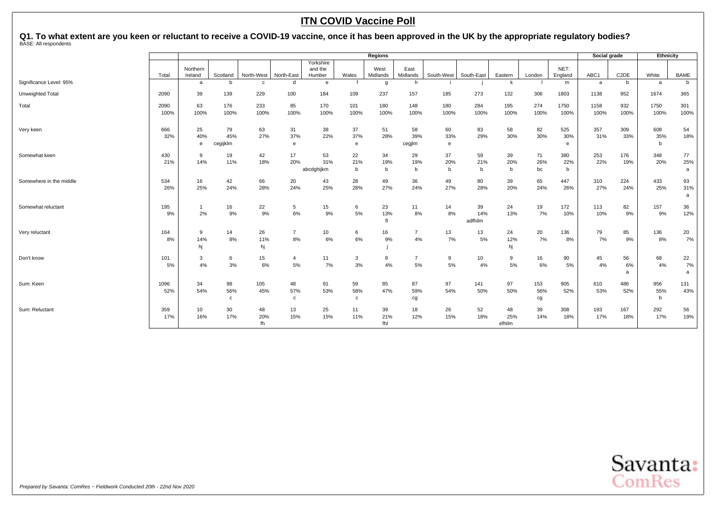Q1. To what extent are you keen or reluctant to receive a COVID-19 vaccine, once it has been approved in the UK by the appropriate regulatory bodies?<br><sup>BASE: All respondents</sup>

|                         | <b>Regions</b> |                |                 |                            |                 |                      |              |                    |                |                   |            | Social grade       |           | Ethnicity          |           |                        |             |                  |
|-------------------------|----------------|----------------|-----------------|----------------------------|-----------------|----------------------|--------------|--------------------|----------------|-------------------|------------|--------------------|-----------|--------------------|-----------|------------------------|-------------|------------------|
|                         |                | Northern       |                 |                            |                 | Yorkshire<br>and the |              | West               | East           |                   |            |                    |           | NET:               |           |                        |             |                  |
| Significance Level: 95% | Total          | Ireland<br>a   | Scotland<br>b   | North-West<br>$\mathbf{C}$ | North-East<br>d | Humber<br>e          | Wales        | Midlands<br>g      | Midlands<br>h  | South-West        | South-East | Eastern<br>k       | London    | England<br>m       | ABC1<br>a | C <sub>2</sub> DE<br>b | White<br>a  | <b>BAME</b><br>b |
|                         |                |                |                 |                            |                 |                      |              |                    |                |                   |            |                    |           |                    |           |                        |             |                  |
| Unweighted Total        | 2090           | 39             | 139             | 229                        | 100             | 184                  | 109          | 237                | 157            | 185               | 273        | 132                | 306       | 1803               | 1138      | 952                    | 1674        | 365              |
| Total                   | 2090           | 63             | 176             | 233                        | 85              | 170                  | 101          | 180                | 148            | 180               | 284        | 195                | 274       | 1750               | 1158      | 932                    | 1750        | 301              |
|                         | 100%           | 100%           | 100%            | 100%                       | 100%            | 100%                 | 100%         | 100%               | 100%           | 100%              | 100%       | 100%               | 100%      | 100%               | 100%      | 100%                   | 100%        | 100%             |
| Very keen               | 666            | 25             | 79              | 63                         | 31              | 38                   | 37           | 51                 | 58             | 60                | 83         | 58                 | 82        | 525                | 357       | 309                    | 608         | 54               |
|                         | 32%            | 40%<br>e       | 45%<br>cegijklm | 27%                        | 37%<br>e        | 22%                  | 37%<br>e     | 28%                | 39%<br>cegjlm  | 33%<br>$\epsilon$ | 29%        | 30%                | 30%       | 30%<br>e           | 31%       | 33%                    | 35%<br>b    | 18%              |
|                         |                |                |                 |                            |                 |                      |              |                    |                |                   |            |                    |           |                    |           |                        |             |                  |
| Somewhat keen           | 430            | 9              | 19              | 42                         | 17              | 53                   | 22           | 34                 | 29             | 37                | 59         | 39                 | 71        | 380                | 253       | 176                    | 348         | 77               |
|                         | 21%            | 14%            | 11%             | 18%                        | 20%             | 31%<br>abcdghijkm    | 21%<br>b     | 19%<br>$\mathbf b$ | 19%<br>b       | 20%<br>b          | 21%<br>b   | 20%<br>$\mathsf b$ | 26%<br>bc | 22%<br>$\mathbf b$ | 22%       | 19%                    | 20%         | 25%<br>a         |
|                         |                |                |                 |                            |                 |                      |              |                    |                |                   |            |                    |           |                    |           |                        |             |                  |
| Somewhere in the middle | 534<br>26%     | 16             | 42              | 66                         | 20              | 43                   | 28           | 49                 | 36             | 49                | 80         | 39                 | 65        | 447                | 310       | 224                    | 433         | 93               |
|                         |                | 25%            | 24%             | 28%                        | 24%             | 25%                  | 28%          | 27%                | 24%            | 27%               | 28%        | 20%                | 24%       | 26%                | 27%       | 24%                    | 25%         | 31%<br>a         |
| Somewhat reluctant      | 195            | $\overline{1}$ | 16              | 22                         | $5\phantom{.0}$ | 15                   | 6            | 23                 | 11             | 14                | 39         | 24                 | 19        | 172                | 113       | 82                     | 157         | 36               |
|                         | 9%             | 2%             | 9%              | 9%                         | 6%              | 9%                   | 5%           | 13%                | 8%             | 8%                | 14%        | 13%                | 7%        | 10%                | 10%       | 9%                     | 9%          | 12%              |
|                         |                |                |                 |                            |                 |                      |              | fl                 |                |                   | adfhilm    |                    |           |                    |           |                        |             |                  |
| Very reluctant          | 164            | 9              | 14              | 26                         | $\overline{7}$  | 10                   | 6            | 16                 | $\overline{7}$ | 13                | 13         | 24                 | 20        | 136                | 79        | 85                     | 136         | 20               |
|                         | 8%             | 14%            | 8%              | 11%                        | 8%              | 6%                   | 6%           | 9%                 | 4%             | 7%                | 5%         | 12%                | 7%        | 8%                 | 7%        | 9%                     | 8%          | 7%               |
|                         |                | hj             |                 | hj                         |                 |                      |              |                    |                |                   |            | hj                 |           |                    |           |                        |             |                  |
| Don't know              | 101            | 3              | 6               | 15                         | 4               | 11                   | 3            | 8                  | $\overline{7}$ | 9                 | 10         | 9                  | 16        | 90                 | 45        | 56                     | 68          | 22               |
|                         | 5%             | 4%             | 3%              | 6%                         | 5%              | 7%                   | 3%           | 4%                 | 5%             | 5%                | 4%         | 5%                 | 6%        | 5%                 | 4%        | 6%<br>a                | 4%          | 7%<br>a          |
| Sum: Keen               | 1096           | 34             | 98              | 105                        | 48              | 91                   | 59           | 85                 | 87             | 97                | 141        | 97                 | 153       | 905                | 610       | 486                    | 956         | 131              |
|                         | 52%            | 54%            | 56%             | 45%                        | 57%             | 53%                  | 58%          | 47%                | 59%            | 54%               | 50%        | 50%                | 56%       | 52%                | 53%       | 52%                    | 55%         | 43%              |
|                         |                |                | c               |                            | $\mathbf{C}$    |                      | $\mathbf{C}$ |                    | cg             |                   |            |                    | cg        |                    |           |                        | $\mathbf b$ |                  |
| Sum: Reluctant          | 359            | 10             | 30              | 48                         | 13              | 25                   | 11           | 39                 | 18             | 26                | 52         | 48                 | 39        | 308                | 193       | 167                    | 292         | 56               |
|                         | 17%            | 16%            | 17%             | 20%                        | 15%             | 15%                  | 11%          | 21%                | 12%            | 15%               | 18%        | 25%                | 14%       | 18%                | 17%       | 18%                    | 17%         | 19%              |
|                         |                |                |                 | fh                         |                 |                      |              | fhl                |                |                   |            | efhilm             |           |                    |           |                        |             |                  |

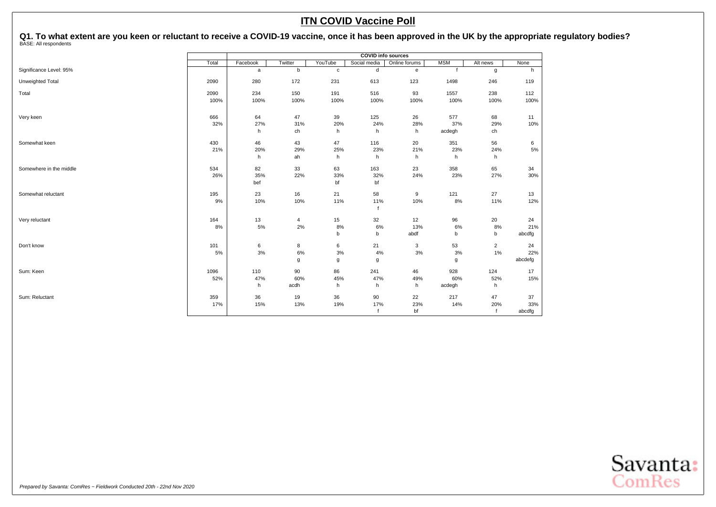Q1. To what extent are you keen or reluctant to receive a COVID-19 vaccine, once it has been approved in the UK by the appropriate regulatory bodies?<br><sup>BASE: All respondents</sup>

|                         |       |          |         |             | <b>COVID info sources</b> |               |            |                |         |
|-------------------------|-------|----------|---------|-------------|---------------------------|---------------|------------|----------------|---------|
|                         | Total | Facebook | Twitter | YouTube     | Social media              | Online forums | <b>MSM</b> | Alt news       | None    |
| Significance Level: 95% |       | a        | b       | $\mathbf c$ | d                         | e             |            | g              | h       |
| Unweighted Total        | 2090  | 280      | 172     | 231         | 613                       | 123           | 1498       | 246            | 119     |
| Total                   | 2090  | 234      | 150     | 191         | 516                       | 93            | 1557       | 238            | 112     |
|                         | 100%  | 100%     | 100%    | 100%        | 100%                      | 100%          | 100%       | 100%           | 100%    |
| Very keen               | 666   | 64       | 47      | 39          | 125                       | 26            | 577        | 68             | 11      |
|                         | 32%   | 27%      | 31%     | 20%         | 24%                       | 28%           | 37%        | 29%            | 10%     |
|                         |       | h        | ch      | h           | h                         | h             | acdegh     | ch             |         |
| Somewhat keen           | 430   | 46       | 43      | 47          | 116                       | 20            | 351        | 56             | 6       |
|                         | 21%   | 20%      | 29%     | 25%         | 23%                       | 21%           | 23%        | 24%            | 5%      |
|                         |       | h        | ah      | h           | h                         | h             | h          | h              |         |
| Somewhere in the middle | 534   | 82       | 33      | 63          | 163                       | 23            | 358        | 65             | 34      |
|                         | 26%   | 35%      | 22%     | 33%         | 32%                       | 24%           | 23%        | 27%            | 30%     |
|                         |       | bef      |         | bf          | bf                        |               |            |                |         |
| Somewhat reluctant      | 195   | 23       | 16      | 21          | 58                        | 9             | 121        | 27             | 13      |
|                         | 9%    | 10%      | 10%     | 11%         | 11%<br>f                  | 10%           | 8%         | 11%            | 12%     |
| Very reluctant          | 164   | 13       | 4       | 15          | 32                        | 12            | 96         | 20             | 24      |
|                         | 8%    | $5\%$    | $2\%$   | 8%          | 6%                        | 13%           | $6\%$      | 8%             | 21%     |
|                         |       |          |         | b           | b                         | abdf          | b          | b              | abcdfg  |
| Don't know              | 101   | 6        | 8       | 6           | 21                        | 3             | 53         | $\overline{2}$ | 24      |
|                         | 5%    | 3%       | $6\%$   | 3%          | 4%                        | 3%            | 3%         | 1%             | 22%     |
|                         |       |          | g       | g           | g                         |               | g          |                | abcdefg |
| Sum: Keen               | 1096  | 110      | 90      | 86          | 241                       | 46            | 928        | 124            | 17      |
|                         | 52%   | 47%      | 60%     | 45%         | 47%                       | 49%           | 60%        | 52%            | 15%     |
|                         |       | h        | acdh    | h           | h                         | h             | acdegh     | h              |         |
| Sum: Reluctant          | 359   | 36       | 19      | 36          | 90                        | 22            | 217        | 47             | 37      |
|                         | 17%   | 15%      | 13%     | 19%         | 17%                       | 23%           | 14%        | 20%            | 33%     |
|                         |       |          |         |             | $\ddot{\mathbf{f}}$       | bf            |            |                | abcdfg  |

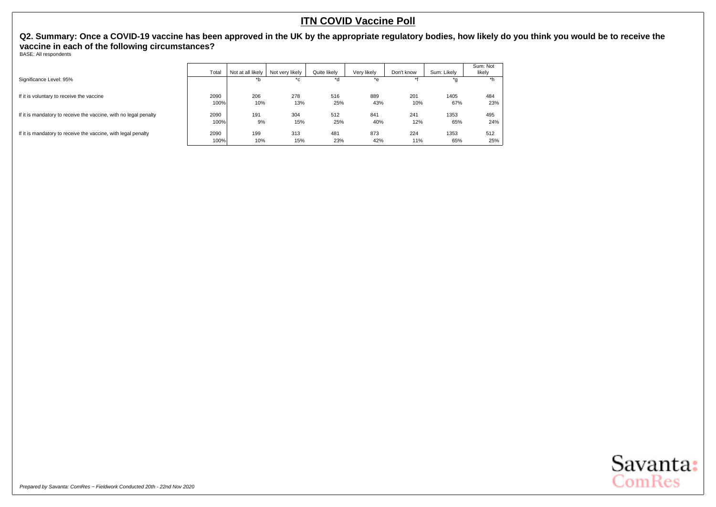<span id="page-6-0"></span>**Q2. Summary: Once a COVID-19 vaccine has been approved in the UK by the appropriate regulatory bodies, how likely do you think you would be to receive the vaccine in each of the following circumstances?**

BASE: All respondents

|                                                                  | Total | Not at all likely | Not very likely | Quite likely | Very likely | Don't know | Sum: Likely | Sum: Not<br>likely |
|------------------------------------------------------------------|-------|-------------------|-----------------|--------------|-------------|------------|-------------|--------------------|
| Significance Level: 95%                                          |       | *b                | $^{\ast}$ c     | *d           | *e          |            | *g          | *h                 |
| If it is voluntary to receive the vaccine                        | 2090  | 206               | 278             | 516          | 889         | 201        | 1405        | 484                |
|                                                                  | 100%  | 10%               | 13%             | 25%          | 43%         | 10%        | 67%         | 23%                |
| If it is mandatory to receive the vaccine, with no legal penalty | 2090  | 191               | 304             | 512          | 841         | 241        | 1353        | 495                |
|                                                                  | 100%  | 9%                | 15%             | 25%          | 40%         | 12%        | 65%         | 24%                |
| If it is mandatory to receive the vaccine, with legal penalty    | 2090  | 199               | 313             | 481          | 873         | 224        | 1353        | 512                |
|                                                                  | 100%  | 10%               | 15%             | 23%          | 42%         | 11%        | 65%         | 25%                |

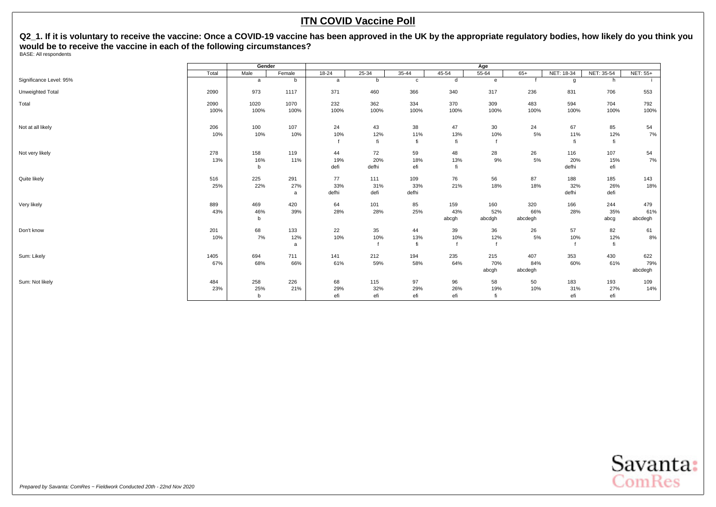<span id="page-7-0"></span>**Q2\_1. If it is voluntary to receive the vaccine: Once a COVID-19 vaccine has been approved in the UK by the appropriate regulatory bodies, how likely do you think you would be to receive the vaccine in each of the following circumstances?** BASE: All respondents

|                         | Gender       |                            |                 |                    |                    |                     | Age                 |                      |                       |                     |                    |                       |
|-------------------------|--------------|----------------------------|-----------------|--------------------|--------------------|---------------------|---------------------|----------------------|-----------------------|---------------------|--------------------|-----------------------|
|                         | Total        | Male                       | Female          | $18-24$            | $25 - 34$          | $35 - 44$           | $45 - 54$           | $55 - 64$            | $65+$                 | NET: 18-34          | NET: 35-54         | <b>NET: 55+</b>       |
| Significance Level: 95% |              | a                          | b               | a                  | b                  | $\mathtt{C}$        | d                   | e                    |                       | g                   | h                  |                       |
| Unweighted Total        | 2090         | 973                        | 1117            | 371                | 460                | 366                 | 340                 | 317                  | 236                   | 831                 | 706                | 553                   |
| Total                   | 2090<br>100% | 1020<br>100%               | 1070<br>100%    | 232<br>100%        | 362<br>100%        | 334<br>100%         | 370<br>100%         | 309<br>100%          | 483<br>100%           | 594<br>100%         | 704<br>100%        | 792<br>100%           |
| Not at all likely       | 206<br>10%   | 100<br>10%                 | 107<br>10%      | 24<br>10%          | 43<br>12%<br>fi    | 38<br>11%<br>fi     | 47<br>13%<br>fi     | 30<br>10%            | 24<br>$5\%$           | 67<br>11%           | 85<br>12%<br>fi    | 54<br>$7\%$           |
| Not very likely         | 278<br>13%   | 158<br>16%<br>b            | 119<br>11%      | 44<br>19%<br>defi  | 72<br>20%<br>defhi | 59<br>18%<br>efi    | 48<br>13%<br>fi     | 28<br>9%             | 26<br>$5\%$           | 116<br>20%<br>defhi | 107<br>15%<br>efi  | 54<br>7%              |
| Quite likely            | 516<br>25%   | 225<br>22%                 | 291<br>27%<br>a | 77<br>33%<br>defhi | 111<br>31%<br>defi | 109<br>33%<br>defhi | 76<br>21%           | 56<br>18%            | 87<br>18%             | 188<br>32%<br>defhi | 185<br>26%<br>defi | 143<br>18%            |
| Very likely             | 889<br>43%   | 469<br>46%<br>b            | 420<br>39%      | 64<br>28%          | 101<br>28%         | 85<br>25%           | 159<br>43%<br>abcgh | 160<br>52%<br>abcdgh | 320<br>66%<br>abcdegh | 166<br>28%          | 244<br>35%<br>abcg | 479<br>61%<br>abcdegh |
| Don't know              | 201<br>10%   | 68<br>7%                   | 133<br>12%<br>a | 22<br>10%          | 35<br>10%          | 44<br>13%<br>fi     | 39<br>10%           | 36<br>12%            | 26<br>$5\%$           | 57<br>10%           | 82<br>12%<br>fi    | 61<br>8%              |
| Sum: Likely             | 1405<br>67%  | 694<br>68%                 | 711<br>66%      | 141<br>61%         | 212<br>59%         | 194<br>58%          | 235<br>64%          | 215<br>70%<br>abcgh  | 407<br>84%<br>abcdegh | 353<br>60%          | 430<br>61%         | 622<br>79%<br>abcdegh |
| Sum: Not likely         | 484<br>23%   | 258<br>25%<br>$\mathsf{b}$ | 226<br>21%      | 68<br>29%<br>efi   | 115<br>32%<br>efi  | 97<br>29%<br>efi    | 96<br>26%<br>efi    | 58<br>19%<br>fi      | 50<br>10%             | 183<br>31%<br>efi   | 193<br>27%<br>efi  | 109<br>14%            |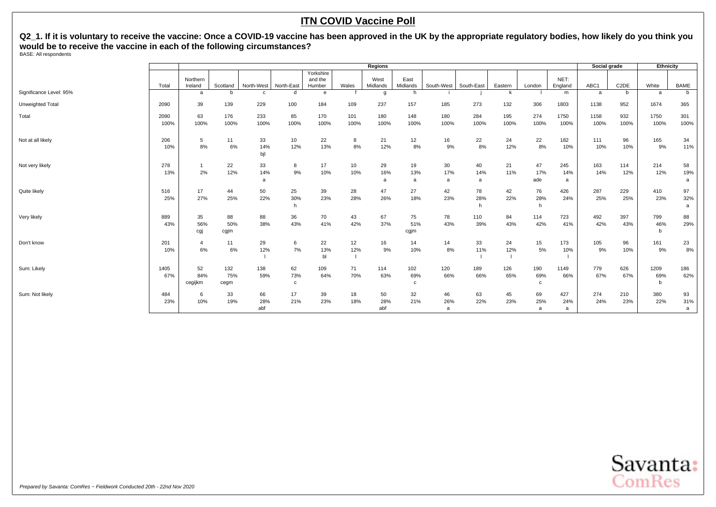**Q2\_1. If it is voluntary to receive the vaccine: Once a COVID-19 vaccine has been approved in the UK by the appropriate regulatory bodies, how likely do you think you would be to receive the vaccine in each of the following circumstances?** BASE: All respondents

|                         |              | <b>Regions</b>       |                    |                  |                           |                                |             |                  |                   |                |                |             |                             | Social grade    |              | Ethnicity         |                  |                |
|-------------------------|--------------|----------------------|--------------------|------------------|---------------------------|--------------------------------|-------------|------------------|-------------------|----------------|----------------|-------------|-----------------------------|-----------------|--------------|-------------------|------------------|----------------|
|                         | Total        | Northern<br>Ireland  | Scotland           | North-West       | North-East                | Yorkshire<br>and the<br>Humber | Wales       | West<br>Midlands | East<br>Midlands  | South-West     | South-East     | Eastern     | London                      | NET:<br>England | ABC1         | C <sub>2</sub> DE | White            | <b>BAME</b>    |
| Significance Level: 95% |              | a                    | <sub>b</sub>       | C.               | d                         | e                              |             | g                | h                 |                |                | k           |                             | m               | a            | b                 | a                | b              |
| Unweighted Total        | 2090         | 39                   | 139                | 229              | 100                       | 184                            | 109         | 237              | 157               | 185            | 273            | 132         | 306                         | 1803            | 1138         | 952               | 1674             | 365            |
| Total                   | 2090<br>100% | 63<br>100%           | 176<br>100%        | 233<br>100%      | 85<br>100%                | 170<br>100%                    | 101<br>100% | 180<br>100%      | 148<br>100%       | 180<br>100%    | 284<br>100%    | 195<br>100% | 274<br>100%                 | 1750<br>100%    | 1158<br>100% | 932<br>100%       | 1750<br>100%     | 301<br>100%    |
| Not at all likely       | 206<br>10%   | 5<br>8%              | 11<br>6%           | 33<br>14%<br>bjl | 10<br>12%                 | 22<br>13%                      | 8<br>8%     | 21<br>12%        | 12<br>8%          | 16<br>9%       | 22<br>8%       | 24<br>12%   | 22<br>8%                    | 182<br>10%      | 111<br>10%   | 96<br>10%         | 165<br>9%        | 34<br>11%      |
| Not very likely         | 278<br>13%   | 2%                   | 22<br>12%          | 33<br>14%<br>a   | 8<br>9%                   | 17<br>10%                      | 10<br>10%   | 29<br>16%<br>a   | 19<br>13%<br>a    | 30<br>17%<br>a | 40<br>14%<br>a | 21<br>11%   | 47<br>17%<br>ade            | 245<br>14%<br>a | 163<br>14%   | 114<br>12%        | 214<br>12%       | 58<br>19%<br>a |
| Quite likely            | 516<br>25%   | 17<br>27%            | 44<br>25%          | 50<br>22%        | 25<br>30%                 | 39<br>23%                      | 28<br>28%   | 47<br>26%        | 27<br>18%         | 42<br>23%      | 78<br>28%<br>h | 42<br>22%   | 76<br>28%                   | 426<br>24%      | 287<br>25%   | 229<br>25%        | 410<br>23%       | 97<br>32%<br>a |
| Very likely             | 889<br>43%   | 35<br>56%<br>cgj     | 88<br>50%<br>cgjm  | 88<br>38%        | 36<br>43%                 | 70<br>41%                      | 43<br>42%   | 67<br>37%        | 75<br>51%<br>cgjm | 78<br>43%      | 110<br>39%     | 84<br>43%   | 114<br>42%                  | 723<br>41%      | 492<br>42%   | 397<br>43%        | 799<br>46%<br>b  | 88<br>29%      |
| Don't know              | 201<br>10%   | $\overline{4}$<br>6% | 11<br>6%           | 29<br>12%        | 6<br>7%                   | 22<br>13%<br>bl                | 12<br>12%   | 16<br>9%         | 14<br>10%         | 14<br>8%       | 33<br>11%      | 24<br>12%   | 15<br>5%                    | 173<br>10%      | 105<br>9%    | 96<br>10%         | 161<br>9%        | 23<br>8%       |
| Sum: Likely             | 1405<br>67%  | 52<br>84%<br>cegijkm | 132<br>75%<br>cegm | 138<br>59%       | 62<br>73%<br>$\mathbf{C}$ | 109<br>64%                     | 71<br>70%   | 114<br>63%       | 102<br>69%<br>c   | 120<br>66%     | 189<br>66%     | 126<br>65%  | 190<br>69%<br>C             | 1149<br>66%     | 779<br>67%   | 626<br>67%        | 1209<br>69%<br>b | 186<br>62%     |
| Sum: Not likely         | 484<br>23%   | 6<br>10%             | 33<br>19%          | 66<br>28%<br>abf | 17<br>21%                 | 39<br>23%                      | 18<br>18%   | 50<br>28%<br>abf | 32<br>21%         | 46<br>26%<br>a | 63<br>22%      | 45<br>23%   | 69<br>25%<br>$\overline{a}$ | 427<br>24%<br>a | 274<br>24%   | 210<br>23%        | 380<br>22%       | 93<br>31%<br>a |

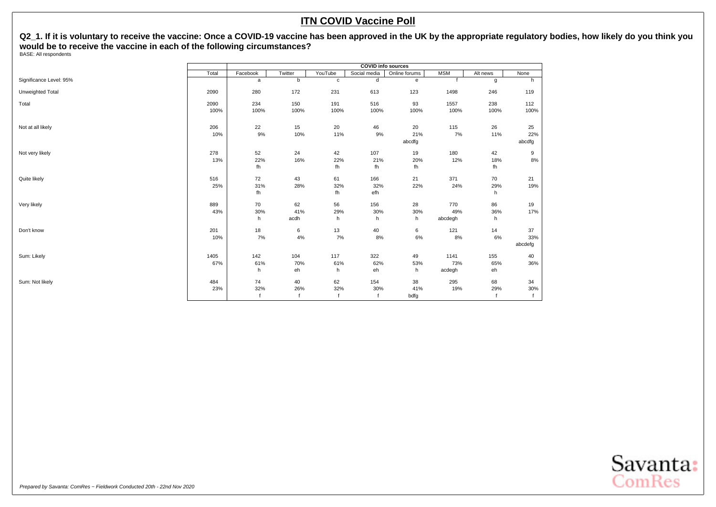**Q2\_1. If it is voluntary to receive the vaccine: Once a COVID-19 vaccine has been approved in the UK by the appropriate regulatory bodies, how likely do you think you would be to receive the vaccine in each of the following circumstances?** BASE: All respondents

|                         | <b>COVID info sources</b> |                 |                   |                 |                   |                     |                       |                  |                      |  |  |  |
|-------------------------|---------------------------|-----------------|-------------------|-----------------|-------------------|---------------------|-----------------------|------------------|----------------------|--|--|--|
|                         | Total                     | Facebook        | Twitter           | YouTube         | Social media      | Online forums       | <b>MSM</b>            | Alt news         | None                 |  |  |  |
| Significance Level: 95% |                           | a               | b                 | $\mathbf c$     | d                 | e                   |                       | g                | h                    |  |  |  |
| Unweighted Total        | 2090                      | 280             | 172               | 231             | 613               | 123                 | 1498                  | 246              | 119                  |  |  |  |
| Total                   | 2090<br>100%              | 234<br>100%     | 150<br>100%       | 191<br>100%     | 516<br>100%       | 93<br>100%          | 1557<br>100%          | 238<br>100%      | 112<br>100%          |  |  |  |
| Not at all likely       | 206<br>10%                | 22<br>9%        | 15<br>10%         | 20<br>11%       | 46<br>9%          | 20<br>21%<br>abcdfg | 115<br>7%             | 26<br>11%        | 25<br>22%<br>abcdfg  |  |  |  |
| Not very likely         | 278<br>13%                | 52<br>22%<br>fh | 24<br>16%         | 42<br>22%<br>fh | 107<br>21%<br>fh  | 19<br>20%<br>fh     | 180<br>12%            | 42<br>18%<br>fh  | 9<br>$8\%$           |  |  |  |
| Quite likely            | 516<br>25%                | 72<br>31%<br>fh | 43<br>28%         | 61<br>32%<br>fh | 166<br>32%<br>efh | 21<br>22%           | 371<br>24%            | 70<br>29%<br>h   | 21<br>19%            |  |  |  |
| Very likely             | 889<br>43%                | 70<br>30%<br>h  | 62<br>41%<br>acdh | 56<br>29%<br>h  | 156<br>30%<br>h   | 28<br>30%<br>h      | 770<br>49%<br>abcdegh | 86<br>36%<br>h   | 19<br>17%            |  |  |  |
| Don't know              | 201<br>10%                | 18<br>7%        | 6<br>4%           | 13<br>7%        | 40<br>8%          | 6<br>$6\%$          | 121<br>8%             | 14<br>6%         | 37<br>33%<br>abcdefg |  |  |  |
| Sum: Likely             | 1405<br>67%               | 142<br>61%<br>h | 104<br>70%<br>eh  | 117<br>61%<br>h | 322<br>62%<br>eh  | 49<br>53%<br>h      | 1141<br>73%<br>acdegh | 155<br>65%<br>eh | 40<br>36%            |  |  |  |
| Sum: Not likely         | 484<br>23%                | 74<br>32%       | 40<br>26%         | 62<br>32%       | 154<br>30%        | 38<br>41%<br>bdfg   | 295<br>19%            | 68<br>29%        | 34<br>30%            |  |  |  |

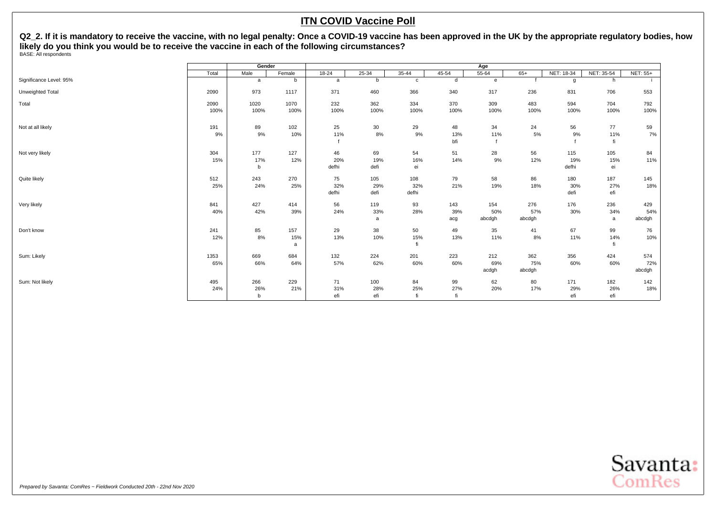<span id="page-10-0"></span>Q2\_2. If it is mandatory to receive the vaccine, with no legal penalty: Once a COVID-19 vaccine has been approved in the UK by the appropriate regulatory bodies, how **likely do you think you would be to receive the vaccine in each of the following circumstances?** BASE: All respondents

|                         |              | Gender          |                 |                    |                    |                     |                   | Age                  |                      |                     |                   |                      |
|-------------------------|--------------|-----------------|-----------------|--------------------|--------------------|---------------------|-------------------|----------------------|----------------------|---------------------|-------------------|----------------------|
|                         | Total        | Male            | Female          | $18 - 24$          | $25 - 34$          | $35 - 44$           | $45 - 54$         | $55 - 64$            | $65+$                | NET: 18-34          | NET: 35-54        | <b>NET: 55+</b>      |
| Significance Level: 95% |              | a               | b               | a                  | b                  | $\mathtt{C}$        | d                 | $\mathbf{e}$         |                      | g                   | h                 |                      |
| Unweighted Total        | 2090         | 973             | 1117            | 371                | 460                | 366                 | 340               | 317                  | 236                  | 831                 | 706               | 553                  |
| Total                   | 2090<br>100% | 1020<br>100%    | 1070<br>100%    | 232<br>100%        | 362<br>100%        | 334<br>100%         | 370<br>100%       | 309<br>100%          | 483<br>100%          | 594<br>100%         | 704<br>100%       | 792<br>100%          |
| Not at all likely       | 191<br>9%    | 89<br>9%        | 102<br>10%      | 25<br>11%          | 30<br>$8%$         | 29<br>9%            | 48<br>13%<br>bfi  | 34<br>11%            | 24<br>5%             | 56<br>9%            | 77<br>11%<br>fi   | 59<br>7%             |
| Not very likely         | 304<br>15%   | 177<br>17%<br>b | 127<br>12%      | 46<br>20%<br>defhi | 69<br>19%<br>defi  | 54<br>16%<br>ei     | 51<br>14%         | 28<br>9%             | 56<br>12%            | 115<br>19%<br>defhi | 105<br>15%<br>ei  | 84<br>11%            |
| Quite likely            | 512<br>25%   | 243<br>24%      | 270<br>25%      | 75<br>32%<br>defhi | 105<br>29%<br>defi | 108<br>32%<br>defhi | 79<br>21%         | 58<br>19%            | 86<br>18%            | 180<br>30%<br>defi  | 187<br>27%<br>efi | 145<br>18%           |
| Very likely             | 841<br>40%   | 427<br>42%      | 414<br>39%      | 56<br>24%          | 119<br>33%<br>a    | 93<br>28%           | 143<br>39%<br>acg | 154<br>50%<br>abcdgh | 276<br>57%<br>abcdgh | 176<br>30%          | 236<br>34%<br>a   | 429<br>54%<br>abcdgh |
| Don't know              | 241<br>12%   | 85<br>8%        | 157<br>15%<br>a | 29<br>13%          | 38<br>10%          | 50<br>15%<br>fi     | 49<br>13%         | 35<br>11%            | 41<br>8%             | 67<br>11%           | 99<br>14%         | 76<br>10%            |
| Sum: Likely             | 1353<br>65%  | 669<br>66%      | 684<br>64%      | 132<br>57%         | 224<br>62%         | 201<br>60%          | 223<br>60%        | 212<br>69%<br>acdgh  | 362<br>75%<br>abcdgh | 356<br>60%          | 424<br>60%        | 574<br>72%<br>abcdgh |
| Sum: Not likely         | 495<br>24%   | 266<br>26%<br>b | 229<br>21%      | 71<br>31%<br>efi   | 100<br>28%<br>efi  | 84<br>25%<br>fi     | 99<br>27%<br>fi   | 62<br>20%            | 80<br>17%            | 171<br>29%<br>efi   | 182<br>26%<br>efi | 142<br>18%           |

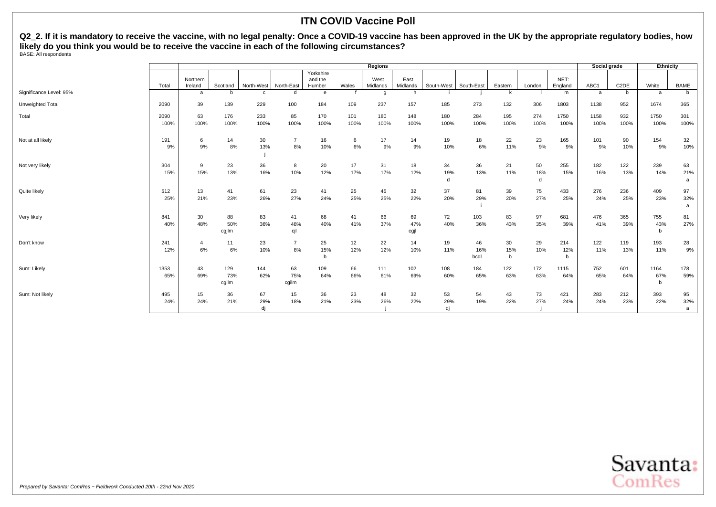Q2\_2. If it is mandatory to receive the vaccine, with no legal penalty: Once a COVID-19 vaccine has been approved in the UK by the appropriate regulatory bodies, how **likely do you think you would be to receive the vaccine in each of the following circumstances?** BASE: All respondents

|                         |              | Regions              |                     |                 |                      |                                |             |                  |                   |                 |                   |                          |                | Social grade    |              | Ethnicity         |                           |                |
|-------------------------|--------------|----------------------|---------------------|-----------------|----------------------|--------------------------------|-------------|------------------|-------------------|-----------------|-------------------|--------------------------|----------------|-----------------|--------------|-------------------|---------------------------|----------------|
|                         | Total        | Northern<br>Ireland  | Scotland            | North-West      | North-East           | Yorkshire<br>and the<br>Humber | Wales       | West<br>Midlands | East<br>Midlands  | South-West      | South-East        | Eastern                  | London         | NET:<br>England | ABC1         | C <sub>2</sub> DE | White                     | BAME           |
| Significance Level: 95% |              | a                    | h                   |                 | d                    | e                              |             | g                | <b>h</b>          |                 |                   |                          |                | m               | a            | b                 | a                         | b              |
| Unweighted Total        | 2090         | 39                   | 139                 | 229             | 100                  | 184                            | 109         | 237              | 157               | 185             | 273               | 132                      | 306            | 1803            | 1138         | 952               | 1674                      | 365            |
| Total                   | 2090<br>100% | 63<br>100%           | 176<br>100%         | 233<br>100%     | 85<br>100%           | 170<br>100%                    | 101<br>100% | 180<br>100%      | 148<br>100%       | 180<br>100%     | 284<br>100%       | 195<br>100%              | 274<br>100%    | 1750<br>100%    | 1158<br>100% | 932<br>100%       | 1750<br>100%              | 301<br>100%    |
| Not at all likely       | 191<br>9%    | 6<br>9%              | 14<br>8%            | 30<br>13%       | $\overline{7}$<br>8% | 16<br>10%                      | 6<br>6%     | 17<br>9%         | 14<br>9%          | 19<br>10%       | 18<br>6%          | 22<br>11%                | 23<br>9%       | 165<br>9%       | 101<br>9%    | 90<br>10%         | 154<br>9%                 | 32<br>10%      |
| Not very likely         | 304<br>15%   | 9<br>15%             | 23<br>13%           | 36<br>16%       | 8<br>10%             | 20<br>12%                      | 17<br>17%   | 31<br>17%        | 18<br>12%         | 34<br>19%<br>d  | 36<br>13%         | 21<br>11%                | 50<br>18%<br>d | 255<br>15%      | 182<br>16%   | 122<br>13%        | 239<br>14%                | 63<br>21%<br>a |
| Quite likely            | 512<br>25%   | 13<br>21%            | 41<br>23%           | 61<br>26%       | 23<br>27%            | 41<br>24%                      | 25<br>25%   | 45<br>25%        | 32<br>22%         | 37<br>20%       | 81<br>29%         | 39<br>20%                | 75<br>27%      | 433<br>25%      | 276<br>24%   | 236<br>25%        | 409<br>23%                | 97<br>32%<br>a |
| Very likely             | 841<br>40%   | 30<br>48%            | 88<br>50%<br>cgjlm  | 83<br>36%       | 41<br>48%<br>cjl     | 68<br>40%                      | 41<br>41%   | 66<br>37%        | 69<br>47%<br>cgjl | 72<br>40%       | 103<br>36%        | 83<br>43%                | 97<br>35%      | 681<br>39%      | 476<br>41%   | 365<br>39%        | 755<br>43%<br>$\mathbf b$ | 81<br>27%      |
| Don't know              | 241<br>12%   | $\overline{4}$<br>6% | 11<br>6%            | 23<br>10%       | $\overline{7}$<br>8% | 25<br>15%<br>b                 | 12<br>12%   | 22<br>12%        | 14<br>10%         | 19<br>11%       | 46<br>16%<br>bcdl | 30<br>15%<br>$\mathbf b$ | 29<br>10%      | 214<br>12%<br>b | 122<br>11%   | 119<br>13%        | 193<br>11%                | 28<br>9%       |
| Sum: Likely             | 1353<br>65%  | 43<br>69%            | 129<br>73%<br>cgilm | 144<br>62%      | 63<br>75%<br>cgilm   | 109<br>64%                     | 66<br>66%   | 111<br>61%       | 102<br>69%        | 108<br>60%      | 184<br>65%        | 122<br>63%               | 172<br>63%     | 1115<br>64%     | 752<br>65%   | 601<br>64%        | 1164<br>67%<br>b          | 178<br>59%     |
| Sum: Not likely         | 495<br>24%   | 15<br>24%            | 36<br>21%           | 67<br>29%<br>di | 15<br>18%            | 36<br>21%                      | 23<br>23%   | 48<br>26%        | 32<br>22%         | 53<br>29%<br>dj | 54<br>19%         | 43<br>22%                | 73<br>27%      | 421<br>24%      | 283<br>24%   | 212<br>23%        | 393<br>22%                | 95<br>32%<br>a |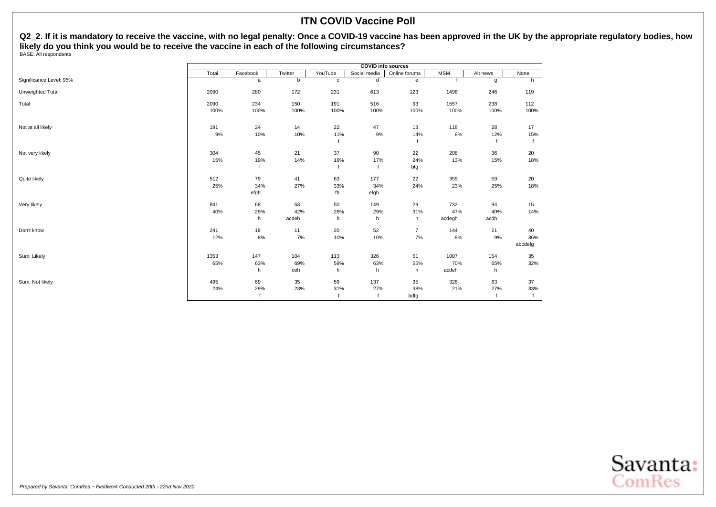Q2\_2. If it is mandatory to receive the vaccine, with no legal penalty: Once a COVID-19 vaccine has been approved in the UK by the appropriate regulatory bodies, how **likely do you think you would be to receive the vaccine in each of the following circumstances?** BASE: All respondents

|                         |              | <b>COVID info sources</b> |                    |                 |                           |                         |                      |                   |                      |  |  |  |  |
|-------------------------|--------------|---------------------------|--------------------|-----------------|---------------------------|-------------------------|----------------------|-------------------|----------------------|--|--|--|--|
|                         | Total        | Facebook                  | Twitter            | YouTube         | Social media              | Online forums           | <b>MSM</b>           | Alt news          | None                 |  |  |  |  |
| Significance Level: 95% |              | $\mathsf{a}$              | b                  | $\mathbf c$     | d                         | e                       |                      | g                 | h                    |  |  |  |  |
| Unweighted Total        | 2090         | 280                       | 172                | 231             | 613                       | 123                     | 1498                 | 246               | 119                  |  |  |  |  |
| Total                   | 2090<br>100% | 234<br>100%               | 150<br>100%        | 191<br>100%     | 516<br>100%               | 93<br>100%              | 1557<br>100%         | 238<br>100%       | 112<br>100%          |  |  |  |  |
| Not at all likely       | 191<br>9%    | 24<br>10%                 | 14<br>10%          | 22<br>11%       | 47<br>$9\%$               | 13<br>14%               | 118<br>$8\%$         | 28<br>12%         | 17<br>15%            |  |  |  |  |
| Not very likely         | 304<br>15%   | 45<br>19%                 | 21<br>14%          | 37<br>19%       | 90<br>17%                 | 22<br>24%<br>bfg        | 208<br>13%           | 36<br>15%         | 20<br>18%            |  |  |  |  |
| Quite likely            | 512<br>25%   | 79<br>34%<br>efgh         | 41<br>27%          | 63<br>33%<br>fh | 177<br>34%<br>efgh        | 22<br>24%               | 355<br>23%           | 59<br>25%         | 20<br>18%            |  |  |  |  |
| Very likely             | 841<br>40%   | 68<br>29%<br>h            | 63<br>42%<br>acdeh | 50<br>26%<br>h  | 149<br>29%<br>h           | 29<br>31%<br>h          | 732<br>47%<br>acdegh | 94<br>40%<br>acdh | 15<br>14%            |  |  |  |  |
| Don't know              | 241<br>12%   | 18<br>8%                  | 11<br>7%           | 20<br>10%       | 52<br>10%                 | $\overline{7}$<br>$7\%$ | 144<br>9%            | 21<br>9%          | 40<br>36%<br>abcdefg |  |  |  |  |
| Sum: Likely             | 1353<br>65%  | 147<br>63%<br>h           | 104<br>69%<br>ceh  | 113<br>59%<br>h | 326<br>63%<br>h           | 51<br>55%<br>h          | 1087<br>70%<br>acdeh | 154<br>65%<br>h   | 35<br>32%            |  |  |  |  |
| Sum: Not likely         | 495<br>24%   | 69<br>29%                 | 35<br>23%          | 59<br>31%       | 137<br>27%<br>$\mathbf f$ | 35<br>38%<br>bdfg       | 326<br>21%           | 63<br>27%         | 37<br>33%            |  |  |  |  |

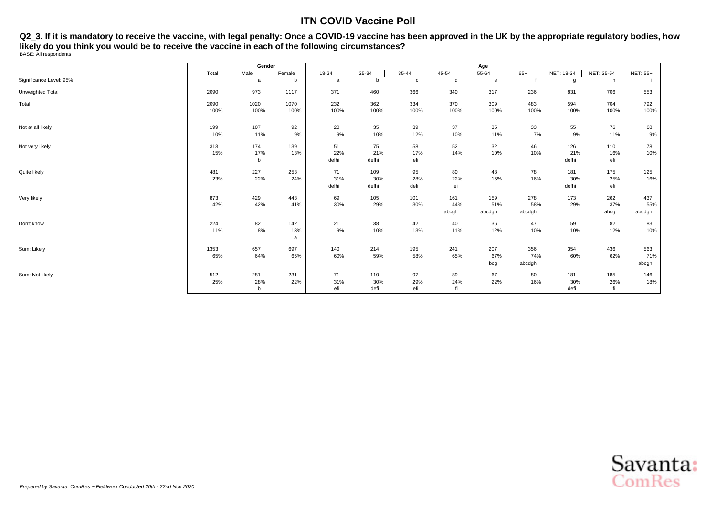<span id="page-13-0"></span>**Q2\_3. If it is mandatory to receive the vaccine, with legal penalty: Once a COVID-19 vaccine has been approved in the UK by the appropriate regulatory bodies, how likely do you think you would be to receive the vaccine in each of the following circumstances?** BASE: All respondents

|                         |       | Gender   |          |              |              |              |           | Age          |        |              |            |                 |
|-------------------------|-------|----------|----------|--------------|--------------|--------------|-----------|--------------|--------|--------------|------------|-----------------|
|                         | Total | Male     | Female   | $18 - 24$    | $25 - 34$    | $35 - 44$    | $45 - 54$ | 55-64        | $65+$  | NET: 18-34   | NET: 35-54 | <b>NET: 55+</b> |
| Significance Level: 95% |       | a        | b        | $\mathsf{a}$ | b            | $\mathtt{C}$ | d         | $\mathbf{e}$ |        | g            | h          |                 |
| Unweighted Total        | 2090  | 973      | 1117     | 371          | 460          | 366          | 340       | 317          | 236    | 831          | 706        | 553             |
| Total                   | 2090  | 1020     | 1070     | 232          | 362          | 334          | 370       | 309          | 483    | 594          | 704        | 792             |
|                         | 100%  | 100%     | 100%     | 100%         | 100%         | 100%         | 100%      | 100%         | 100%   | 100%         | 100%       | 100%            |
| Not at all likely       | 199   | 107      | 92       | 20           | 35           | 39           | 37        | 35           | 33     | 55           | 76         | 68              |
|                         | 10%   | 11%      | 9%       | 9%           | 10%          | 12%          | 10%       | 11%          | 7%     | 9%           | 11%        | 9%              |
| Not very likely         | 313   | 174      | 139      | 51           | 75           | 58           | 52        | 32           | 46     | 126          | 110        | 78              |
|                         | 15%   | 17%<br>b | 13%      | 22%<br>defhi | 21%<br>defhi | 17%<br>efi   | 14%       | 10%          | 10%    | 21%<br>defhi | 16%<br>efi | 10%             |
| Quite likely            | 481   | 227      | 253      | 71           | 109          | 95           | 80        | 48           | 78     | 181          | 175        | 125             |
|                         | 23%   | 22%      | 24%      | 31%          | 30%          | 28%          | 22%       | 15%          | 16%    | 30%          | 25%        | 16%             |
|                         |       |          |          | defhi        | defhi        | defi         | ei        |              |        | defhi        | efi        |                 |
| Very likely             | 873   | 429      | 443      | 69           | 105          | 101          | 161       | 159          | 278    | 173          | 262        | 437             |
|                         | 42%   | 42%      | 41%      | 30%          | 29%          | 30%          | 44%       | 51%          | 58%    | 29%          | 37%        | 55%             |
|                         |       |          |          |              |              |              | abcgh     | abcdgh       | abcdgh |              | abcg       | abcdgh          |
| Don't know              | 224   | 82       | 142      | 21           | 38           | 42           | 40        | 36           | 47     | 59           | 82         | 83              |
|                         | 11%   | 8%       | 13%<br>a | 9%           | 10%          | 13%          | 11%       | 12%          | 10%    | 10%          | 12%        | 10%             |
| Sum: Likely             | 1353  | 657      | 697      | 140          | 214          | 195          | 241       | 207          | 356    | 354          | 436        | 563             |
|                         | 65%   | 64%      | 65%      | 60%          | 59%          | 58%          | 65%       | 67%          | 74%    | 60%          | 62%        | 71%             |
|                         |       |          |          |              |              |              |           | bcg          | abcdgh |              |            | abcgh           |
| Sum: Not likely         | 512   | 281      | 231      | 71           | 110          | 97           | 89        | 67           | 80     | 181          | 185        | 146             |
|                         | 25%   | 28%      | 22%      | 31%          | 30%          | 29%          | 24%       | 22%          | 16%    | 30%          | 26%        | 18%             |
|                         |       | b        |          | efi          | defi         | efi          | fi        |              |        | defi         | fi         |                 |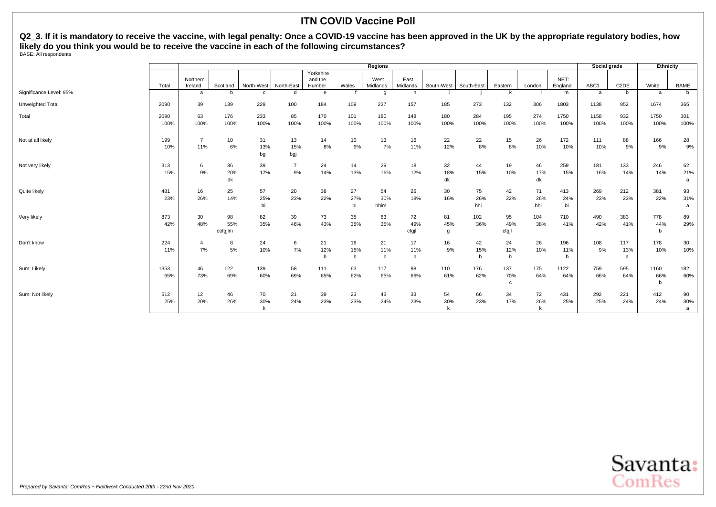**Q2\_3. If it is mandatory to receive the vaccine, with legal penalty: Once a COVID-19 vaccine has been approved in the UK by the appropriate regulatory bodies, how likely do you think you would be to receive the vaccine in each of the following circumstances?** BASE: All respondents

|                         |              |                       |                      |                 |                      |                                |                 | Regions           |                    |                 |                  |                          |                  |                  | Social grade |                   | Ethnicity        |                |
|-------------------------|--------------|-----------------------|----------------------|-----------------|----------------------|--------------------------------|-----------------|-------------------|--------------------|-----------------|------------------|--------------------------|------------------|------------------|--------------|-------------------|------------------|----------------|
|                         | Total        | Northern<br>Ireland   | Scotland             | North-West      | North-East           | Yorkshire<br>and the<br>Humber | Wales           | West<br>Midlands  | East<br>Midlands   | South-West      | South-East       | Eastern                  | London           | NET:<br>England  | ABC1         | C <sub>2</sub> DE | White            | <b>BAME</b>    |
| Significance Level: 95% |              | a                     | h                    |                 | d                    | e                              |                 | g                 | h                  |                 |                  | k                        |                  | m                | a            | b                 | a                | b              |
| Unweighted Total        | 2090         | 39                    | 139                  | 229             | 100                  | 184                            | 109             | 237               | 157                | 185             | 273              | 132                      | 306              | 1803             | 1138         | 952               | 1674             | 365            |
| Total                   | 2090<br>100% | 63<br>100%            | 176<br>100%          | 233<br>100%     | 85<br>100%           | 170<br>100%                    | 101<br>100%     | 180<br>100%       | 148<br>100%        | 180<br>100%     | 284<br>100%      | 195<br>100%              | 274<br>100%      | 1750<br>100%     | 1158<br>100% | 932<br>100%       | 1750<br>100%     | 301<br>100%    |
| Not at all likely       | 199<br>10%   | $\overline{7}$<br>11% | 10<br>6%             | 31<br>13%<br>bg | 13<br>15%<br>bgj     | 14<br>8%                       | 10<br>9%        | 13<br>7%          | 16<br>11%          | 22<br>12%       | 22<br>8%         | 15<br>8%                 | 26<br>10%        | 172<br>10%       | 111<br>10%   | 88<br>9%          | 166<br>9%        | 28<br>9%       |
| Not very likely         | 313<br>15%   | 6<br>9%               | 36<br>20%<br>dk      | 39<br>17%       | $\overline{7}$<br>9% | 24<br>14%                      | 14<br>13%       | 29<br>16%         | 18<br>12%          | 32<br>18%<br>dk | 44<br>15%        | 19<br>10%                | 46<br>17%<br>dk  | 259<br>15%       | 181<br>16%   | 133<br>14%        | 246<br>14%       | 62<br>21%<br>a |
| Quite likely            | 481<br>23%   | 16<br>26%             | 25<br>14%            | 57<br>25%<br>bi | 20<br>23%            | 38<br>22%                      | 27<br>27%<br>bi | 54<br>30%<br>bhim | 26<br>18%          | 30<br>16%       | 75<br>26%<br>bhi | 42<br>22%                | 71<br>26%<br>bhi | 413<br>24%<br>bi | 269<br>23%   | 212<br>23%        | 381<br>22%       | 93<br>31%<br>a |
| Very likely             | 873<br>42%   | 30<br>48%             | 98<br>55%<br>cefgjlm | 82<br>35%       | 39<br>46%            | 73<br>43%                      | 35<br>35%       | 63<br>35%         | 72<br>49%<br>cfgjl | 81<br>45%<br>g  | 102<br>36%       | 95<br>49%<br>cfgjl       | 104<br>38%       | 710<br>41%       | 490<br>42%   | 383<br>41%        | 778<br>44%<br>b  | 89<br>29%      |
| Don't know              | 224<br>11%   | $\overline{4}$<br>7%  | 8<br>5%              | 24<br>10%       | 6<br>7%              | 21<br>12%<br>b                 | 16<br>15%<br>b  | 21<br>11%<br>$b$  | 17<br>11%<br>b     | 16<br>9%        | 42<br>15%<br>b   | 24<br>12%<br>$\mathbf b$ | 26<br>10%        | 196<br>11%<br>b  | 108<br>9%    | 117<br>13%<br>a   | 178<br>10%       | 30<br>10%      |
| Sum: Likely             | 1353<br>65%  | 46<br>73%             | 122<br>69%           | 139<br>60%      | 58<br>69%            | 111<br>65%                     | 63<br>62%       | 117<br>65%        | 98<br>66%          | 110<br>61%      | 176<br>62%       | 137<br>70%<br>c          | 175<br>64%       | 1122<br>64%      | 759<br>66%   | 595<br>64%        | 1160<br>66%<br>b | 182<br>60%     |
| Sum: Not likely         | 512<br>25%   | 12<br>20%             | 46<br>26%            | 70<br>30%       | 21<br>24%            | 39<br>23%                      | 23<br>23%       | 43<br>24%         | 33<br>23%          | 54<br>30%       | 66<br>23%        | 34<br>17%                | 72<br>26%        | 431<br>25%       | 292<br>25%   | 221<br>24%        | 412<br>24%       | 90<br>30%<br>a |

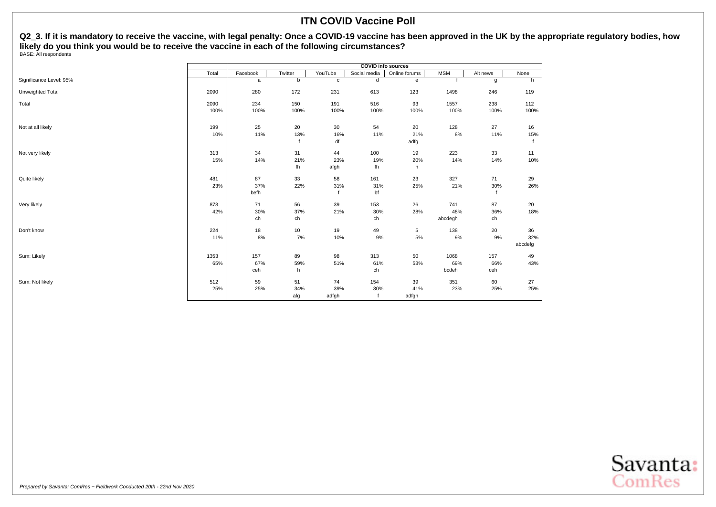**Q2\_3. If it is mandatory to receive the vaccine, with legal penalty: Once a COVID-19 vaccine has been approved in the UK by the appropriate regulatory bodies, how likely do you think you would be to receive the vaccine in each of the following circumstances?** BASE: All respondents

|                         |              |                   |                  |                    | <b>COVID</b> info sources |                          |                       |                   |                      |
|-------------------------|--------------|-------------------|------------------|--------------------|---------------------------|--------------------------|-----------------------|-------------------|----------------------|
|                         | Total        | Facebook          | Twitter          | YouTube            | Social media              | Online forums            | <b>MSM</b>            | Alt news          | None                 |
| Significance Level: 95% |              | a                 | b                | $\mathbf c$        | d                         | $\mathbf{e}$             |                       | g                 | h                    |
| Unweighted Total        | 2090         | 280               | 172              | 231                | 613                       | 123                      | 1498                  | 246               | 119                  |
| Total                   | 2090<br>100% | 234<br>100%       | 150<br>100%      | 191<br>100%        | 516<br>100%               | 93<br>100%               | 1557<br>100%          | 238<br>100%       | 112<br>100%          |
| Not at all likely       | 199<br>10%   | 25<br>11%         | 20<br>13%        | 30<br>16%<br>df    | 54<br>11%                 | 20<br>21%<br>adfg        | 128<br>8%             | 27<br>11%         | 16<br>15%            |
| Not very likely         | 313<br>15%   | 34<br>14%         | 31<br>21%<br>fh  | 44<br>23%<br>afgh  | 100<br>19%<br>fh          | 19<br>20%<br>h           | 223<br>14%            | 33<br>14%         | 11<br>10%            |
| Quite likely            | 481<br>23%   | 87<br>37%<br>befh | 33<br>22%        | 58<br>31%          | 161<br>31%<br>bf          | 23<br>25%                | 327<br>21%            | 71<br>30%         | 29<br>26%            |
| Very likely             | 873<br>42%   | 71<br>30%<br>ch   | 56<br>37%<br>ch  | 39<br>21%          | 153<br>30%<br>ch          | 26<br>28%                | 741<br>48%<br>abcdegh | 87<br>36%<br>ch   | 20<br>18%            |
| Don't know              | 224<br>11%   | 18<br>8%          | $10$<br>7%       | 19<br>10%          | 49<br>9%                  | $5\phantom{.0}$<br>$5\%$ | 138<br>9%             | 20<br>9%          | 36<br>32%<br>abcdefg |
| Sum: Likely             | 1353<br>65%  | 157<br>67%<br>ceh | 89<br>59%<br>h   | 98<br>51%          | 313<br>61%<br>ch          | 50<br>53%                | 1068<br>69%<br>bcdeh  | 157<br>66%<br>ceh | 49<br>43%            |
| Sum: Not likely         | 512<br>25%   | 59<br>25%         | 51<br>34%<br>afg | 74<br>39%<br>adfgh | 154<br>30%                | 39<br>41%<br>adfgh       | 351<br>23%            | 60<br>25%         | 27<br>25%            |

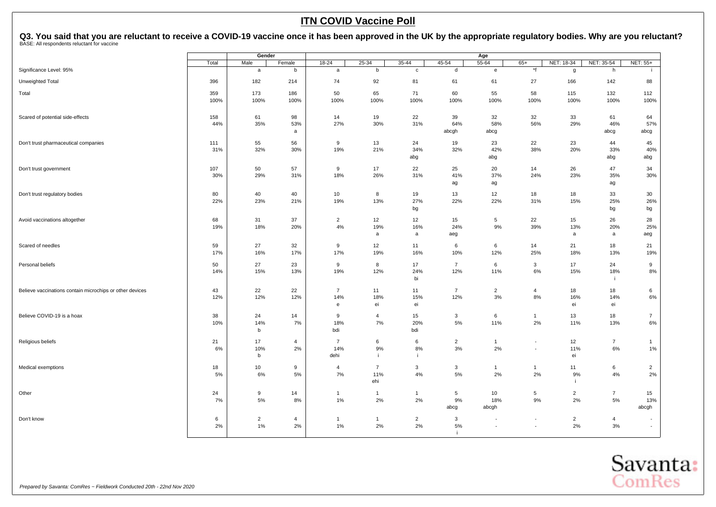<span id="page-16-0"></span>

|                                                          |           | Gender         |                |                       |                |                |                       | Age                  |                          |                |                |                          |
|----------------------------------------------------------|-----------|----------------|----------------|-----------------------|----------------|----------------|-----------------------|----------------------|--------------------------|----------------|----------------|--------------------------|
|                                                          | Total     | Male           | Female         | 18-24                 | 25-34          | 35-44          | 45-54                 | 55-64                | $65+$                    | NET: 18-34     | NET: 35-54     | NET: 55+                 |
| Significance Level: 95%                                  |           | a              | b              | a                     | b              | $\mathtt{C}$   | d                     | ${\bf e}$            | $\star_{\mathsf{f}}$     | g              | h              |                          |
| Unweighted Total                                         | 396       | 182            | 214            | 74                    | 92             | 81             | 61                    | 61                   | 27                       | 166            | 142            | 88                       |
| Total                                                    | 359       | 173            | 186            | 50                    | 65             | 71             | 60                    | 55                   | 58                       | 115            | 132            | 112                      |
|                                                          | 100%      | 100%           | 100%           | 100%                  | 100%           | 100%           | 100%                  | 100%                 | 100%                     | 100%           | 100%           | 100%                     |
|                                                          |           |                |                |                       |                |                |                       |                      |                          |                |                |                          |
| Scared of potential side-effects                         | 158       | 61             | 98             | 14                    | 19             | 22             | 39                    | 32                   | 32                       | 33             | 61             | 64                       |
|                                                          | 44%       | 35%            | 53%            | 27%                   | 30%            | 31%            | 64%                   | 58%                  | 56%                      | 29%            | 46%            | 57%                      |
|                                                          |           |                | a              |                       |                |                | abcgh                 | abcg                 |                          |                | abcg           | abcg                     |
| Don't trust pharmaceutical companies                     | 111       | 55             | 56             | 9                     | 13             | 24             | 19                    | 23                   | 22                       | 23             | 44             | 45                       |
|                                                          | 31%       | 32%            | 30%            | 19%                   | 21%            | 34%            | 32%                   | 42%                  | 38%                      | 20%            | 33%            | 40%                      |
|                                                          |           |                |                |                       |                | abg            |                       | abg                  |                          |                | abg            | abg                      |
| Don't trust government                                   | 107       | 50             | 57             | 9                     | 17             | 22             | 25                    | 20                   | 14                       | 26             | 47             | 34                       |
|                                                          | 30%       | 29%            | 31%            | 18%                   | 26%            | 31%            | 41%                   | 37%                  | 24%                      | 23%            | 35%            | 30%                      |
|                                                          |           |                |                |                       |                |                | ag                    | ag                   |                          |                | ag             |                          |
| Don't trust regulatory bodies                            | 80        | 40             | 40             | 10                    | 8              | 19             | 13                    | 12                   | 18                       | 18             | 33             | 30                       |
|                                                          | 22%       | 23%            | 21%            | 19%                   | 13%            | 27%            | 22%                   | 22%                  | 31%                      | 15%            | 25%            | 26%                      |
|                                                          |           |                |                |                       |                | bg             |                       |                      |                          |                | bg             | bg                       |
| Avoid vaccinations altogether                            | 68        | 31             | 37             | $\overline{2}$        | 12             | 12             | 15                    | 5                    | 22                       | 15             | 26             | 28                       |
|                                                          | 19%       | 18%            | 20%            | $4\%$                 | 19%            | 16%            | 24%                   | 9%                   | 39%                      | 13%            | 20%            | 25%                      |
|                                                          |           |                |                |                       | a              | a              | aeg                   |                      |                          | a              | a              | aeg                      |
| Scared of needles                                        | 59        | 27             | 32             | 9                     | 12             | 11             | 6                     | 6                    | 14                       | 21             | 18             | 21                       |
|                                                          | 17%       | 16%            | 17%            | 17%                   | 19%            | 16%            | 10%                   | 12%                  | 25%                      | 18%            | 13%            | 19%                      |
| Personal beliefs                                         | 50        | 27             | 23             | 9                     | 8              | 17             | $\overline{7}$        | 6                    | 3                        | 17             | 24             | 9                        |
|                                                          | 14%       | 15%            | 13%            | 19%                   | 12%            | 24%            | 12%                   | 11%                  | 6%                       | 15%            | 18%            | 8%                       |
|                                                          |           |                |                |                       |                | bi             |                       |                      |                          |                | ÷i             |                          |
|                                                          |           |                |                |                       |                |                |                       |                      |                          |                |                |                          |
| Believe vaccinations contain microchips or other devices | 43<br>12% | 22<br>12%      | 22<br>12%      | $\overline{7}$<br>14% | 11<br>18%      | 11<br>15%      | $\overline{7}$<br>12% | $\overline{2}$<br>3% | $\overline{4}$<br>8%     | 18<br>16%      | 18<br>14%      | 6<br>$6\%$               |
|                                                          |           |                |                | e                     | ei             | ei             |                       |                      |                          | ei             | ei             |                          |
|                                                          |           |                |                |                       |                |                |                       |                      |                          |                |                |                          |
| Believe COVID-19 is a hoax                               | 38<br>10% | 24             | 14             | 9<br>18%              | 4              | 15             | 3<br>5%               | 6                    | $\mathbf{1}$             | 13             | 18             | $\overline{7}$<br>$6\%$  |
|                                                          |           | 14%<br>b       | 7%             | bdi                   | 7%             | 20%<br>bdi     |                       | 11%                  | 2%                       | 11%            | 13%            |                          |
|                                                          |           |                |                |                       |                |                |                       |                      |                          |                |                |                          |
| Religious beliefs                                        | 21        | 17             | $\overline{4}$ | $\overline{7}$        | 6              | 6              | $\overline{2}$        | $\mathbf{1}$         | $\blacksquare$           | 12             | $\overline{7}$ | $\overline{1}$           |
|                                                          | 6%        | 10%            | 2%             | 14%                   | 9%<br>j        | 8%<br>-i-      | 3%                    | 2%                   | $\blacksquare$           | 11%<br>ei      | 6%             | 1%                       |
|                                                          |           | b              |                | dehi                  |                |                |                       |                      |                          |                |                |                          |
| Medical exemptions                                       | 18        | 10             | 9              | $\overline{4}$        | $\overline{7}$ | 3              | 3                     | $\mathbf{1}$         | $\mathbf{1}$             | 11             | 6              | $\overline{2}$           |
|                                                          | 5%        | 6%             | 5%             | 7%                    | 11%            | 4%             | $5\%$                 | 2%                   | 2%                       | 9%             | 4%             | 2%                       |
|                                                          |           |                |                |                       | ehi            |                |                       |                      |                          | ÷i             |                |                          |
| Other                                                    | 24        | 9              | 14             | $\overline{1}$        | $\mathbf{1}$   | 1              | 5                     | 10                   | $5\phantom{.0}$          | $\overline{2}$ | $\overline{7}$ | 15                       |
|                                                          | 7%        | 5%             | 8%             | 1%                    | 2%             | 2%             | 9%                    | 18%                  | 9%                       | 2%             | 5%             | 13%                      |
|                                                          |           |                |                |                       |                |                | abcg                  | abcgh                |                          |                |                | abcgh                    |
| Don't know                                               | 6         | $\overline{2}$ | $\overline{4}$ | $\overline{1}$        | $\mathbf{1}$   | $\overline{2}$ | 3                     |                      | $\overline{\phantom{a}}$ | $\overline{2}$ | $\overline{4}$ | $\overline{\phantom{a}}$ |
|                                                          | 2%        | 1%             | 2%             | 1%                    | 2%             | 2%             | 5%                    | $\sim$               | $\sim$                   | 2%             | 3%             | $\sim$                   |
|                                                          |           |                |                |                       |                |                | -i.                   |                      |                          |                |                |                          |

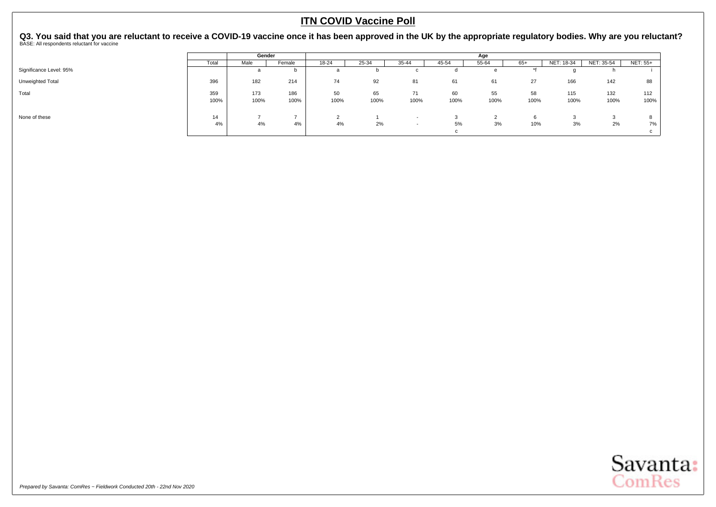|                         |             | Gender      |                                |              |            |            |              | Age          |               |             |              |             |
|-------------------------|-------------|-------------|--------------------------------|--------------|------------|------------|--------------|--------------|---------------|-------------|--------------|-------------|
|                         | Total       | Male        | Female                         | 18-24        | 25-34      | 35-44      | 45-54        | 55-64        | $65+$         | NET: 18-34  | NET: 35-54   | NET: 55+    |
| Significance Level: 95% |             |             | b                              |              |            |            |              | е            |               |             |              |             |
| Unweighted Total        | 396         | 182         | 214                            | 74           | 92         | 81         | 61           | 61           | 27            | 166         | 142          | 88          |
| Total                   | 359<br>100% | 173<br>100% | 186<br>100%                    | 50<br>100%   | 65<br>100% | 71<br>100% | 60<br>100%   | 55<br>100%   | 58<br>100%    | 115<br>100% | 132<br>100%  | 112<br>100% |
| None of these           | 14<br>4%    | 4%          | $\overline{\phantom{0}}$<br>4% | $\sim$<br>4% | 2%         | $\sim$     | 5%<br>$\sim$ | $\sim$<br>3% | $\sim$<br>10% | 3%          | $\sim$<br>2% | 7%          |

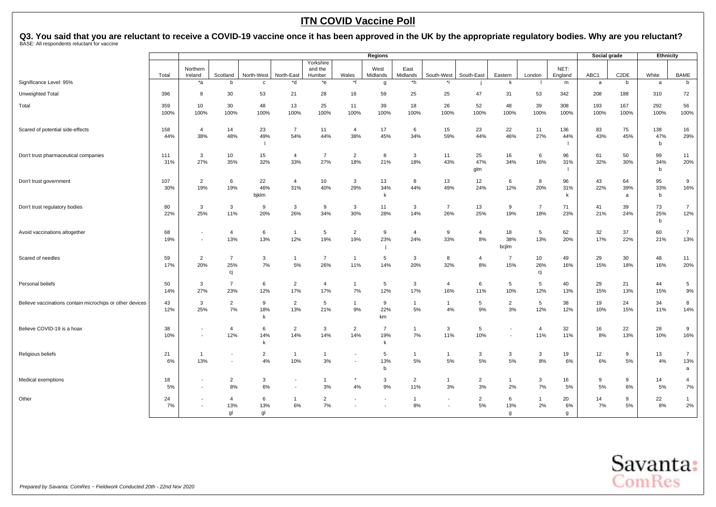|                                                          |             |                                            |                       |                |                                          |                                |                       | <b>Regions</b>      |                       |                          |                      |                       |                    |                 | Social grade |                   | Ethnicity   |                       |
|----------------------------------------------------------|-------------|--------------------------------------------|-----------------------|----------------|------------------------------------------|--------------------------------|-----------------------|---------------------|-----------------------|--------------------------|----------------------|-----------------------|--------------------|-----------------|--------------|-------------------|-------------|-----------------------|
|                                                          | Total       | Northern<br>Ireland                        | Scotland              | North-West     | North-East                               | Yorkshire<br>and the<br>Humber | Wales                 | West<br>Midlands    | East<br>Midlands      | South-West               | South-East           | Eastern               | London             | NET:<br>England | ABC1         | C <sub>2</sub> DE | White       | <b>BAME</b>           |
| Significance Level: 95%                                  |             | $*_{a}$                                    | h                     | $\mathbf{C}$   | *d                                       | *e                             | *f                    | $\mathbf{g}$        | *h                    | .*i                      |                      | k                     |                    | m               | a            | b                 | a           | b                     |
| Unweighted Total                                         | 396         | 8                                          | 30                    | 53             | 21                                       | 28                             | 16                    | 59                  | 25                    | 25                       | 47                   | 31                    | 53                 | 342             | 208          | 188               | 310         | 72                    |
| Total                                                    | 359<br>100% | 10<br>100%                                 | 30<br>100%            | 48<br>100%     | 13                                       | 25<br>100%                     | 11<br>100%            | 39                  | 18<br>100%            | 26<br>100%               | 52<br>100%           | 48                    | 39                 | 308             | 193          | 167<br>100%       | 292         | 56<br>100%            |
|                                                          |             |                                            |                       |                | 100%                                     |                                |                       | 100%                |                       |                          |                      | 100%                  | 100%               | 100%            | 100%         |                   | 100%        |                       |
| Scared of potential side-effects                         | 158<br>44%  | $\overline{4}$<br>38%                      | 14<br>48%             | 23<br>49%      | $\overline{7}$<br>54%                    | 11<br>44%                      | $\overline{4}$<br>38% | 17<br>45%           | 6<br>34%              | 15<br>59%                | 23<br>44%            | 22<br>46%             | 11<br>27%          | 136<br>44%      | 83<br>43%    | 75<br>45%         | 138<br>47%  | 16<br>29%             |
|                                                          |             |                                            |                       | -1             |                                          |                                |                       |                     |                       |                          |                      |                       |                    |                 |              |                   | b           |                       |
| Don't trust pharmaceutical companies                     | 111<br>31%  | $\mathbf{3}$<br>27%                        | 10<br>35%             | 15<br>32%      | 4<br>33%                                 | $\overline{7}$<br>27%          | $\overline{2}$<br>18% | 8<br>21%            | 3<br>18%              | 11<br>43%                | 25<br>47%            | 16<br>34%             | 6<br>16%           | 96<br>31%       | 61<br>32%    | 50<br>30%         | 99<br>34%   | 11<br>20%             |
|                                                          |             |                                            |                       |                |                                          |                                |                       |                     |                       |                          | glm                  |                       |                    | -1              |              |                   | $\mathbf b$ |                       |
| Don't trust government                                   | 107         | $\overline{2}$<br>19%                      | 6                     | 22<br>46%      | $\overline{4}$                           | 10<br>40%                      | 3<br>29%              | 13                  | 8<br>44%              | 13                       | 12                   | 6                     | 8<br>20%           | 96              | 43           | 64                | 95          | 9<br>16%              |
|                                                          | 30%         |                                            | 19%                   | bjklm          | 31%                                      |                                |                       | 34%<br>$\mathsf{k}$ |                       | 49%                      | 24%                  | 12%                   |                    | 31%<br>k        | 22%          | 39%<br>a          | 33%<br>b    |                       |
| Don't trust regulatory bodies                            | 80<br>22%   | 3<br>25%                                   | $\mathbf{3}$<br>11%   | 9<br>20%       | $\mathbf{3}$<br>26%                      | 9<br>34%                       | 3<br>30%              | 11<br>28%           | 3<br>14%              | $\overline{7}$           | 13<br>25%            | 9<br>19%              | $\overline{7}$     | 71              | 41           | 39<br>24%         | 73<br>25%   | $\overline{7}$<br>12% |
|                                                          |             |                                            |                       |                |                                          |                                |                       |                     |                       | 26%                      |                      |                       | 18%                | 23%             | 21%          |                   | b           |                       |
| Avoid vaccinations altogether                            | 68<br>19%   | $\sim$                                     | $\overline{4}$<br>13% | 6<br>13%       | $\mathbf{1}$<br>12%                      | 5<br>19%                       | $\overline{2}$<br>19% | 9<br>23%            | $\overline{4}$<br>24% | 9<br>33%                 | $\overline{4}$<br>8% | 18<br>38%             | 5<br>13%           | 62<br>20%       | 32<br>17%    | 37<br>22%         | 60<br>21%   | $\overline{7}$<br>13% |
|                                                          |             |                                            |                       |                |                                          |                                |                       |                     |                       |                          |                      | bcjlm                 |                    |                 |              |                   |             |                       |
| Scared of needles                                        | 59<br>17%   | $\overline{2}$<br>20%                      | $\overline{7}$<br>25% | 3<br>7%        | 5%                                       | $\overline{7}$<br>26%          | $\mathbf{1}$<br>11%   | 5<br>14%            | 3<br>20%              | 8<br>32%                 | $\overline{4}$<br>8% | $\overline{7}$<br>15% | 10<br>26%          | 49<br>16%       | 29<br>15%    | 30<br>18%         | 48<br>16%   | 11<br>20%             |
|                                                          |             |                                            | cj                    |                |                                          |                                |                       |                     |                       |                          |                      |                       | cj                 |                 |              |                   |             |                       |
| Personal beliefs                                         | 50<br>14%   | 3<br>27%                                   | $\overline{7}$<br>23% | 6<br>12%       | $\overline{2}$<br>17%                    | $\overline{4}$<br>17%          | $\overline{1}$<br>7%  | 5<br>12%            | 3<br>17%              | $\overline{4}$<br>16%    | 6<br>11%             | 5<br>10%              | 5<br>12%           | 40<br>13%       | 29<br>15%    | 21<br>13%         | 44<br>15%   | 5<br>9%               |
| Believe vaccinations contain microchips or other devices | 43          | $\mathbf{3}$                               | $\overline{2}$        | 9              | $\overline{2}$                           | 5                              | $\mathbf{1}$          | 9                   | $\overline{1}$        | $\overline{1}$           | 5                    | $\overline{2}$        | 5                  | 38              | 19           | 24                | 34          | 8                     |
|                                                          | 12%         | 25%                                        | 7%                    | 18%<br>k       | 13%                                      | 21%                            | 9%                    | 22%<br>km           | 5%                    | 4%                       | 9%                   | 3%                    | 12%                | 12%             | 10%          | 15%               | 11%         | 14%                   |
| Believe COVID-19 is a hoax                               | 38          | $\overline{\phantom{a}}$                   | $\overline{4}$        | 6              | $\overline{2}$                           | $\mathbf{3}$                   | 2                     | $\overline{7}$      | $\overline{1}$        | 3                        | 5                    |                       | $\overline{4}$     | 32              | 16           | 22                | 28          | 9                     |
|                                                          | 10%         | $\overline{\phantom{a}}$                   | 12%                   | 14%<br>k       | 14%                                      | 14%                            | 14%                   | 19%<br>k            | 7%                    | 11%                      | 10%                  |                       | 11%                | 11%             | 8%           | 13%               | 10%         | 16%                   |
| Religious beliefs                                        | 21          | $\overline{1}$                             |                       | $\overline{2}$ | $\mathbf{1}$                             | $\overline{1}$                 |                       | 5                   | $\overline{1}$        | $\overline{1}$           | 3                    | $\mathbf{3}$          | $\mathbf{3}$       | 19              | 12           | 9                 | 13          | $\overline{7}$        |
|                                                          | 6%          | 13%                                        | $\sim$                | 4%             | 10%                                      | 3%                             |                       | 13%<br>b            | 5%                    | 5%                       | 5%                   | 5%                    | 8%                 | 6%              | 6%           | 5%                | 4%          | 13%<br>a              |
| Medical exemptions                                       | 18<br>5%    | $\blacksquare$<br>$\overline{\phantom{a}}$ | $\overline{2}$<br>8%  | 3<br>6%        | $\overline{\phantom{a}}$<br>$\centerdot$ | 1<br>3%                        | 4%                    | 3<br>9%             | $\overline{2}$<br>11% | $\mathbf{1}$<br>3%       | $\overline{2}$<br>3% | $\mathbf{1}$<br>2%    | $\mathbf{3}$<br>7% | 16<br>5%        | 9<br>5%      | 9<br>6%           | 14<br>5%    | 4<br>$7\%$            |
| Other                                                    | 24          |                                            | 4                     | 6              | $\overline{1}$                           | $\overline{2}$                 |                       |                     | $\overline{1}$        |                          | $\overline{2}$       | 6                     | $\mathbf{1}$       | 20              | 14           | 9                 | 22          | $\mathbf{1}$          |
|                                                          | 7%          | $\blacksquare$                             | 13%<br>al             | 13%<br>ql      | 6%                                       | 7%                             |                       |                     | 8%                    | $\overline{\phantom{a}}$ | 5%                   | 13%<br>$\mathfrak{g}$ | 2%                 | 6%<br>q         | 7%           | 5%                | 8%          | $2\%$                 |

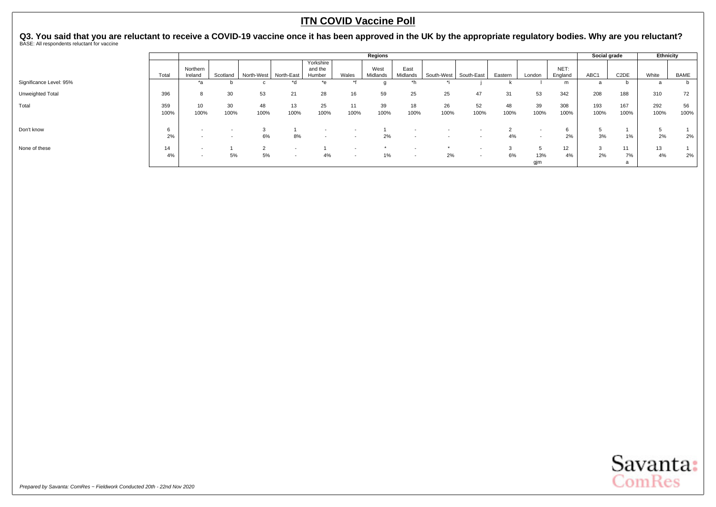|                         |             |                                                      |                          |                         |            |                                |            | Regions          |                          |            |                          |              |                                                      |                 | Social grade |                   | Ethnicity          |            |
|-------------------------|-------------|------------------------------------------------------|--------------------------|-------------------------|------------|--------------------------------|------------|------------------|--------------------------|------------|--------------------------|--------------|------------------------------------------------------|-----------------|--------------|-------------------|--------------------|------------|
|                         | Total       | Northern<br>Ireland                                  | Scotland                 | North-West   North-East |            | Yorkshire<br>and the<br>Humber | Wales      | West<br>Midlands | East<br>Midlands         | South-West | South-East               | Eastern      | London                                               | NET:<br>England | ABC1         | C <sub>2</sub> DE | White              | BAME       |
| Significance Level: 95% |             |                                                      |                          |                         | *d         | *e                             |            |                  |                          |            |                          |              |                                                      | m               |              |                   |                    | D          |
| Unweighted Total        | 396         |                                                      | 30                       | 53                      | 21         | 28                             | 16         | 59               | 25                       | 25         | 47                       | 31           | 53                                                   | 342             | 208          | 188               | 310                | 72         |
| Total                   | 359<br>100% | 10<br>100%                                           | 30<br>100%               | 48<br>100%              | 13<br>100% | 25<br>100%                     | 11<br>100% | 39<br>100%       | 18<br>100%               | 26<br>100% | 52<br>100%               | 48<br>100%   | 39<br>100%                                           | 308<br>100%     | 193<br>100%  | 167<br>100%       | 292<br>100%        | 56<br>100% |
| Don't know              | 2%          | $\overline{\phantom{0}}$                             | $\overline{\phantom{a}}$ | 6%                      | 8%         |                                |            | 2%               | $\overline{\phantom{0}}$ |            |                          | $\sim$<br>4% | $\overline{\phantom{a}}$<br>$\overline{\phantom{a}}$ | 2%              | 3%           | 1%                | <sub>5</sub><br>2% | 2%         |
| None of these           | 14<br>4%    | $\overline{\phantom{a}}$<br>$\overline{\phantom{a}}$ | 5%                       | 5%                      | . .        | 4%                             | $\sim$     | 1%               | $\overline{\phantom{0}}$ | 2%         | $\overline{\phantom{a}}$ | 3<br>6%      | 13%<br>gjm                                           | 12<br>4%        | 2%           | 11<br>7%          | 13<br>4%           | 2%         |

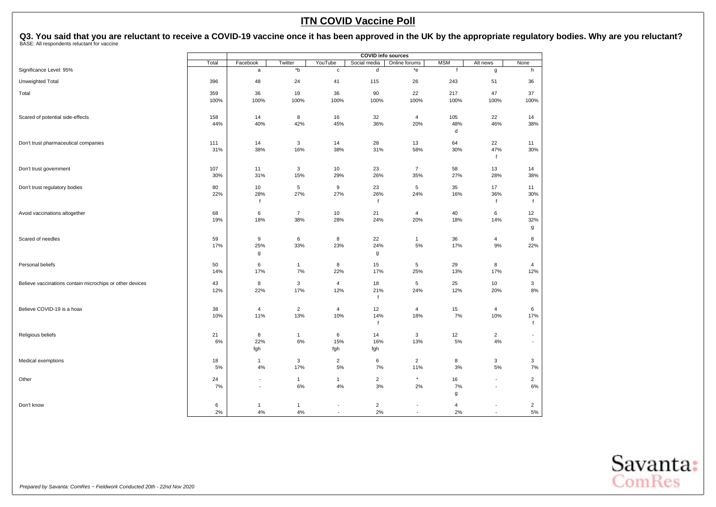|                                                          |           |                          |                    |                          | <b>COVID info sources</b> |                          |              |                          |                          |
|----------------------------------------------------------|-----------|--------------------------|--------------------|--------------------------|---------------------------|--------------------------|--------------|--------------------------|--------------------------|
|                                                          | Total     | Facebook                 | Twitter            | YouTube                  | Social media              | Online forums            | <b>MSM</b>   | Alt news                 | None                     |
| Significance Level: 95%                                  |           | $\mathsf{a}$             | $^\star\texttt{b}$ | $\mathbf c$              | d                         | *e                       | $\mathbf{f}$ | g                        | h                        |
| Unweighted Total                                         | 396       | 48                       | 24                 | 41                       | 115                       | 26                       | 243          | 51                       | 36                       |
| Total                                                    | 359       | 36                       | 19                 | 36                       | 90                        | 22                       | 217          | 47                       | 37                       |
|                                                          | 100%      | 100%                     | 100%               | 100%                     | 100%                      | 100%                     | 100%         | 100%                     | 100%                     |
| Scared of potential side-effects                         | 158       | 14                       | 8                  | 16                       | 32                        | 4                        | 105          | 22                       | 14                       |
|                                                          | 44%       | 40%                      | 42%                | 45%                      | 36%                       | 20%                      | 48%<br>d     | 46%                      | 38%                      |
| Don't trust pharmaceutical companies                     | 111       | 14                       | 3                  | 14                       | 28                        | 13                       | 64           | 22                       | 11                       |
|                                                          | 31%       | 38%                      | 16%                | 38%                      | 31%                       | 58%                      | 30%          | 47%<br>f                 | 30%                      |
| Don't trust government                                   | 107       | 11                       | 3                  | 10                       | 23                        | $\overline{7}$           | 58           | 13                       | 14                       |
|                                                          | 30%       | 31%                      | 15%                | 29%                      | 26%                       | 35%                      | 27%          | 28%                      | 38%                      |
| Don't trust regulatory bodies                            | 80        | 10                       | 5                  | 9                        | 23                        | 5                        | 35           | 17                       | 11                       |
|                                                          | 22%       | 28%<br>$\mathsf{f}$      | 27%                | 27%                      | 26%<br>$\mathsf{f}$       | 24%                      | 16%          | 36%<br>f                 | 30%<br>f                 |
| Avoid vaccinations altogether                            | 68        | 6                        | $\overline{7}$     | 10                       | 21                        | 4                        | 40           | 6                        | 12                       |
|                                                          | 19%       | 18%                      | 38%                | 28%                      | 24%                       | 20%                      | 18%          | 14%                      | 32%<br>g                 |
| Scared of needles                                        | 59        | 9                        | 6                  | 8                        | 22                        | $\mathbf{1}$             | 36           | $\overline{4}$           | 8                        |
|                                                          | 17%       | 25%<br>g                 | 33%                | 23%                      | 24%<br>g                  | 5%                       | 17%          | 9%                       | 22%                      |
|                                                          |           |                          |                    |                          |                           |                          |              |                          |                          |
| Personal beliefs                                         | 50<br>14% | 6<br>17%                 | $\mathbf{1}$<br>7% | 8<br>22%                 | 15<br>17%                 | 5<br>25%                 | 29<br>13%    | 8<br>17%                 | $\overline{4}$<br>12%    |
|                                                          |           |                          |                    |                          |                           |                          |              |                          |                          |
| Believe vaccinations contain microchips or other devices | 43<br>12% | 8<br>22%                 | 3<br>17%           | $\overline{4}$<br>12%    | 18<br>21%                 | 5<br>24%                 | 25<br>12%    | 10<br>20%                | 3<br>8%                  |
|                                                          |           |                          |                    |                          | $\mathbf{f}$              |                          |              |                          |                          |
| Believe COVID-19 is a hoax                               | 38        | $\overline{4}$           | $\overline{2}$     | $\overline{4}$           | 12                        | 4                        | 15           | $\overline{4}$           | 6                        |
|                                                          | 10%       | 11%                      | 13%                | 10%                      | 14%<br>f                  | 18%                      | 7%           | 10%                      | 17%<br>f                 |
| Religious beliefs                                        | 21        | 8                        | $\mathbf{1}$       | 6                        | 14                        | 3                        | 12           | $\overline{2}$           | $\overline{\phantom{a}}$ |
|                                                          | 6%        | 22%<br>fgh               | 6%                 | 15%<br>fgh               | 16%<br>fgh                | 13%                      | 5%           | 4%                       | $\overline{\phantom{a}}$ |
| Medical exemptions                                       | 18        | $\mathbf{1}$             | 3                  | $\overline{2}$           | 6                         | $\overline{c}$           | 8            | 3                        | 3                        |
|                                                          | 5%        | 4%                       | 17%                | $5%$                     | 7%                        | 11%                      | 3%           | 5%                       | 7%                       |
| Other                                                    | 24        | $\blacksquare$           | $\mathbf{1}$       | $\mathbf{1}$             | $\overline{2}$            | $\star$                  | 16           |                          | $\overline{2}$           |
|                                                          | 7%        | $\overline{\phantom{a}}$ | 6%                 | $4\%$                    | 3%                        | 2%                       | 7%<br>g      | $\overline{\phantom{a}}$ | 6%                       |
| Don't know                                               | 6         | $\mathbf{1}$             | $\mathbf{1}$       |                          | $\overline{c}$            | $\overline{\phantom{a}}$ | 4            |                          | $\overline{2}$           |
|                                                          | 2%        | 4%                       | 4%                 | $\overline{\phantom{a}}$ | 2%                        | ٠                        | 2%           |                          | 5%                       |

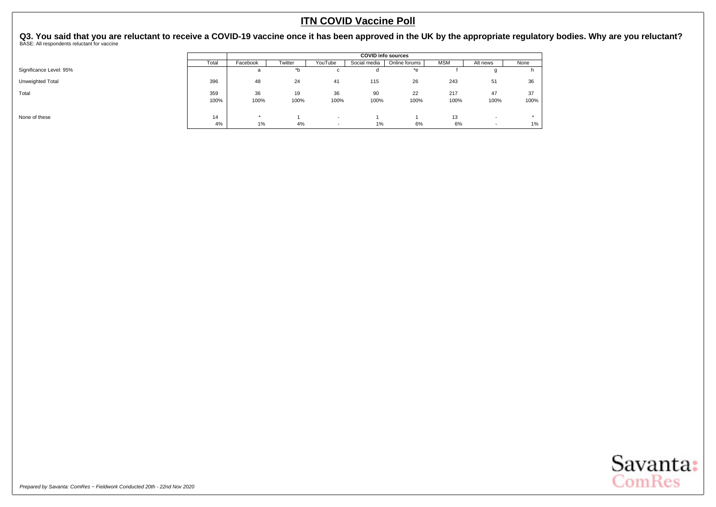|                         |       |          |         |                          |              | <b>COVID info sources</b> |            |                          |       |
|-------------------------|-------|----------|---------|--------------------------|--------------|---------------------------|------------|--------------------------|-------|
|                         | Total | Facebook | Twitter | YouTube                  | Social media | Online forums             | <b>MSM</b> | Alt news                 | None  |
| Significance Level: 95% |       | a        | *b      | U                        |              | *e                        |            |                          |       |
| Unweighted Total        | 396   | 48       | 24      | 41                       | 115          | 26                        | 243        | 51                       | 36    |
| Total                   | 359   | 36       | 19      | 36                       | 90           | 22                        | 217        | 47                       | 37    |
|                         | 100%  | 100%     | 100%    | 100%                     | 100%         | 100%                      | 100%       | 100%                     | 100%  |
|                         |       |          |         |                          |              |                           |            |                          |       |
| None of these           | 14    | $\star$  |         | $\overline{\phantom{a}}$ |              |                           | 13         | $\overline{\phantom{a}}$ |       |
|                         | 4%    | 1%       | 4%      | $\overline{\phantom{a}}$ | 1%           | 6%                        | 6%         | $\overline{\phantom{a}}$ | $1\%$ |

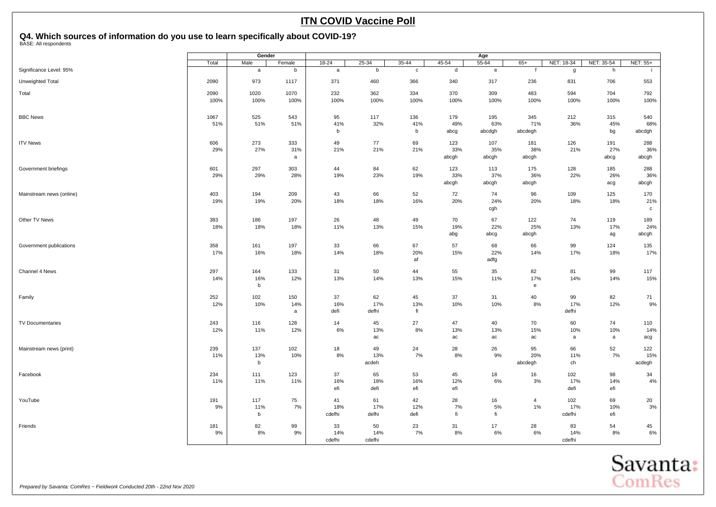<span id="page-22-0"></span>

|                          |       | Gender |        |        |        |             |       | Age          |                |            |            |              |
|--------------------------|-------|--------|--------|--------|--------|-------------|-------|--------------|----------------|------------|------------|--------------|
|                          | Total | Male   | Female | 18-24  | 25-34  | $35 - 44$   | 45-54 | 55-64        | $65+$          | NET: 18-34 | NET: 35-54 | NET: 55+     |
| Significance Level: 95%  |       | a      | b      | a      | b      | $\mathbf c$ | d     | $\mathbf{e}$ | $\mathbf{f}$   | g          | h          |              |
| Unweighted Total         | 2090  | 973    | 1117   | 371    | 460    | 366         | 340   | 317          | 236            | 831        | 706        | 553          |
| Total                    | 2090  | 1020   | 1070   | 232    | 362    | 334         | 370   | 309          | 483            | 594        | 704        | 792          |
|                          | 100%  | 100%   | 100%   | 100%   | 100%   | 100%        | 100%  | 100%         | 100%           | 100%       | 100%       | 100%         |
| <b>BBC News</b>          | 1067  | 525    | 543    | 95     | 117    | 136         | 179   | 195          | 345            | 212        | 315        | 540          |
|                          | 51%   | 51%    | 51%    | 41%    | 32%    | 41%         | 49%   | 63%          | 71%            | 36%        | 45%        | 68%          |
|                          |       |        |        | b      |        | b           | abcg  | abcdgh       | abcdegh        |            | bg         | abcdgh       |
| <b>ITV News</b>          | 606   | 273    | 333    | 49     | 77     | 69          | 123   | 107          | 181            | 126        | 191        | 288          |
|                          | 29%   | 27%    | 31%    | 21%    | 21%    | 21%         | 33%   | 35%          | 38%            | 21%        | 27%        | 36%          |
|                          |       |        | a      |        |        |             | abcgh | abcgh        | abcgh          |            | abcg       | abcgh        |
| Government briefings     | 601   | 297    | 303    | 44     | 84     | 62          | 123   | 113          | 175            | 128        | 185        | 288          |
|                          | 29%   | 29%    | 28%    | 19%    | 23%    | 19%         | 33%   | 37%          | 36%            | 22%        | 26%        | 36%          |
|                          |       |        |        |        |        |             | abcgh | abcgh        | abcgh          |            | acg        | abcgh        |
| Mainstream news (online) | 403   | 194    | 209    | 43     | 66     | 52          | 72    | 74           | 96             | 109        | 125        | 170          |
|                          | 19%   | 19%    | 20%    | 18%    | 18%    | 16%         | 20%   | 24%          | 20%            | 18%        | 18%        | 21%          |
|                          |       |        |        |        |        |             |       | cgh          |                |            |            | $\mathtt{C}$ |
| Other TV News            | 383   | 186    | 197    | 26     | 48     | 49          | 70    | 67           | 122            | 74         | 119        | 189          |
|                          | 18%   | 18%    | 18%    | 11%    | 13%    | 15%         | 19%   | 22%          | 25%            | 13%        | 17%        | 24%          |
|                          |       |        |        |        |        |             | abg   | abcg         | abcgh          |            | ag         | abcgh        |
| Government publications  | 358   | 161    | 197    | 33     | 66     | 67          | 57    | 68           | 66             | 99         | 124        | 135          |
|                          | 17%   | 16%    | 18%    | 14%    | 18%    | 20%         | 15%   | 22%          | 14%            | 17%        | 18%        | 17%          |
|                          |       |        |        |        |        | af          |       | adfg         |                |            |            |              |
| Channel 4 News           | 297   | 164    | 133    | 31     | 50     | 44          | 55    | 35           | 82             | 81         | 99         | 117          |
|                          | 14%   | 16%    | 12%    | 13%    | 14%    | 13%         | 15%   | 11%          | 17%            | 14%        | 14%        | 15%          |
|                          |       | b      |        |        |        |             |       |              | ${\bf e}$      |            |            |              |
| Family                   | 252   | 102    | 150    | 37     | 62     | 45          | 37    | 31           | 40             | 99         | 82         | 71           |
|                          | 12%   | 10%    | 14%    | 16%    | 17%    | 13%         | 10%   | 10%          | 8%             | 17%        | 12%        | 9%           |
|                          |       |        | a      | defi   | defhi  | fi          |       |              |                | defhi      |            |              |
| TV Documentaries         | 243   | 116    | 128    | 14     | 45     | 27          | 47    | 40           | 70             | 60         | 74         | 110          |
|                          | 12%   | 11%    | 12%    | 6%     | 13%    | 8%          | 13%   | 13%          | 15%            | 10%        | 10%        | 14%          |
|                          |       |        |        |        | ac     |             | ac    | ac           | ac             | a          | a          | acg          |
| Mainstream news (print)  | 239   | 137    | 102    | 18     | 49     | 24          | 28    | 26           | 95             | 66         | 52         | 122          |
|                          | 11%   | 13%    | 10%    | 8%     | 13%    | 7%          | 8%    | 9%           | 20%            | 11%        | 7%         | 15%          |
|                          |       | b      |        |        | acdeh  |             |       |              | abcdegh        | ch         |            | acdegh       |
| Facebook                 | 234   | 111    | 123    | 37     | 65     | 53          | 45    | 18           | 16             | 102        | 98         | 34           |
|                          | 11%   | 11%    | 11%    | 16%    | 18%    | 16%         | 12%   | 6%           | $3%$           | 17%        | 14%        | 4%           |
|                          |       |        |        | efi    | defi   | efi         | efi   |              |                | defi       | efi        |              |
| YouTube                  | 191   | 117    | 75     | 41     | 61     | 42          | 28    | 16           | $\overline{4}$ | 102        | 69         | 20           |
|                          | 9%    | 11%    | 7%     | 18%    | 17%    | 12%         | 7%    | 5%           | $1\%$          | 17%        | 10%        | $3%$         |
|                          |       | b      |        | cdefhi | defhi  | defi        | fi    | fi           |                | cdefhi     | efi        |              |
| Friends                  | 181   | 82     | 99     | 33     | 50     | 23          | 31    | 17           | 28             | 83         | 54         | 45           |
|                          | 9%    | 8%     | 9%     | 14%    | 14%    | 7%          | 8%    | 6%           | 6%             | 14%        | 8%         | $6\%$        |
|                          |       |        |        | cdefhi | cdefhi |             |       |              |                | cdefhi     |            |              |

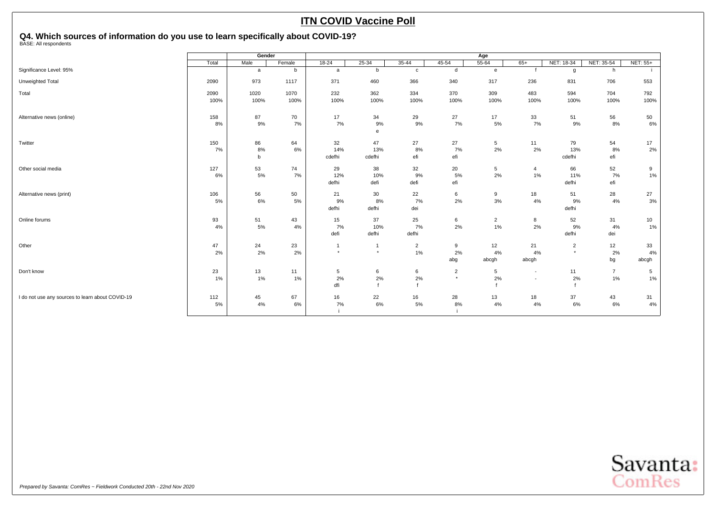|                                                  |       | Gender       |        |                |           |                |                | Age            |                          |                |                |                 |
|--------------------------------------------------|-------|--------------|--------|----------------|-----------|----------------|----------------|----------------|--------------------------|----------------|----------------|-----------------|
|                                                  | Total | Male         | Female | $18-24$        | $25 - 34$ | 35-44          | $45 - 54$      | $55 - 64$      | $65+$                    | NET: 18-34     | NET: 35-54     | <b>NET: 55+</b> |
| Significance Level: 95%                          |       | a            | b      | a              | b         | $\mathbf{c}$   | d              | $\mathbf{e}$   |                          | g              | h              |                 |
| Unweighted Total                                 | 2090  | 973          | 1117   | 371            | 460       | 366            | 340            | 317            | 236                      | 831            | 706            | 553             |
| Total                                            | 2090  | 1020         | 1070   | 232            | 362       | 334            | 370            | 309            | 483                      | 594            | 704            | 792             |
|                                                  | 100%  | 100%         | 100%   | 100%           | 100%      | 100%           | 100%           | 100%           | 100%                     | 100%           | 100%           | 100%            |
| Alternative news (online)                        | 158   | 87           | 70     | 17             | 34        | 29             | 27             | 17             | 33                       | 51             | 56             | 50              |
|                                                  | 8%    | $9\%$        | 7%     | 7%             | 9%        | 9%             | 7%             | 5%             | 7%                       | 9%             | 8%             | 6%              |
|                                                  |       |              |        |                | e         |                |                |                |                          |                |                |                 |
| Twitter                                          | 150   | 86           | 64     | 32             | 47        | 27             | 27             | 5              | 11                       | 79             | 54             | 17              |
|                                                  | 7%    | 8%           | 6%     | 14%            | 13%       | 8%             | 7%             | 2%             | 2%                       | 13%            | 8%             | 2%              |
|                                                  |       | $\mathsf{b}$ |        | cdefhi         | cdefhi    | efi            | efi            |                |                          | cdefhi         | efi            |                 |
| Other social media                               | 127   | 53           | 74     | 29             | 38        | 32             | 20             | 5              | 4                        | 66             | 52             | 9               |
|                                                  | 6%    | 5%           | 7%     | 12%            | 10%       | 9%             | 5%             | 2%             | $1\%$                    | 11%            | 7%             | 1%              |
|                                                  |       |              |        | defhi          | defi      | defi           | efi            |                |                          | defhi          | efi            |                 |
| Alternative news (print)                         | 106   | 56           | 50     | 21             | 30        | 22             | 6              | 9              | 18                       | 51             | 28             | 27              |
|                                                  | 5%    | $6\%$        | 5%     | 9%             | 8%        | 7%             | 2%             | 3%             | 4%                       | 9%             | 4%             | $3%$            |
|                                                  |       |              |        | defhi          | defhi     | dei            |                |                |                          | defhi          |                |                 |
| Online forums                                    | 93    | 51           | 43     | 15             | 37        | 25             | 6              | $\overline{2}$ | 8                        | 52             | 31             | 10              |
|                                                  | 4%    | 5%           | 4%     | 7%             | 10%       | 7%             | 2%             | $1\%$          | 2%                       | 9%             | 4%             | 1%              |
|                                                  |       |              |        | defi           | defhi     | defhi          |                |                |                          | defhi          | dei            |                 |
| Other                                            | 47    | 24           | 23     | $\overline{1}$ | -1        | $\overline{2}$ | 9              | 12             | 21                       | $\overline{2}$ | 12             | 33              |
|                                                  | 2%    | 2%           | 2%     | $\star$        | $\star$   | 1%             | 2%             | 4%             | 4%                       | $\star$        | 2%             | 4%              |
|                                                  |       |              |        |                |           |                | abg            | abcgh          | abcgh                    |                | bg             | abcgh           |
| Don't know                                       | 23    | 13           | 11     | 5              | 6         | 6              | $\overline{2}$ | 5              | $\overline{\phantom{a}}$ | 11             | $\overline{7}$ | 5               |
|                                                  | 1%    | 1%           | 1%     | 2%             | 2%        | 2%             | $\star$        | 2%             | $\overline{\phantom{a}}$ | 2%             | 1%             | 1%              |
|                                                  |       |              |        | dfi            |           |                |                |                |                          |                |                |                 |
| I do not use any sources to learn about COVID-19 | 112   | 45           | 67     | 16             | 22        | 16             | 28             | 13             | 18                       | 37             | 43             | 31              |
|                                                  | 5%    | 4%           | 6%     | 7%             | 6%        | 5%             | 8%             | 4%             | 4%                       | 6%             | 6%             | 4%              |
|                                                  |       |              |        |                |           |                |                |                |                          |                |                |                 |

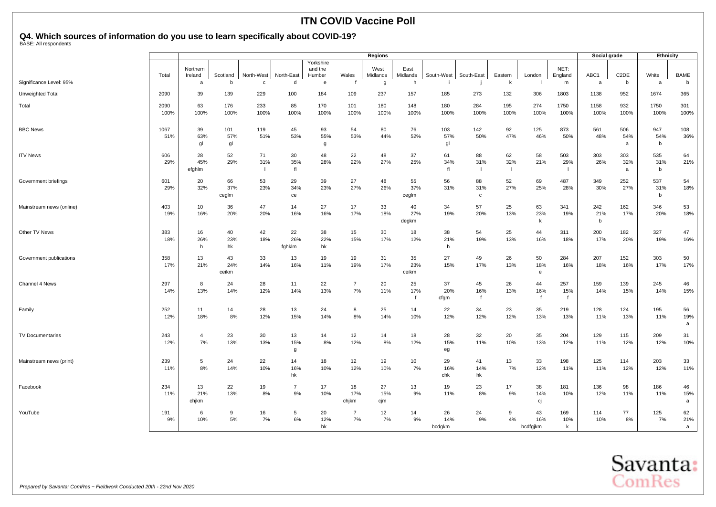|                          |              |                      |                    |                           |                      |                                |                      | <b>Regions</b>   |                    |                     |                           |                                       |                       |                            | Social grade    |                   | <b>Ethnicity</b> |                |
|--------------------------|--------------|----------------------|--------------------|---------------------------|----------------------|--------------------------------|----------------------|------------------|--------------------|---------------------|---------------------------|---------------------------------------|-----------------------|----------------------------|-----------------|-------------------|------------------|----------------|
|                          | Total        | Northern<br>Ireland  | Scotland           | North-West                | North-East           | Yorkshire<br>and the<br>Humber | Wales                | West<br>Midlands | East<br>Midlands   | South-West          | South-East                | Eastern                               | London                | NET:<br>England            | ABC1            | C <sub>2</sub> DE | White            | <b>BAME</b>    |
| Significance Level: 95%  |              | a                    | b                  | $\mathbf{C}$              | d                    | e                              |                      | g                | h                  |                     |                           | k                                     |                       | m                          | a               | b                 | a                | b              |
| Unweighted Total         | 2090         | 39                   | 139                | 229                       | 100                  | 184                            | 109                  | 237              | 157                | 185                 | 273                       | 132                                   | 306                   | 1803                       | 1138            | 952               | 1674             | 365            |
| Total                    | 2090<br>100% | 63<br>100%           | 176<br>100%        | 233<br>100%               | 85<br>100%           | 170<br>100%                    | 101<br>100%          | 180<br>100%      | 148<br>100%        | 180<br>100%         | 284<br>100%               | 195<br>100%                           | 274<br>100%           | 1750<br>100%               | 1158<br>100%    | 932<br>100%       | 1750<br>100%     | 301<br>100%    |
| <b>BBC News</b>          | 1067<br>51%  | 39<br>63%<br>gl      | 101<br>57%<br>gl   | 119<br>51%                | 45<br>53%            | 93<br>55%<br>g                 | 54<br>53%            | 80<br>44%        | 76<br>52%          | 103<br>57%<br>gl    | 142<br>50%                | 92<br>47%                             | 125<br>46%            | 873<br>50%                 | 561<br>48%      | 506<br>54%<br>a   | 947<br>54%<br>b  | 108<br>36%     |
| <b>ITV News</b>          | 606<br>29%   | 28<br>45%<br>efghlm  | 52<br>29%          | 71<br>31%<br>$\mathbf{I}$ | 30<br>35%<br>fl      | 48<br>28%                      | 22<br>22%            | 48<br>27%        | 37<br>25%          | 61<br>34%<br>fl     | 88<br>31%<br>$\mathbf{I}$ | 62<br>32%<br>$\overline{\phantom{a}}$ | 58<br>21%             | 503<br>29%<br>-1           | 303<br>26%      | 303<br>32%<br>a   | 535<br>31%<br>b  | 64<br>21%      |
| Government briefings     | 601<br>29%   | 20<br>32%            | 66<br>37%<br>cegIm | 53<br>23%                 | 29<br>34%<br>ce      | 39<br>23%                      | 27<br>27%            | 48<br>26%        | 55<br>37%<br>ceglm | 56<br>31%           | 88<br>31%<br>$\mathbf c$  | 52<br>27%                             | 69<br>25%             | 487<br>28%                 | 349<br>30%      | 252<br>27%        | 537<br>31%<br>b  | 54<br>18%      |
| Mainstream news (online) | 403<br>19%   | 10<br>16%            | 36<br>20%          | 47<br>20%                 | 14<br>16%            | 27<br>16%                      | 17<br>17%            | 33<br>18%        | 40<br>27%<br>degkm | 34<br>19%           | 57<br>20%                 | 25<br>13%                             | 63<br>23%<br>k        | 341<br>19%                 | 242<br>21%<br>b | 162<br>17%        | 346<br>20%       | 53<br>18%      |
| Other TV News            | 383<br>18%   | 16<br>26%<br>h       | 40<br>23%<br>hk    | 42<br>18%                 | 22<br>26%<br>fghklm  | 38<br>22%<br>hk                | 15<br>15%            | 30<br>17%        | 18<br>12%          | 38<br>21%<br>h      | 54<br>19%                 | 25<br>13%                             | 44<br>16%             | 311<br>18%                 | 200<br>17%      | 182<br>20%        | 327<br>19%       | 47<br>16%      |
| Government publications  | 358<br>17%   | 13<br>21%            | 43<br>24%<br>ceikm | 33<br>14%                 | 13<br>16%            | 19<br>11%                      | 19<br>19%            | 31<br>17%        | 35<br>23%<br>ceikm | 27<br>15%           | 49<br>17%                 | 26<br>13%                             | 50<br>18%<br>e        | 284<br>16%                 | 207<br>18%      | 152<br>16%        | 303<br>17%       | 50<br>17%      |
| Channel 4 News           | 297<br>14%   | 8<br>13%             | 24<br>14%          | 28<br>12%                 | 11<br>14%            | 22<br>13%                      | $\overline{7}$<br>7% | 20<br>11%        | 25<br>17%          | 37<br>20%<br>cfgm   | 45<br>16%<br>$\mathsf{f}$ | 26<br>13%                             | 44<br>16%<br>f        | 257<br>15%<br>$\mathbf{f}$ | 159<br>14%      | 139<br>15%        | 245<br>14%       | 46<br>15%      |
| Family                   | 252<br>12%   | 11<br>18%            | 14<br>8%           | 28<br>12%                 | 13<br>15%            | 24<br>14%                      | 8<br>8%              | 25<br>14%        | 14<br>10%          | 22<br>12%           | 34<br>12%                 | 23<br>12%                             | 35<br>13%             | 219<br>13%                 | 128<br>11%      | 124<br>13%        | 195<br>11%       | 56<br>19%<br>a |
| <b>TV Documentaries</b>  | 243<br>12%   | $\overline{4}$<br>7% | 23<br>13%          | 30<br>13%                 | 13<br>15%<br>g       | 14<br>8%                       | 12<br>12%            | 14<br>8%         | 18<br>12%          | 28<br>15%<br>eg     | 32<br>11%                 | 20<br>10%                             | 35<br>13%             | 204<br>12%                 | 129<br>11%      | 115<br>12%        | 209<br>12%       | 31<br>10%      |
| Mainstream news (print)  | 239<br>11%   | 5<br>8%              | 24<br>14%          | 22<br>10%                 | 14<br>16%<br>hk      | 18<br>10%                      | 12<br>12%            | 19<br>10%        | 10<br>7%           | 29<br>16%<br>chk    | 41<br>14%<br>hk           | 13<br>7%                              | 33<br>12%             | 198<br>11%                 | 125<br>11%      | 114<br>12%        | 203<br>12%       | 33<br>11%      |
| Facebook                 | 234<br>11%   | 13<br>21%<br>chjkm   | 22<br>13%          | 19<br>8%                  | $\overline{7}$<br>9% | 17<br>10%                      | 18<br>17%<br>chjkm   | 27<br>15%<br>cjm | 13<br>9%           | 19<br>11%           | 23<br>8%                  | 17<br>9%                              | 38<br>14%<br>cj       | 181<br>10%                 | 136<br>12%      | 98<br>11%         | 186<br>11%       | 46<br>15%<br>a |
| YouTube                  | 191<br>9%    | 6<br>10%             | 9<br>5%            | 16<br>7%                  | -5<br>6%             | 20<br>12%<br>bk                | $\overline{7}$<br>7% | 12<br>7%         | 14<br>9%           | 26<br>14%<br>bcdgkm | 24<br>9%                  | 9<br>4%                               | 43<br>16%<br>bcdfgjkm | 169<br>10%<br>k            | 114<br>10%      | 77<br>8%          | 125<br>7%        | 62<br>21%<br>a |

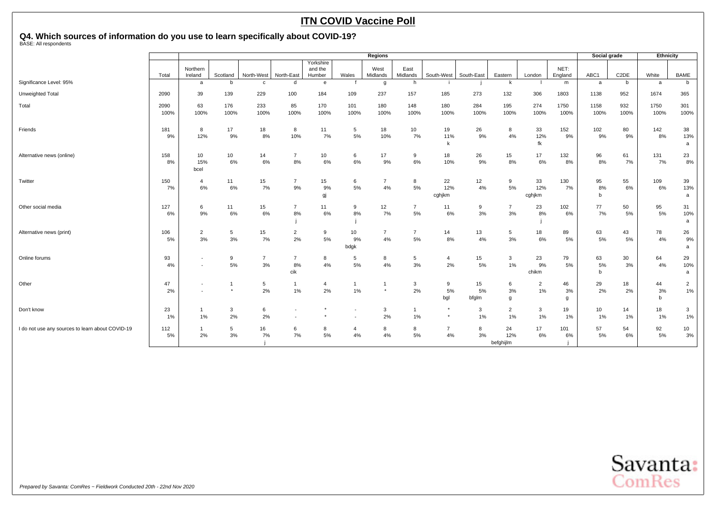|                                                  |              |                                                      |              |                      |                             |                                |                         | <b>Regions</b>          |                         |                      |                   |                        |                      |                 | Social grade  |                   | Ethnicity     |                      |
|--------------------------------------------------|--------------|------------------------------------------------------|--------------|----------------------|-----------------------------|--------------------------------|-------------------------|-------------------------|-------------------------|----------------------|-------------------|------------------------|----------------------|-----------------|---------------|-------------------|---------------|----------------------|
|                                                  | Total        | Northern<br>Ireland                                  | Scotland     | North-West           | North-East                  | Yorkshire<br>and the<br>Humber | Wales                   | West<br>Midlands        | East<br>Midlands        | South-West           | South-East        | Eastern                | London               | NET:<br>England | ABC1          | C <sub>2</sub> DE | White         | <b>BAME</b>          |
| Significance Level: 95%                          |              | a                                                    | <sub>b</sub> | $\mathbf{c}$         | d                           | e                              |                         | g                       | h                       |                      |                   | k                      |                      | m               | a             | b                 | a             | b                    |
| Unweighted Total                                 | 2090         | 39                                                   | 139          | 229                  | 100                         | 184                            | 109                     | 237                     | 157                     | 185                  | 273               | 132                    | 306                  | 1803            | 1138          | 952               | 1674          | 365                  |
| Total                                            | 2090<br>100% | 63<br>100%                                           | 176<br>100%  | 233<br>100%          | 85<br>100%                  | 170<br>100%                    | 101<br>100%             | 180<br>100%             | 148<br>100%             | 180<br>100%          | 284<br>100%       | 195<br>100%            | 274<br>100%          | 1750<br>100%    | 1158<br>100%  | 932<br>100%       | 1750<br>100%  | 301<br>100%          |
| Friends                                          | 181<br>9%    | 8<br>12%                                             | 17<br>9%     | 18<br>$8\%$          | 8<br>10%                    | 11<br>7%                       | 5<br>$5\%$              | 18<br>10%               | 10<br>7%                | 19<br>11%            | 26<br>9%          | 8<br>4%                | 33<br>12%<br>fk      | 152<br>9%       | 102<br>9%     | 80<br>9%          | 142<br>8%     | 38<br>13%<br>a       |
| Alternative news (online)                        | 158<br>8%    | 10<br>15%<br>bcel                                    | 10<br>6%     | 14<br>$6\%$          | -7<br>8%                    | 10<br>6%                       | 6<br>6%                 | 17<br>9%                | 9<br>6%                 | 18<br>10%            | 26<br>9%          | 15<br>8%               | 17<br>6%             | 132<br>8%       | 96<br>8%      | 61<br>7%          | 131<br>7%     | 23<br>8%             |
| Twitter                                          | 150<br>7%    | $\overline{a}$<br>6%                                 | 11<br>6%     | 15<br>7%             | $\overline{7}$<br>9%        | 15<br>9%<br>gj                 | 6<br>5%                 | $\overline{7}$<br>4%    | 8<br>5%                 | 22<br>12%<br>cghjkm  | 12<br>4%          | 9<br>5%                | 33<br>12%<br>cghjkm  | 130<br>7%       | 95<br>8%<br>b | 55<br>6%          | 109<br>6%     | 39<br>13%<br>a       |
| Other social media                               | 127<br>6%    | 6<br>9%                                              | 11<br>6%     | 15<br>6%             | $\overline{7}$<br>8%        | 11<br>6%                       | 9<br>8%                 | 12<br>7%                | $\overline{7}$<br>5%    | 11<br>$6\%$          | 9<br>3%           | $\overline{7}$<br>3%   | 23<br>8%             | 102<br>6%       | 77<br>7%      | 50<br>5%          | 95<br>5%      | 31<br>10%<br>a       |
| Alternative news (print)                         | 106<br>5%    | $\overline{2}$<br>3%                                 | 5<br>3%      | 15<br>7%             | $\overline{2}$<br>2%        | 9<br>$5\%$                     | 10<br>9%<br>bdgk        | $\overline{7}$<br>4%    | $\overline{7}$<br>$5\%$ | 14<br>8%             | 13<br>4%          | 5<br>3%                | 18<br>6%             | 89<br>5%        | 63<br>5%      | 43<br>5%          | 78<br>4%      | 26<br>9%<br>a        |
| Online forums                                    | 93<br>4%     | $\overline{\phantom{a}}$<br>$\overline{\phantom{a}}$ | 9<br>5%      | $\overline{7}$<br>3% | $\overline{7}$<br>8%<br>cik | 8<br>4%                        | 5<br>5%                 | 8<br>4%                 | 5<br>3%                 | 4<br>2%              | 15<br>5%          | 3<br>1%                | 23<br>9%<br>chikm    | 79<br>5%        | 63<br>5%<br>b | 30<br>3%          | 64<br>4%      | 29<br>10%<br>a       |
| Other                                            | 47<br>2%     | $\overline{\phantom{a}}$<br>٠                        |              | 5<br>2%              | $\overline{1}$<br>1%        | 4<br>2%                        | $\overline{1}$<br>$1\%$ | $\mathbf{1}$<br>$\star$ | 3<br>2%                 | 9<br>5%<br>bgl       | 15<br>5%<br>bfglm | 6<br>3%<br>g           | $\overline{2}$<br>1% | 46<br>3%<br>g   | 29<br>2%      | 18<br>2%          | 44<br>3%<br>b | $\overline{a}$<br>1% |
| Don't know                                       | 23<br>1%     | $\overline{1}$<br>1%                                 | 3<br>2%      | 6<br>2%              |                             |                                |                         | 3<br>2%                 | $\mathbf{1}$<br>$1\%$   |                      | 3<br>1%           | $\overline{2}$<br>1%   | 3<br>1%              | 19<br>1%        | 10<br>1%      | 14<br>1%          | 18<br>1%      | 3<br>1%              |
| I do not use any sources to learn about COVID-19 | 112<br>5%    | 2%                                                   | 5<br>3%      | 16<br>7%             | 6<br>7%                     | 8<br>$5\%$                     | $\overline{4}$<br>4%    | 8<br>4%                 | 8<br>5%                 | $\overline{7}$<br>4% | 8<br>3%           | 24<br>12%<br>befghijlm | 17<br>6%             | 101<br>6%       | 57<br>5%      | 54<br>6%          | 92<br>5%      | 10<br>3%             |

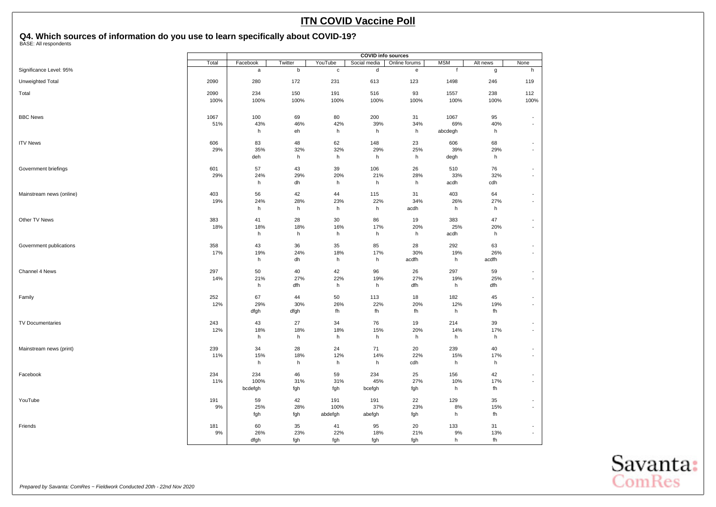|                          | <b>COVID info sources</b> |             |         |             |              |               |              |          |                          |
|--------------------------|---------------------------|-------------|---------|-------------|--------------|---------------|--------------|----------|--------------------------|
|                          | Total                     | Facebook    | Twitter | YouTube     | Social media | Online forums | <b>MSM</b>   | Alt news | None                     |
| Significance Level: 95%  |                           | $\mathsf a$ | $\sf b$ | $\mathbf c$ | d            | ${\bf e}$     | $\mathbf{f}$ | g        | h                        |
| Unweighted Total         | 2090                      | 280         | 172     | 231         | 613          | 123           | 1498         | 246      | 119                      |
| Total                    | 2090                      | 234         | 150     | 191         | 516          | 93            | 1557         | 238      | 112                      |
|                          | 100%                      | 100%        | 100%    | 100%        | 100%         | 100%          | 100%         | 100%     | 100%                     |
| <b>BBC News</b>          | 1067                      | 100         | 69      | 80          | 200          | 31            | 1067         | 95       | $\overline{a}$           |
|                          | 51%                       | 43%         | 46%     | 42%         | 39%          | 34%           | 69%          | 40%      | $\blacksquare$           |
|                          |                           | h           | eh      | h           | h            | h             | abcdegh      | h        |                          |
| <b>ITV News</b>          | 606                       | 83          | 48      | 62          | 148          | 23            | 606          | 68       | $\overline{\phantom{a}}$ |
|                          | 29%                       | 35%         | 32%     | 32%         | 29%          | 25%           | 39%          | 29%      | $\overline{a}$           |
|                          |                           | deh         | h       | h           | h            | h             | degh         | h        |                          |
| Government briefings     | 601                       | 57          | 43      | 39          | 106          | 26            | 510          | 76       | $\overline{\phantom{a}}$ |
|                          | 29%                       | 24%         | 29%     | 20%         | 21%          | 28%           | 33%          | 32%      | $\overline{\phantom{a}}$ |
|                          |                           | h           | dh      | h           | h            | h             | acdh         | cdh      |                          |
| Mainstream news (online) | 403                       | 56          | 42      | 44          | 115          | 31            | 403          | 64       | $\blacksquare$           |
|                          | 19%                       | 24%         | 28%     | 23%         | 22%          | 34%           | 26%          | 27%      | $\blacksquare$           |
|                          |                           | h           | h       | h           | h            | acdh          | h            | h        |                          |
| Other TV News            | 383                       | 41          | 28      | 30          | 86           | 19            | 383          | 47       | $\overline{\phantom{a}}$ |
|                          | 18%                       | 18%         | 18%     | 16%         | 17%          | 20%           | 25%          | 20%      | $\overline{a}$           |
|                          |                           | h           | h       | h           | h            | h             | acdh         | h        |                          |
| Government publications  | 358                       | 43          | 36      | 35          | 85           | 28            | 292          | 63       | $\overline{\phantom{m}}$ |
|                          | 17%                       | 19%         | 24%     | 18%         | 17%          | 30%           | 19%          | 26%      | $\overline{\phantom{a}}$ |
|                          |                           | h           | dh      | h           | h            | acdfh         | h            | acdfh    |                          |
| Channel 4 News           | 297                       | 50          | 40      | 42          | 96           | 26            | 297          | 59       | $\overline{\phantom{m}}$ |
|                          | 14%                       | 21%         | 27%     | 22%         | 19%          | 27%           | 19%          | 25%      | $\blacksquare$           |
|                          |                           | h           | dfh     | h           | h            | dfh           | h            | dfh      |                          |
| Family                   | 252                       | 67          | 44      | 50          | 113          | 18            | 182          | 45       | $\overline{\phantom{a}}$ |
|                          | 12%                       | 29%         | 30%     | 26%         | 22%          | 20%           | 12%          | 19%      | $\blacksquare$           |
|                          |                           | dfgh        | dfgh    | fh          | fh           | fh            | h            | fh       |                          |
| <b>TV Documentaries</b>  | 243                       | 43          | 27      | 34          | 76           | 19            | 214          | 39       | $\overline{\phantom{a}}$ |
|                          | 12%                       | 18%         | 18%     | 18%         | 15%          | 20%           | 14%          | 17%      | $\overline{\phantom{a}}$ |
|                          |                           | h           | h       | h           | h            | h             | h            | h        |                          |
| Mainstream news (print)  | 239                       | 34          | 28      | 24          | 71           | 20            | 239          | 40       | $\blacksquare$           |
|                          | 11%                       | 15%         | 18%     | 12%         | 14%          | 22%           | 15%          | 17%      | $\overline{a}$           |
|                          |                           | h           | h       | h           | h            | cdh           | h            | h        |                          |
| Facebook                 | 234                       | 234         | 46      | 59          | 234          | 25            | 156          | 42       | $\overline{\phantom{a}}$ |
|                          | 11%                       | 100%        | 31%     | 31%         | 45%          | 27%           | 10%          | 17%      | $\blacksquare$           |
|                          |                           | bcdefgh     | fgh     | fgh         | bcefgh       | fgh           | h            | fh       |                          |
| YouTube                  | 191                       | 59          | 42      | 191         | 191          | 22            | 129          | 35       | $\overline{\phantom{a}}$ |
|                          | 9%                        | 25%         | 28%     | 100%        | 37%          | 23%           | 8%           | 15%      | $\blacksquare$           |
|                          |                           | fgh         | fgh     | abdefgh     | abefgh       | fgh           | h            | fh       |                          |
| Friends                  | 181                       | 60          | 35      | 41          | 95           | 20            | 133          | 31       | $\overline{\phantom{a}}$ |
|                          | 9%                        | 26%         | 23%     | 22%         | 18%          | 21%           | 9%           | 13%      | $\overline{\phantom{a}}$ |
|                          |                           | dfgh        | fgh     | fgh         | fgh          | fgh           | h            | fh       |                          |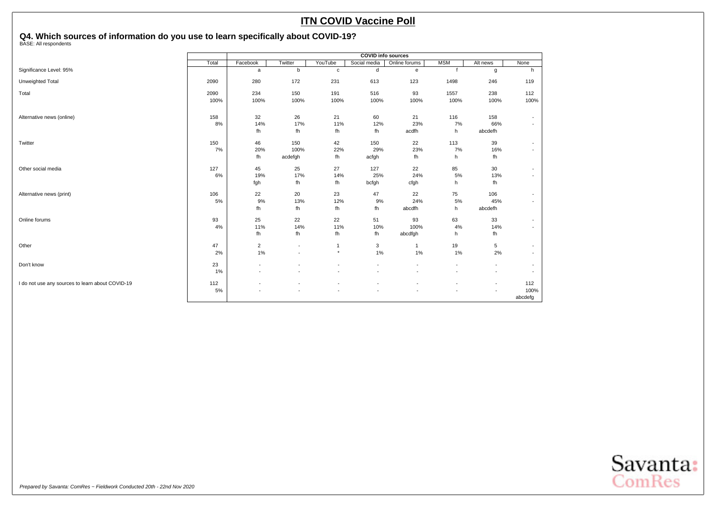|                                                  | <b>COVID info sources</b> |                          |                |                          |                          |                          |                          |                          |                          |  |  |  |
|--------------------------------------------------|---------------------------|--------------------------|----------------|--------------------------|--------------------------|--------------------------|--------------------------|--------------------------|--------------------------|--|--|--|
|                                                  | Total                     | Facebook                 | Twitter        | YouTube                  | Social media             | Online forums            | <b>MSM</b>               | Alt news                 | None                     |  |  |  |
| Significance Level: 95%                          |                           | a                        | b              | $\mathbf{C}$             | d                        | e                        |                          | g                        | h                        |  |  |  |
| Unweighted Total                                 | 2090                      | 280                      | 172            | 231                      | 613                      | 123                      | 1498                     | 246                      | 119                      |  |  |  |
| Total                                            | 2090                      | 234                      | 150            | 191                      | 516                      | 93                       | 1557                     | 238                      | 112                      |  |  |  |
|                                                  | 100%                      | 100%                     | 100%           | 100%                     | 100%                     | 100%                     | 100%                     | 100%                     | 100%                     |  |  |  |
| Alternative news (online)                        | 158                       | 32                       | 26             | 21                       | 60                       | 21                       | 116                      | 158                      | $\overline{\phantom{a}}$ |  |  |  |
|                                                  | 8%                        | 14%                      | 17%            | 11%                      | 12%                      | 23%                      | 7%                       | 66%                      | $\overline{\phantom{a}}$ |  |  |  |
|                                                  |                           | fh                       | fh             | fh                       | fh                       | acdfh                    | h                        | abcdefh                  |                          |  |  |  |
| Twitter                                          | 150                       | 46                       | 150            | 42                       | 150                      | 22                       | 113                      | 39                       | $\overline{\phantom{a}}$ |  |  |  |
|                                                  | 7%                        | 20%                      | 100%           | 22%                      | 29%                      | 23%                      | 7%                       | 16%                      | $\overline{\phantom{a}}$ |  |  |  |
|                                                  |                           | fh                       | acdefgh        | fh                       | acfgh                    | fh                       | h                        | fh                       |                          |  |  |  |
| Other social media                               | 127                       | 45                       | 25             | 27                       | 127                      | 22                       | 85                       | 30                       | $\overline{\phantom{a}}$ |  |  |  |
|                                                  | 6%                        | 19%                      | 17%            | 14%                      | 25%                      | 24%                      | 5%                       | 13%                      | $\overline{\phantom{a}}$ |  |  |  |
|                                                  |                           | fgh                      | fh             | fh                       | bcfgh                    | cfgh                     | h                        | fh                       |                          |  |  |  |
| Alternative news (print)                         | 106                       | 22                       | 20             | 23                       | 47                       | 22                       | 75                       | 106                      | $\overline{\phantom{a}}$ |  |  |  |
|                                                  | 5%                        | 9%                       | 13%            | 12%                      | 9%                       | 24%                      | 5%                       | 45%                      | $\overline{\phantom{a}}$ |  |  |  |
|                                                  |                           | fh                       | fh             | fh                       | fh                       | abcdfh                   | h                        | abcdefh                  |                          |  |  |  |
| Online forums                                    | 93                        | 25                       | 22             | 22                       | 51                       | 93                       | 63                       | 33                       | $\overline{\phantom{a}}$ |  |  |  |
|                                                  | 4%                        | 11%                      | 14%            | 11%                      | 10%                      | 100%                     | 4%                       | 14%                      | $\overline{a}$           |  |  |  |
|                                                  |                           | fh                       | fh             | fh                       | fh                       | abcdfgh                  | h                        | fh                       |                          |  |  |  |
| Other                                            | 47                        | $\overline{2}$           | $\blacksquare$ | $\mathbf{1}$             | 3                        | $\mathbf{1}$             | 19                       | 5                        | $\overline{\phantom{a}}$ |  |  |  |
|                                                  | 2%                        | 1%                       | $\blacksquare$ | $\star$                  | 1%                       | $1\%$                    | 1%                       | 2%                       | $\blacksquare$           |  |  |  |
| Don't know                                       | 23                        | $\overline{\phantom{a}}$ |                |                          |                          | ٠                        | $\overline{\phantom{a}}$ |                          | $\overline{\phantom{a}}$ |  |  |  |
|                                                  | 1%                        | $\overline{\phantom{a}}$ |                | $\overline{\phantom{a}}$ | $\overline{\phantom{a}}$ | $\overline{\phantom{a}}$ | $\overline{\phantom{a}}$ | $\overline{\phantom{a}}$ | $\overline{\phantom{a}}$ |  |  |  |
| I do not use any sources to learn about COVID-19 | 112                       | $\overline{\phantom{a}}$ |                |                          |                          |                          |                          | $\overline{\phantom{a}}$ | 112                      |  |  |  |
|                                                  | 5%                        |                          |                |                          |                          |                          |                          |                          | 100%                     |  |  |  |
|                                                  |                           |                          |                |                          |                          |                          |                          |                          | abcdefg                  |  |  |  |

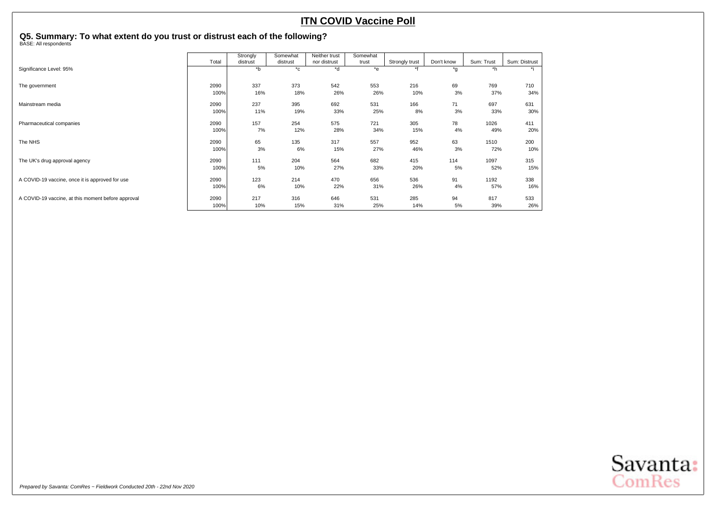## <span id="page-28-0"></span>**Q5. Summary: To what extent do you trust or distrust each of the following?** BASE: All respondents

|                                                    |       | Strongly | Somewhat     | Neither trust | Somewhat |                |            |            |               |
|----------------------------------------------------|-------|----------|--------------|---------------|----------|----------------|------------|------------|---------------|
|                                                    | Total | distrust | distrust     | nor distrust  | trust    | Strongly trust | Don't know | Sum: Trust | Sum: Distrust |
| Significance Level: 95%                            |       | $b^*$    | $^{\star}$ c | *d            | $*$ e    | $*f$           | *g         | *h         |               |
|                                                    |       |          |              |               |          |                |            |            |               |
| The government                                     | 2090  | 337      | 373          | 542           | 553      | 216            | 69         | 769        | 710           |
|                                                    | 100%  | 16%      | 18%          | 26%           | 26%      | 10%            | 3%         | 37%        | 34%           |
| Mainstream media                                   | 2090  | 237      | 395          | 692           | 531      | 166            | 71         | 697        | 631           |
|                                                    | 100%  | 11%      | 19%          | 33%           | 25%      | 8%             | 3%         | 33%        | 30%           |
| Pharmaceutical companies                           | 2090  | 157      | 254          | 575           | 721      | 305            | 78         | 1026       | 411           |
|                                                    | 100%  | 7%       | 12%          | 28%           | 34%      | 15%            | 4%         | 49%        | 20%           |
| The NHS                                            | 2090  | 65       | 135          | 317           | 557      | 952            | 63         | 1510       | 200           |
|                                                    | 100%  | 3%       | 6%           | 15%           | 27%      | 46%            | 3%         | 72%        | 10%           |
| The UK's drug approval agency                      | 2090  | 111      | 204          | 564           | 682      | 415            | 114        | 1097       | 315           |
|                                                    | 100%  | 5%       | 10%          | 27%           | 33%      | 20%            | 5%         | 52%        | 15%           |
| A COVID-19 vaccine, once it is approved for use    | 2090  | 123      | 214          | 470           | 656      | 536            | 91         | 1192       | 338           |
|                                                    | 100%  | 6%       | 10%          | 22%           | 31%      | 26%            | 4%         | 57%        | 16%           |
| A COVID-19 vaccine, at this moment before approval | 2090  | 217      | 316          | 646           | 531      | 285            | 94         | 817        | 533           |
|                                                    | 100%  | 10%      | 15%          | 31%           | 25%      | 14%            | 5%         | 39%        | 26%           |

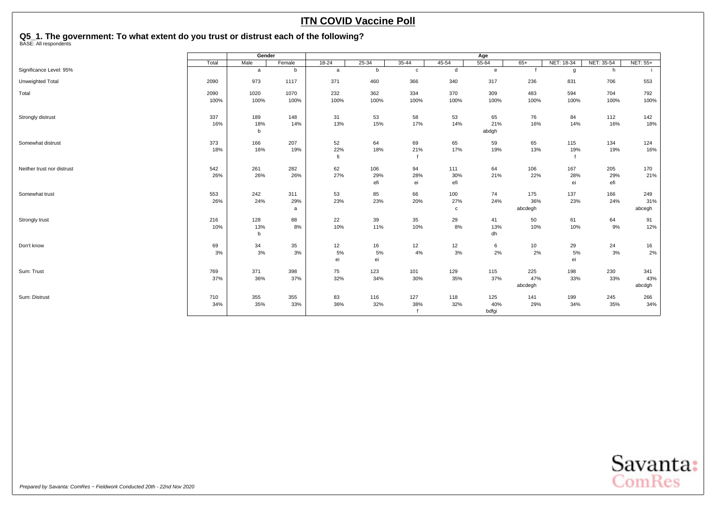## <span id="page-29-0"></span>**Q5\_1. The government: To what extent do you trust or distrust each of the following?** BASE: All respondents

|                            |       | Gender   |        |           |            |              |            | Age          |         |            |            |          |
|----------------------------|-------|----------|--------|-----------|------------|--------------|------------|--------------|---------|------------|------------|----------|
|                            | Total | Male     | Female | $18 - 24$ | $25 - 34$  | $35 - 44$    | $45 - 54$  | $55 - 64$    | $65+$   | NET: 18-34 | NET: 35-54 | NET: 55+ |
| Significance Level: 95%    |       | a        | b      | a         | b          | $\mathbf{C}$ | d          | $\mathbf{e}$ | f       | g          | h          |          |
| Unweighted Total           | 2090  | 973      | 1117   | 371       | 460        | 366          | 340        | 317          | 236     | 831        | 706        | 553      |
| Total                      | 2090  | 1020     | 1070   | 232       | 362        | 334          | 370        | 309          | 483     | 594        | 704        | 792      |
|                            | 100%  | 100%     | 100%   | 100%      | 100%       | 100%         | 100%       | 100%         | 100%    | 100%       | 100%       | 100%     |
| Strongly distrust          | 337   | 189      | 148    | 31        | 53         | 58           | 53         | 65           | 76      | 84         | 112        | 142      |
|                            | 16%   | 18%      | 14%    | 13%       | 15%        | 17%          | 14%        | 21%          | 16%     | 14%        | 16%        | 18%      |
|                            |       | b        |        |           |            |              |            | abdgh        |         |            |            |          |
| Somewhat distrust          | 373   | 166      | 207    | 52        | 64         | 69           | 65         | 59           | 65      | 115        | 134        | 124      |
|                            | 18%   | 16%      | 19%    | 22%       | 18%        | 21%          | 17%        | 19%          | 13%     | 19%        | 19%        | 16%      |
|                            |       |          |        | fi        |            |              |            |              |         |            |            |          |
| Neither trust nor distrust | 542   | 261      | 282    | 62        | 106        | 94           | 111        | 64           | 106     | 167        | 205        | 170      |
|                            | 26%   | 26%      | 26%    | 27%       | 29%<br>efi | 28%<br>ei    | 30%<br>efi | 21%          | 22%     | 28%<br>ei  | 29%<br>efi | 21%      |
|                            |       |          |        |           |            |              |            |              |         |            |            |          |
| Somewhat trust             | 553   | 242      | 311    | 53        | 85         | 66           | 100        | 74           | 175     | 137        | 166        | 249      |
|                            | 26%   | 24%      | 29%    | 23%       | 23%        | 20%          | 27%        | 24%          | 36%     | 23%        | 24%        | 31%      |
|                            |       |          | a      |           |            |              | c          |              | abcdegh |            |            | abcegh   |
| Strongly trust             | 216   | 128      | 88     | 22        | 39         | 35           | 29         | 41           | 50      | 61         | 64         | 91       |
|                            | 10%   | 13%<br>b | 8%     | 10%       | 11%        | 10%          | 8%         | 13%<br>dh    | 10%     | 10%        | 9%         | 12%      |
|                            |       |          |        |           |            |              |            |              |         |            |            |          |
| Don't know                 | 69    | 34       | 35     | 12        | 16         | 12           | 12         | 6            | 10      | 29         | 24         | 16       |
|                            | 3%    | 3%       | 3%     | 5%<br>ei  | 5%<br>ei   | 4%           | 3%         | 2%           | 2%      | 5%<br>ei   | 3%         | 2%       |
|                            |       |          |        |           |            |              |            |              |         |            |            |          |
| Sum: Trust                 | 769   | 371      | 398    | 75        | 123        | 101          | 129        | 115          | 225     | 198        | 230        | 341      |
|                            | 37%   | 36%      | 37%    | 32%       | 34%        | 30%          | 35%        | 37%          | 47%     | 33%        | 33%        | 43%      |
|                            |       |          |        |           |            |              |            |              | abcdegh |            |            | abcdgh   |
| Sum: Distrust              | 710   | 355      | 355    | 83        | 116        | 127          | 118        | 125          | 141     | 199        | 245        | 266      |
|                            | 34%   | 35%      | 33%    | 36%       | 32%        | 38%          | 32%        | 40%<br>bdfgi | 29%     | 34%        | 35%        | 34%      |
|                            |       |          |        |           |            |              |            |              |         |            |            |          |

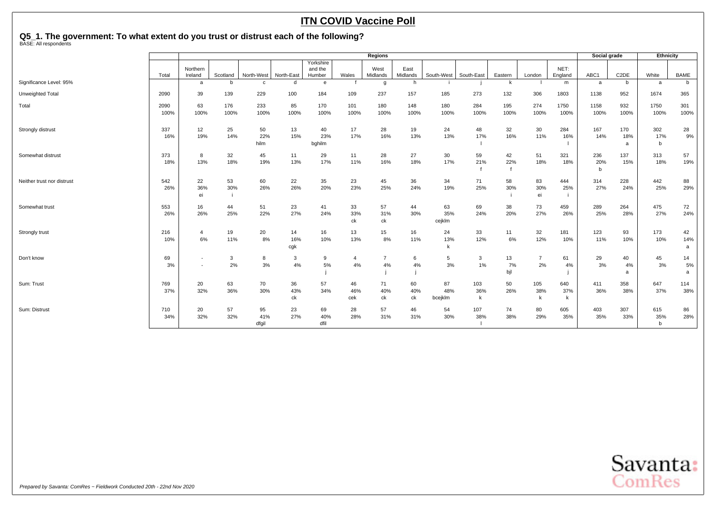## **Q5\_1. The government: To what extent do you trust or distrust each of the following?** BASE: All respondents

|                            |              |                                                      |             |                    |                  |                                |                               | Regions              |                  |                      |                 |                 |                      |                 | Social grade    |                   | Ethnicity                 |                |
|----------------------------|--------------|------------------------------------------------------|-------------|--------------------|------------------|--------------------------------|-------------------------------|----------------------|------------------|----------------------|-----------------|-----------------|----------------------|-----------------|-----------------|-------------------|---------------------------|----------------|
|                            | Total        | Northern<br>Ireland                                  | Scotland    | North-West         | North-East       | Yorkshire<br>and the<br>Humber | Wales                         | West<br>Midlands     | East<br>Midlands | South-West           | South-East      | Eastern         | London               | NET:<br>England | ABC1            | C <sub>2</sub> DE | White                     | <b>BAME</b>    |
| Significance Level: 95%    |              | a                                                    | h           | c                  | d                | e                              |                               | g                    | <b>h</b>         |                      |                 | $\mathsf{k}$    |                      | m               | a               | b                 | a                         | $\mathbf b$    |
| Unweighted Total           | 2090         | 39                                                   | 139         | 229                | 100              | 184                            | 109                           | 237                  | 157              | 185                  | 273             | 132             | 306                  | 1803            | 1138            | 952               | 1674                      | 365            |
| Total                      | 2090<br>100% | 63<br>100%                                           | 176<br>100% | 233<br>100%        | 85<br>100%       | 170<br>100%                    | 101<br>100%                   | 180<br>100%          | 148<br>100%      | 180<br>100%          | 284<br>100%     | 195<br>100%     | 274<br>100%          | 1750<br>100%    | 1158<br>100%    | 932<br>100%       | 1750<br>100%              | 301<br>100%    |
| Strongly distrust          | 337<br>16%   | 12<br>19%                                            | 25<br>14%   | 50<br>22%<br>hilm  | 13<br>15%        | 40<br>23%<br>bghilm            | 17<br>17%                     | 28<br>16%            | 19<br>13%        | 24<br>13%            | 48<br>17%       | 32<br>16%       | 30<br>11%            | 284<br>16%      | 167<br>14%      | 170<br>18%<br>a   | 302<br>17%<br>$\mathbf b$ | 28<br>9%       |
| Somewhat distrust          | 373<br>18%   | 8<br>13%                                             | 32<br>18%   | 45<br>19%          | 11<br>13%        | 29<br>17%                      | 11<br>11%                     | 28<br>16%            | 27<br>18%        | 30<br>17%            | 59<br>21%       | 42<br>22%       | 51<br>18%            | 321<br>18%      | 236<br>20%<br>b | 137<br>15%        | 313<br>18%                | 57<br>19%      |
| Neither trust nor distrust | 542<br>26%   | 22<br>36%<br>ei                                      | 53<br>30%   | 60<br>26%          | 22<br>26%        | 35<br>20%                      | 23<br>23%                     | 45<br>25%            | 36<br>24%        | 34<br>19%            | 71<br>25%       | 58<br>30%       | 83<br>30%<br>ei      | 444<br>25%      | 314<br>27%      | 228<br>24%        | 442<br>25%                | 88<br>29%      |
| Somewhat trust             | 553<br>26%   | 16<br>26%                                            | 44<br>25%   | 51<br>22%          | 23<br>27%        | 41<br>24%                      | 33<br>33%<br>ck               | 57<br>31%<br>ck      | 44<br>30%        | 63<br>35%<br>cejklm  | 69<br>24%       | 38<br>20%       | 73<br>27%            | 459<br>26%      | 289<br>25%      | 264<br>28%        | 475<br>27%                | 72<br>24%      |
| Strongly trust             | 216<br>10%   | $\overline{4}$<br>6%                                 | 19<br>11%   | 20<br>8%           | 14<br>16%<br>cgk | 16<br>10%                      | 13<br>13%                     | 15<br>8%             | 16<br>11%        | 24<br>13%            | 33<br>12%       | 11<br>6%        | 32<br>12%            | 181<br>10%      | 123<br>11%      | 93<br>10%         | 173<br>10%                | 42<br>14%<br>a |
| Don't know                 | 69<br>3%     | $\overline{\phantom{a}}$<br>$\overline{\phantom{a}}$ | 3<br>2%     | 8<br>3%            | 3<br>4%          | 9<br>5%                        | $\overline{\mathbf{A}}$<br>4% | $\overline{7}$<br>4% | 6<br>4%          | 5<br>3%              | 3<br>1%         | 13<br>7%<br>bjl | $\overline{7}$<br>2% | 61<br>4%        | 29<br>3%        | 40<br>4%<br>a     | 45<br>3%                  | 14<br>5%<br>a  |
| Sum: Trust                 | 769<br>37%   | 20<br>32%                                            | 63<br>36%   | 70<br>30%          | 36<br>43%<br>сk  | 57<br>34%                      | 46<br>46%<br>cek              | 71<br>40%<br>ck      | 60<br>40%<br>ck  | 87<br>48%<br>bcejklm | 103<br>36%<br>k | 50<br>26%       | 105<br>38%<br>k      | 640<br>37%<br>k | 411<br>36%      | 358<br>38%        | 647<br>37%                | 114<br>38%     |
| Sum: Distrust              | 710<br>34%   | 20<br>32%                                            | 57<br>32%   | 95<br>41%<br>dfgil | 23<br>27%        | 69<br>40%<br>dfil              | 28<br>28%                     | 57<br>31%            | 46<br>31%        | 54<br>30%            | 107<br>38%      | 74<br>38%       | 80<br>29%            | 605<br>35%      | 403<br>35%      | 307<br>33%        | 615<br>35%<br>b           | 86<br>28%      |

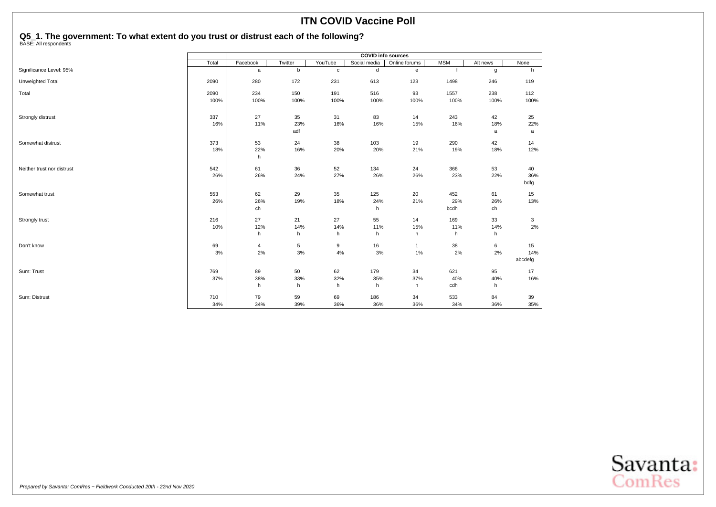## **Q5\_1. The government: To what extent do you trust or distrust each of the following?** BASE: All respondents

|                            | <b>COVID info sources</b> |              |         |              |              |               |             |          |         |  |  |  |
|----------------------------|---------------------------|--------------|---------|--------------|--------------|---------------|-------------|----------|---------|--|--|--|
|                            | Total                     | Facebook     | Twitter | YouTube      | Social media | Online forums | <b>MSM</b>  | Alt news | None    |  |  |  |
| Significance Level: 95%    |                           | $\mathsf{a}$ | b       | $\mathtt{C}$ | d            | $\mathbf{e}$  | $\mathbf f$ | g        | h       |  |  |  |
| Unweighted Total           | 2090                      | 280          | 172     | 231          | 613          | 123           | 1498        | 246      | 119     |  |  |  |
| Total                      | 2090                      | 234          | 150     | 191          | 516          | 93            | 1557        | 238      | 112     |  |  |  |
|                            | 100%                      | 100%         | 100%    | 100%         | 100%         | 100%          | 100%        | 100%     | 100%    |  |  |  |
| Strongly distrust          | 337                       | 27           | 35      | 31           | 83           | 14            | 243         | 42       | 25      |  |  |  |
|                            | 16%                       | 11%          | 23%     | 16%          | 16%          | 15%           | 16%         | 18%      | 22%     |  |  |  |
|                            |                           |              | adf     |              |              |               |             | a        | a       |  |  |  |
| Somewhat distrust          | 373                       | 53           | 24      | 38           | 103          | 19            | 290         | 42       | 14      |  |  |  |
|                            | 18%                       | 22%          | 16%     | 20%          | 20%          | 21%           | 19%         | 18%      | 12%     |  |  |  |
|                            |                           | h            |         |              |              |               |             |          |         |  |  |  |
| Neither trust nor distrust | 542                       | 61           | 36      | 52           | 134          | 24            | 366         | 53       | 40      |  |  |  |
|                            | 26%                       | 26%          | 24%     | 27%          | 26%          | 26%           | 23%         | 22%      | 36%     |  |  |  |
|                            |                           |              |         |              |              |               |             |          | bdfg    |  |  |  |
| Somewhat trust             | 553                       | 62           | 29      | 35           | 125          | 20            | 452         | 61       | 15      |  |  |  |
|                            | 26%                       | 26%          | 19%     | 18%          | 24%          | 21%           | 29%         | 26%      | 13%     |  |  |  |
|                            |                           | ch           |         |              | h            |               | bcdh        | ch       |         |  |  |  |
| Strongly trust             | 216                       | 27           | 21      | 27           | 55           | 14            | 169         | 33       | 3       |  |  |  |
|                            | 10%                       | 12%          | 14%     | 14%          | 11%          | 15%           | 11%         | 14%      | 2%      |  |  |  |
|                            |                           | h            | h       | h            | h            | h             | h           | h        |         |  |  |  |
| Don't know                 | 69                        | 4            | 5       | 9            | 16           | $\mathbf{1}$  | 38          | 6        | 15      |  |  |  |
|                            | 3%                        | 2%           | $3%$    | 4%           | 3%           | $1\%$         | 2%          | 2%       | 14%     |  |  |  |
|                            |                           |              |         |              |              |               |             |          | abcdefg |  |  |  |
| Sum: Trust                 | 769                       | 89           | 50      | 62           | 179          | 34            | 621         | 95       | 17      |  |  |  |
|                            | 37%                       | 38%          | 33%     | 32%          | 35%          | 37%           | 40%         | 40%      | 16%     |  |  |  |
|                            |                           | h            | h       | h            | h            | h             | cdh         | h        |         |  |  |  |
| Sum: Distrust              | 710                       | 79           | 59      | 69           | 186          | 34            | 533         | 84       | 39      |  |  |  |
|                            | 34%                       | 34%          | 39%     | 36%          | 36%          | 36%           | 34%         | 36%      | 35%     |  |  |  |

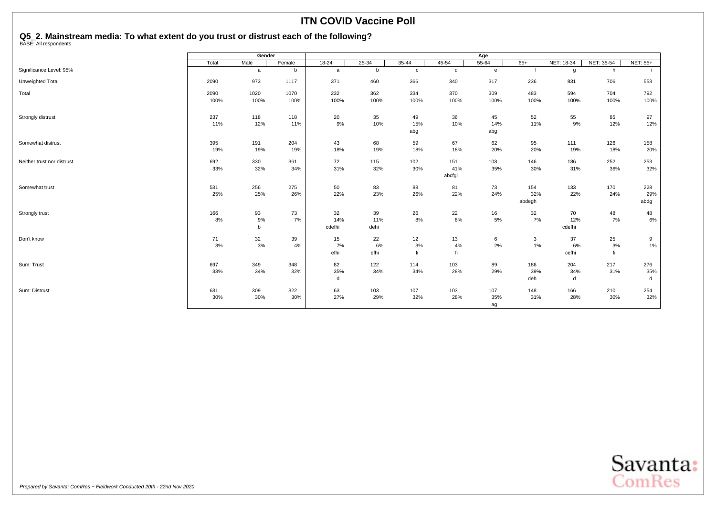## <span id="page-32-0"></span>**Q5\_2. Mainstream media: To what extent do you trust or distrust each of the following?** BASE: All respondents

|                            |       | Gender       |        |              |           |              |        | Age          |        |            |            |          |
|----------------------------|-------|--------------|--------|--------------|-----------|--------------|--------|--------------|--------|------------|------------|----------|
|                            | Total | Male         | Female | $18 - 24$    | $25 - 34$ | $35 - 44$    | 45-54  | $55 - 64$    | $65+$  | NET: 18-34 | NET: 35-54 | NET: 55+ |
| Significance Level: 95%    |       | $\mathsf{a}$ | b      | $\mathsf{a}$ | b         | $\mathtt{C}$ | d      | $\mathbf{e}$ |        | g          | h          |          |
| Unweighted Total           | 2090  | 973          | 1117   | 371          | 460       | 366          | 340    | 317          | 236    | 831        | 706        | 553      |
| Total                      | 2090  | 1020         | 1070   | 232          | 362       | 334          | 370    | 309          | 483    | 594        | 704        | 792      |
|                            | 100%  | 100%         | 100%   | 100%         | 100%      | 100%         | 100%   | 100%         | 100%   | 100%       | 100%       | 100%     |
| Strongly distrust          | 237   | 118          | 118    | 20           | 35        | 49           | 36     | 45           | 52     | 55         | 85         | 97       |
|                            | 11%   | 12%          | 11%    | 9%           | 10%       | 15%          | 10%    | 14%          | 11%    | 9%         | 12%        | 12%      |
|                            |       |              |        |              |           | abg          |        | abg          |        |            |            |          |
| Somewhat distrust          | 395   | 191          | 204    | 43           | 68        | 59           | 67     | 62           | 95     | 111        | 126        | 158      |
|                            | 19%   | 19%          | 19%    | 18%          | 19%       | 18%          | 18%    | 20%          | 20%    | 19%        | 18%        | 20%      |
| Neither trust nor distrust | 692   | 330          | 361    | 72           | 115       | 102          | 151    | 108          | 146    | 186        | 252        | 253      |
|                            | 33%   | 32%          | 34%    | 31%          | 32%       | 30%          | 41%    | 35%          | 30%    | 31%        | 36%        | 32%      |
|                            |       |              |        |              |           |              | abcfgi |              |        |            |            |          |
| Somewhat trust             | 531   | 256          | 275    | 50           | 83        | 88           | 81     | 73           | 154    | 133        | 170        | 228      |
|                            | 25%   | 25%          | 26%    | 22%          | 23%       | 26%          | 22%    | 24%          | 32%    | 22%        | 24%        | 29%      |
|                            |       |              |        |              |           |              |        |              | abdegh |            |            | abdg     |
| Strongly trust             | 166   | 93           | 73     | 32           | 39        | 26           | 22     | 16           | 32     | 70         | 48         | 48       |
|                            | 8%    | 9%           | 7%     | 14%          | 11%       | 8%           | 6%     | 5%           | 7%     | 12%        | 7%         | $6\%$    |
|                            |       | $\mathbf b$  |        | cdefhi       | dehi      |              |        |              |        | cdefhi     |            |          |
| Don't know                 | 71    | 32           | 39     | 15           | 22        | 12           | 13     | 6            | 3      | 37         | 25         | 9        |
|                            | 3%    | 3%           | 4%     | 7%           | 6%        | 3%           | 4%     | 2%           | 1%     | 6%         | 3%         | 1%       |
|                            |       |              |        | efhi         | efhi      | fi           | fi     |              |        | cefhi      | fi         |          |
| Sum: Trust                 | 697   | 349          | 348    | 82           | 122       | 114          | 103    | 89           | 186    | 204        | 217        | 276      |
|                            | 33%   | 34%          | 32%    | 35%          | 34%       | 34%          | 28%    | 29%          | 39%    | 34%        | 31%        | 35%      |
|                            |       |              |        | d            |           |              |        |              | deh    | d          |            | d        |
| Sum: Distrust              | 631   | 309          | 322    | 63           | 103       | 107          | 103    | 107          | 148    | 166        | 210        | 254      |
|                            | 30%   | 30%          | 30%    | 27%          | 29%       | 32%          | 28%    | 35%          | 31%    | 28%        | 30%        | 32%      |
|                            |       |              |        |              |           |              |        | ag           |        |            |            |          |

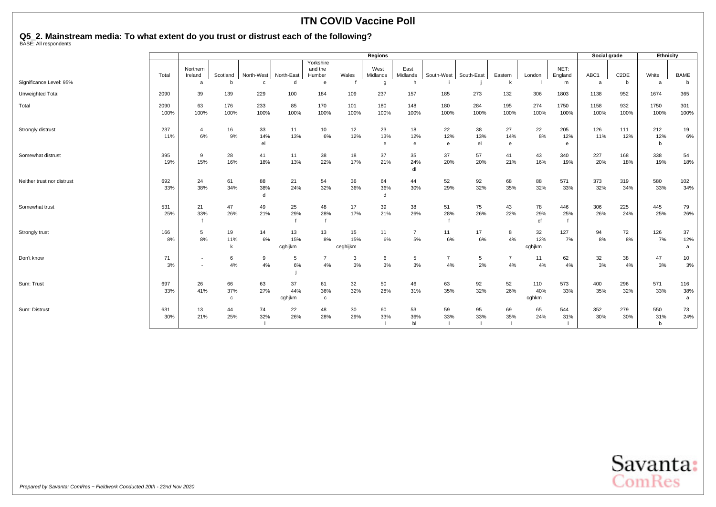## **Q5\_2. Mainstream media: To what extent do you trust or distrust each of the following?** BASE: All respondents

|                            |              |                                                      |                           |                 |                      |                                |                       | Regions                  |                      |                         |                 |                |                     |                 | Social grade |                   | Ethnicity                 |                 |
|----------------------------|--------------|------------------------------------------------------|---------------------------|-----------------|----------------------|--------------------------------|-----------------------|--------------------------|----------------------|-------------------------|-----------------|----------------|---------------------|-----------------|--------------|-------------------|---------------------------|-----------------|
|                            | Total        | Northern<br>Ireland                                  | Scotland                  | North-West      | North-East           | Yorkshire<br>and the<br>Humber | Wales                 | West<br>Midlands         | East<br>Midlands     | South-West              | South-East      | Eastern        | London              | NET:<br>England | ABC1         | C <sub>2</sub> DE | White                     | <b>BAME</b>     |
| Significance Level: 95%    |              | a                                                    | b                         | $\mathbf{c}$    | d                    | e                              |                       | g                        | h                    |                         |                 | k              |                     | m               | a            | b                 | a                         | $\mathbf b$     |
| Unweighted Total           | 2090         | 39                                                   | 139                       | 229             | 100                  | 184                            | 109                   | 237                      | 157                  | 185                     | 273             | 132            | 306                 | 1803            | 1138         | 952               | 1674                      | 365             |
| Total                      | 2090<br>100% | 63<br>100%                                           | 176<br>100%               | 233<br>100%     | 85<br>100%           | 170<br>100%                    | 101<br>100%           | 180<br>100%              | 148<br>100%          | 180<br>100%             | 284<br>100%     | 195<br>100%    | 274<br>100%         | 1750<br>100%    | 1158<br>100% | 932<br>100%       | 1750<br>100%              | 301<br>100%     |
| Strongly distrust          | 237<br>11%   | 4<br>6%                                              | 16<br>9%                  | 33<br>14%<br>el | 11<br>13%            | 10<br>6%                       | 12<br>12%             | 23<br>13%<br>e           | 18<br>12%<br>e       | 22<br>12%<br>$\epsilon$ | 38<br>13%<br>el | 27<br>14%<br>e | 22<br>8%            | 205<br>12%<br>e | 126<br>11%   | 111<br>12%        | 212<br>12%<br>b           | 19<br>6%        |
| Somewhat distrust          | 395<br>19%   | 9<br>15%                                             | 28<br>16%                 | 41<br>18%       | 11<br>13%            | 38<br>22%                      | 18<br>17%             | 37<br>21%                | 35<br>24%<br>dl      | 37<br>20%               | 57<br>20%       | 41<br>21%      | 43<br>16%           | 340<br>19%      | 227<br>20%   | 168<br>18%        | 338<br>19%                | 54<br>18%       |
| Neither trust nor distrust | 692<br>33%   | 24<br>38%                                            | 61<br>34%                 | 88<br>38%<br>d  | 21<br>24%            | 54<br>32%                      | 36<br>36%             | 64<br>36%<br>$\mathbf d$ | 44<br>30%            | 52<br>29%               | 92<br>32%       | 68<br>35%      | 88<br>32%           | 571<br>33%      | 373<br>32%   | 319<br>34%        | 580<br>33%                | 102<br>34%      |
| Somewhat trust             | 531<br>25%   | 21<br>33%                                            | 47<br>26%                 | 49<br>21%       | 25<br>29%            | 48<br>28%                      | 17<br>17%             | 39<br>21%                | 38<br>26%            | 51<br>28%               | 75<br>26%       | 43<br>22%      | 78<br>29%<br>cf     | 446<br>25%      | 306<br>26%   | 225<br>24%        | 445<br>25%                | 79<br>26%       |
| Strongly trust             | 166<br>8%    | 5<br>8%                                              | 19<br>11%<br>k            | 14<br>6%        | 13<br>15%<br>cghijkm | 13<br>8%                       | 15<br>15%<br>ceghijkm | 11<br>6%                 | $\overline{7}$<br>5% | 11<br>6%                | 17<br>6%        | 8<br>4%        | 32<br>12%<br>cghjkm | 127<br>7%       | 94<br>8%     | 72<br>8%          | 126<br>7%                 | 37<br>12%<br>a  |
| Don't know                 | 71<br>3%     | $\overline{\phantom{a}}$<br>$\overline{\phantom{a}}$ | 6<br>4%                   | 9<br>4%         | 5<br>6%              | $\overline{7}$<br>4%           | 3<br>3%               | 6<br>3%                  | 5<br>3%              | $\overline{7}$<br>4%    | 5<br>2%         | 4%             | 11<br>$4\%$         | 62<br>4%        | 32<br>3%     | 38<br>4%          | 47<br>3%                  | 10<br>3%        |
| Sum: Trust                 | 697<br>33%   | 26<br>41%                                            | 66<br>37%<br>$\mathbf{c}$ | 63<br>27%       | 37<br>44%<br>cghjkm  | 61<br>36%<br>C                 | 32<br>32%             | 50<br>28%                | 46<br>31%            | 63<br>35%               | 92<br>32%       | 52<br>26%      | 110<br>40%<br>cghkm | 573<br>33%      | 400<br>35%   | 296<br>32%        | 571<br>33%                | 116<br>38%<br>a |
| Sum: Distrust              | 631<br>30%   | 13<br>21%                                            | 44<br>25%                 | 74<br>32%       | 22<br>26%            | 48<br>28%                      | 30<br>29%             | 60<br>33%                | 53<br>36%<br>bl      | 59<br>33%               | 95<br>33%       | 69<br>35%      | 65<br>24%           | 544<br>31%      | 352<br>30%   | 279<br>30%        | 550<br>31%<br>$\mathbf b$ | 73<br>24%       |

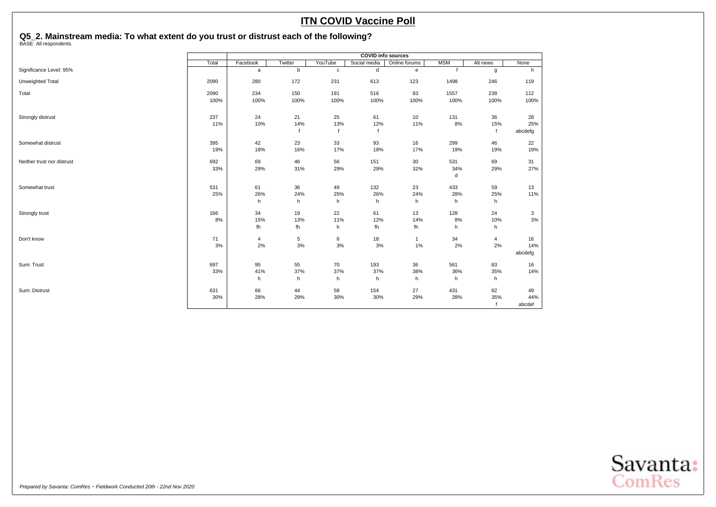## **Q5\_2. Mainstream media: To what extent do you trust or distrust each of the following?** BASE: All respondents

|                            | <b>COVID info sources</b> |          |         |              |              |               |            |              |         |  |  |
|----------------------------|---------------------------|----------|---------|--------------|--------------|---------------|------------|--------------|---------|--|--|
|                            | Total                     | Facebook | Twitter | YouTube      | Social media | Online forums | <b>MSM</b> | Alt news     | None    |  |  |
| Significance Level: 95%    |                           | a        | b       | $\mathbf c$  | d            | e             |            | g            | h       |  |  |
| Unweighted Total           | 2090                      | 280      | 172     | 231          | 613          | 123           | 1498       | 246          | 119     |  |  |
| Total                      | 2090                      | 234      | 150     | 191          | 516          | 93            | 1557       | 238          | 112     |  |  |
|                            | 100%                      | 100%     | 100%    | 100%         | 100%         | 100%          | 100%       | 100%         | 100%    |  |  |
| Strongly distrust          | 237                       | 24       | 21      | 25           | 61           | 10            | 131        | 36           | 28      |  |  |
|                            | 11%                       | 10%      | 14%     | 13%          | 12%          | 11%           | 8%         | 15%          | 25%     |  |  |
|                            |                           |          |         | $\mathbf{f}$ |              |               |            | $\mathbf{f}$ | abcdefg |  |  |
| Somewhat distrust          | 395                       | 42       | 23      | 33           | 93           | 16            | 299        | 46           | 22      |  |  |
|                            | 19%                       | 18%      | 16%     | 17%          | 18%          | 17%           | 19%        | 19%          | 19%     |  |  |
| Neither trust nor distrust | 692                       | 69       | 46      | 56           | 151          | 30            | 531        | 69           | 31      |  |  |
|                            | 33%                       | 29%      | 31%     | 29%          | 29%          | 32%           | 34%        | 29%          | 27%     |  |  |
|                            |                           |          |         |              |              |               | d          |              |         |  |  |
| Somewhat trust             | 531                       | 61       | 36      | 49           | 132          | 23            | 433        | 59           | 13      |  |  |
|                            | 25%                       | 26%      | 24%     | 25%          | 26%          | 24%           | 28%        | 25%          | 11%     |  |  |
|                            |                           | h        | h       | h            | h            | h             | h          | h            |         |  |  |
| Strongly trust             | 166                       | 34       | 19      | 22           | 61           | 13            | 128        | 24           | 3       |  |  |
|                            | 8%                        | 15%      | 13%     | 11%          | 12%          | 14%           | 8%         | 10%          | 3%      |  |  |
|                            |                           | fh       | fh      | h            | fh           | fh            | h          | h            |         |  |  |
| Don't know                 | 71                        | 4        | 5       | 6            | 18           | $\mathbf{1}$  | 34         | 4            | 16      |  |  |
|                            | 3%                        | 2%       | $3%$    | $3%$         | 3%           | 1%            | 2%         | 2%           | 14%     |  |  |
|                            |                           |          |         |              |              |               |            |              | abcdefg |  |  |
| Sum: Trust                 | 697                       | 95       | 55      | 70           | 193          | 36            | 561        | 83           | 16      |  |  |
|                            | 33%                       | 41%      | 37%     | 37%          | 37%          | 38%           | 36%        | 35%          | 14%     |  |  |
|                            |                           | h        | h       | h            | h            | h             | h          | h            |         |  |  |
| Sum: Distrust              | 631                       | 66       | 44      | 58           | 154          | 27            | 431        | 82           | 49      |  |  |
|                            | 30%                       | 28%      | 29%     | 30%          | 30%          | 29%           | 28%        | 35%          | 44%     |  |  |
|                            |                           |          |         |              |              |               |            |              | abcdef  |  |  |

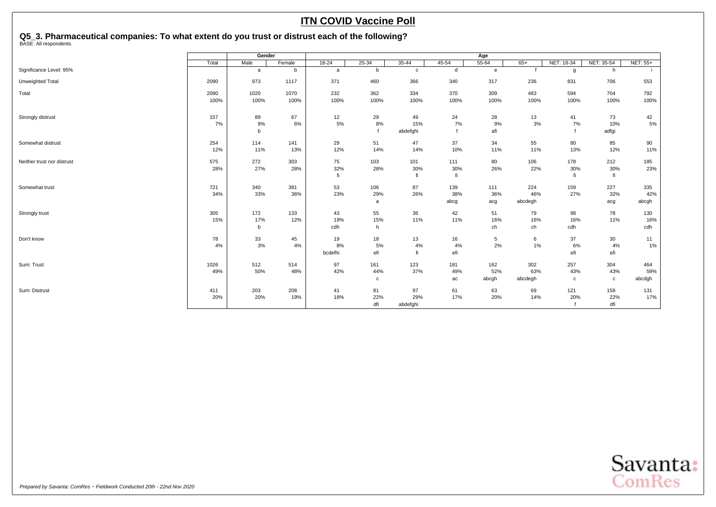## <span id="page-35-0"></span>**Q5\_3. Pharmaceutical companies: To what extent do you trust or distrust each of the following?** BASE: All respondents

|                            | Gender |      |        |           |           |              |       | Age             |         |             |             |          |
|----------------------------|--------|------|--------|-----------|-----------|--------------|-------|-----------------|---------|-------------|-------------|----------|
|                            | Total  | Male | Female | $18 - 24$ | $25 - 34$ | $35 - 44$    | 45-54 | $55 - 64$       | $65+$   | NET: 18-34  | NET: 35-54  | NET: 55+ |
| Significance Level: 95%    |        | a    | b      | a         | b         | $\mathbf{c}$ | d     | $\mathbf{e}$    |         | g           | h           |          |
| Unweighted Total           | 2090   | 973  | 1117   | 371       | 460       | 366          | 340   | 317             | 236     | 831         | 706         | 553      |
| Total                      | 2090   | 1020 | 1070   | 232       | 362       | 334          | 370   | 309             | 483     | 594         | 704         | 792      |
|                            | 100%   | 100% | 100%   | 100%      | 100%      | 100%         | 100%  | 100%            | 100%    | 100%        | 100%        | 100%     |
| Strongly distrust          | 157    | 89   | 67     | 12        | 29        | 49           | 24    | 28              | 13      | 41          | 73          | 42       |
|                            | 7%     | 9%   | 6%     | 5%        | 8%        | 15%          | 7%    | 9%              | 3%      | 7%          | 10%         | $5\%$    |
|                            |        | b    |        |           |           | abdefghi     |       | afi             |         |             | adfgi       |          |
| Somewhat distrust          | 254    | 114  | 141    | 29        | 51        | 47           | 37    | 34              | 55      | 80          | 85          | 90       |
|                            | 12%    | 11%  | 13%    | 12%       | 14%       | 14%          | 10%   | 11%             | 11%     | 13%         | 12%         | 11%      |
| Neither trust nor distrust | 575    | 272  | 303    | 75        | 103       | 101          | 111   | 80              | 106     | 178         | 212         | 185      |
|                            | 28%    | 27%  | 28%    | 32%       | 28%       | 30%          | 30%   | 26%             | 22%     | 30%         | 30%         | 23%      |
|                            |        |      |        | fi        |           | fi           | fi    |                 |         | fi          | fi          |          |
| Somewhat trust             | 721    | 340  | 381    | 53        | 106       | 87           | 139   | 111             | 224     | 159         | 227         | 335      |
|                            | 34%    | 33%  | 36%    | 23%       | 29%       | 26%          | 38%   | 36%             | 46%     | 27%         | 32%         | 42%      |
|                            |        |      |        |           | a         |              | abcg  | acg             | abcdegh |             | acg         | abcgh    |
| Strongly trust             | 305    | 172  | 133    | 43        | 55        | 36           | 42    | 51              | 79      | 98          | 78          | 130      |
|                            | 15%    | 17%  | 12%    | 19%       | 15%       | 11%          | 11%   | 16%             | 16%     | 16%         | 11%         | 16%      |
|                            |        | b    |        | cdh       | h         |              |       | ch              | ch      | cdh         |             | cdh      |
| Don't know                 | 78     | 33   | 45     | 19        | 18        | 13           | 16    | $5\phantom{.0}$ | 6       | 37          | 30          | 11       |
|                            | 4%     | 3%   | 4%     | 8%        | 5%        | 4%           | 4%    | 2%              | 1%      | 6%          | 4%          | 1%       |
|                            |        |      |        | bcdefhi   | efi       | fi           | efi   |                 |         | efi         | efi         |          |
| Sum: Trust                 | 1026   | 512  | 514    | 97        | 161       | 123          | 181   | 162             | 302     | 257         | 304         | 464      |
|                            | 49%    | 50%  | 48%    | 42%       | 44%       | 37%          | 49%   | 52%             | 63%     | 43%         | 43%         | 59%      |
|                            |        |      |        |           | c         |              | ac    | abcgh           | abcdegh | $\mathbf c$ | $\mathbf c$ | abcdgh   |
| Sum: Distrust              | 411    | 203  | 208    | 41        | 81        | 97           | 61    | 63              | 69      | 121         | 158         | 131      |
|                            | 20%    | 20%  | 19%    | 18%       | 22%       | 29%          | 17%   | 20%             | 14%     | 20%         | 22%         | 17%      |
|                            |        |      |        |           | dfi       | abdefghi     |       |                 |         |             | dfi         |          |

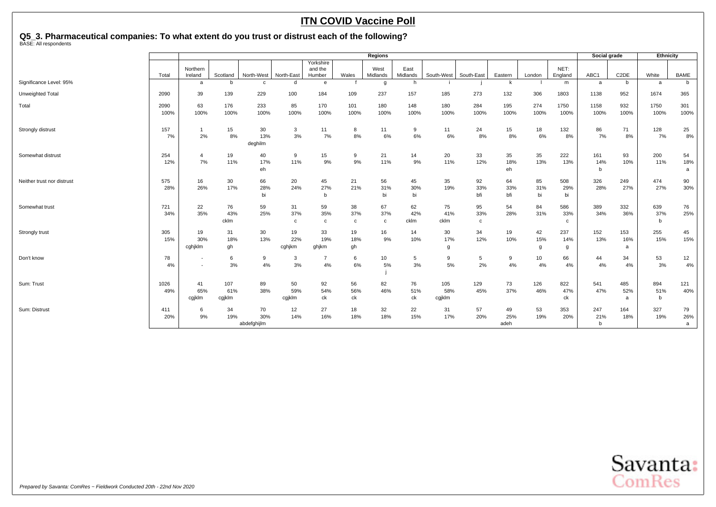**Q5\_3. Pharmaceutical companies: To what extent do you trust or distrust each of the following?** BASE: All respondents

|                            | <b>Regions</b> |                                                      |                      |                          |                           |                                |                           |                           |                   |                      | Social grade             |                   | Ethnicity       |                  |                 |                   |                 |                |
|----------------------------|----------------|------------------------------------------------------|----------------------|--------------------------|---------------------------|--------------------------------|---------------------------|---------------------------|-------------------|----------------------|--------------------------|-------------------|-----------------|------------------|-----------------|-------------------|-----------------|----------------|
|                            | Total          | Northern<br>Ireland                                  | Scotland             | North-West               | North-East                | Yorkshire<br>and the<br>Humber | Wales                     | West<br>Midlands          | East<br>Midlands  | South-West           | South-East               | Eastern           | London          | NET:<br>England  | ABC1            | C <sub>2</sub> DE | White           | <b>BAME</b>    |
| Significance Level: 95%    |                | a                                                    | b                    | $\mathbf{C}$             | d                         | e                              |                           | g                         | h                 |                      |                          | k                 |                 | m                | a               | b                 | a               | b              |
| Unweighted Total           | 2090           | 39                                                   | 139                  | 229                      | 100                       | 184                            | 109                       | 237                       | 157               | 185                  | 273                      | 132               | 306             | 1803             | 1138            | 952               | 1674            | 365            |
| Total                      | 2090<br>100%   | 63<br>100%                                           | 176<br>100%          | 233<br>100%              | 85<br>100%                | 170<br>100%                    | 101<br>100%               | 180<br>100%               | 148<br>100%       | 180<br>100%          | 284<br>100%              | 195<br>100%       | 274<br>100%     | 1750<br>100%     | 1158<br>100%    | 932<br>100%       | 1750<br>100%    | 301<br>100%    |
| Strongly distrust          | 157<br>7%      | $\overline{1}$<br>2%                                 | 15<br>8%             | 30<br>13%<br>deghilm     | 3<br>3%                   | 11<br>7%                       | 8<br>8%                   | 11<br>6%                  | 9<br>6%           | 11<br>6%             | 24<br>8%                 | 15<br>$8\%$       | 18<br>6%        | 132<br>8%        | 86<br>7%        | 71<br>8%          | 128<br>7%       | 25<br>8%       |
| Somewhat distrust          | 254<br>12%     | $\overline{a}$<br>7%                                 | 19<br>11%            | 40<br>17%<br>eh          | 9<br>11%                  | 15<br>9%                       | 9<br>9%                   | 21<br>11%                 | 14<br>9%          | 20<br>11%            | 33<br>12%                | 35<br>18%<br>eh   | 35<br>13%       | 222<br>13%       | 161<br>14%<br>b | 93<br>10%         | 200<br>11%      | 54<br>18%<br>a |
| Neither trust nor distrust | 575<br>28%     | 16<br>26%                                            | 30<br>17%            | 66<br>28%<br>bi          | 20<br>24%                 | 45<br>27%<br>b                 | 21<br>21%                 | 56<br>31%<br>bi           | 45<br>30%<br>bi   | 35<br>19%            | 92<br>33%<br>bfi         | 64<br>33%<br>bfi  | 85<br>31%<br>bi | 508<br>29%<br>bi | 326<br>28%      | 249<br>27%        | 474<br>27%      | 90<br>30%      |
| Somewhat trust             | 721<br>34%     | 22<br>35%                                            | 76<br>43%<br>cklm    | 59<br>25%                | 31<br>37%<br>$\mathbf{c}$ | 59<br>35%<br>$\mathbf c$       | 38<br>37%<br>$\mathbf{c}$ | 67<br>37%<br>$\mathtt{C}$ | 62<br>42%<br>cklm | 75<br>41%<br>cklm    | 95<br>33%<br>$\mathbf c$ | 54<br>28%         | 84<br>31%       | 586<br>33%<br>c  | 389<br>34%      | 332<br>36%        | 639<br>37%<br>h | 76<br>25%      |
| Strongly trust             | 305<br>15%     | 19<br>30%<br>cahiklm                                 | 31<br>18%<br>qh      | 30<br>13%                | 19<br>22%<br>cghjkm       | 33<br>19%<br>ghjkm             | 19<br>18%<br>gh           | 16<br>9%                  | 14<br>10%         | 30<br>17%<br>g       | 34<br>12%                | 19<br>10%         | 42<br>15%<br>g  | 237<br>14%<br>g  | 152<br>13%      | 153<br>16%<br>a   | 255<br>15%      | 45<br>15%      |
| Don't know                 | 78<br>4%       | $\overline{\phantom{a}}$<br>$\overline{\phantom{a}}$ | 6<br>3%              | 9<br>4%                  | 3<br>3%                   | $\overline{7}$<br>4%           | 6<br>6%                   | 10<br>5%                  | 5<br>3%           | 9<br>5%              | 5<br>2%                  | 9<br>4%           | 10<br>4%        | 66<br>4%         | 44<br>4%        | 34<br>4%          | 53<br>3%        | 12<br>4%       |
| Sum: Trust                 | 1026<br>49%    | 41<br>65%<br>cgjklm                                  | 107<br>61%<br>cgjklm | 89<br>38%                | 50<br>59%<br>cgjklm       | 92<br>54%<br>ck                | 56<br>56%<br>ck           | 82<br>46%                 | 76<br>51%<br>ck   | 105<br>58%<br>cgjklm | 129<br>45%               | 73<br>37%         | 126<br>46%      | 822<br>47%<br>ck | 541<br>47%      | 485<br>52%<br>a   | 894<br>51%<br>h | 121<br>40%     |
| Sum: Distrust              | 411<br>20%     | 6<br>9%                                              | 34<br>19%            | 70<br>30%<br>abdefghijlm | 12<br>14%                 | 27<br>16%                      | 18<br>18%                 | 32<br>18%                 | 22<br>15%         | 31<br>17%            | 57<br>20%                | 49<br>25%<br>adeh | 53<br>19%       | 353<br>20%       | 247<br>21%<br>b | 164<br>18%        | 327<br>19%      | 79<br>26%<br>a |

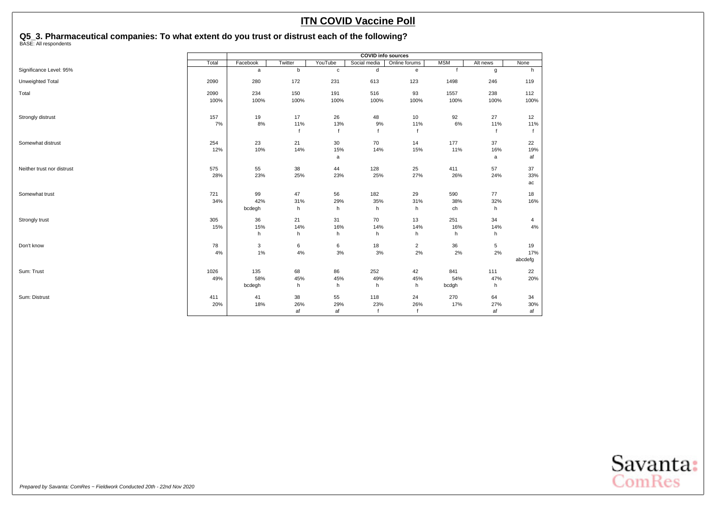## **Q5\_3. Pharmaceutical companies: To what extent do you trust or distrust each of the following?** BASE: All respondents

|                            | <b>COVID</b> info sources |          |         |              |              |                |             |          |             |
|----------------------------|---------------------------|----------|---------|--------------|--------------|----------------|-------------|----------|-------------|
|                            | Total                     | Facebook | Twitter | YouTube      | Social media | Online forums  | <b>MSM</b>  | Alt news | None        |
| Significance Level: 95%    |                           | a        | b       | $\mathbf{C}$ | d            | e              | $\mathbf f$ | g        | h           |
| Unweighted Total           | 2090                      | 280      | 172     | 231          | 613          | 123            | 1498        | 246      | 119         |
| Total                      | 2090                      | 234      | 150     | 191          | 516          | 93             | 1557        | 238      | 112         |
|                            | 100%                      | 100%     | 100%    | 100%         | 100%         | 100%           | 100%        | 100%     | 100%        |
| Strongly distrust          | 157                       | 19       | 17      | 26           | 48           | 10             | 92          | 27       | 12          |
|                            | 7%                        | 8%       | 11%     | 13%          | 9%           | 11%            | 6%          | 11%      | 11%         |
|                            |                           |          |         |              | f            |                |             |          | $\mathbf f$ |
| Somewhat distrust          | 254                       | 23       | 21      | 30           | 70           | 14             | 177         | 37       | 22          |
|                            | 12%                       | 10%      | 14%     | 15%          | 14%          | 15%            | 11%         | 16%      | 19%         |
|                            |                           |          |         | a            |              |                |             | a        | af          |
| Neither trust nor distrust | 575                       | 55       | 38      | 44           | 128          | 25             | 411         | 57       | 37          |
|                            | 28%                       | 23%      | 25%     | 23%          | 25%          | 27%            | 26%         | 24%      | 33%         |
|                            |                           |          |         |              |              |                |             |          | ac          |
| Somewhat trust             | 721                       | 99       | 47      | 56           | 182          | 29             | 590         | 77       | 18          |
|                            | 34%                       | 42%      | 31%     | 29%          | 35%          | 31%            | 38%         | 32%      | 16%         |
|                            |                           | bcdegh   | h       | h            | h            | h              | ch          | h.       |             |
| Strongly trust             | 305                       | 36       | 21      | 31           | 70           | 13             | 251         | 34       | 4           |
|                            | 15%                       | 15%      | 14%     | 16%          | 14%          | 14%            | 16%         | 14%      | $4\%$       |
|                            |                           | h        | h       | h            | h            | h              | h           | h        |             |
| Don't know                 | 78                        | 3        | 6       | 6            | 18           | $\overline{2}$ | 36          | 5        | 19          |
|                            | 4%                        | 1%       | 4%      | 3%           | 3%           | 2%             | 2%          | 2%       | 17%         |
|                            |                           |          |         |              |              |                |             |          | abcdefg     |
| Sum: Trust                 | 1026                      | 135      | 68      | 86           | 252          | 42             | 841         | 111      | 22          |
|                            | 49%                       | 58%      | 45%     | 45%          | 49%          | 45%            | 54%         | 47%      | 20%         |
|                            |                           | bcdegh   | h       | h            | h            | h              | bcdgh       | h        |             |
| Sum: Distrust              | 411                       | 41       | 38      | 55           | 118          | 24             | 270         | 64       | 34          |
|                            | 20%                       | 18%      | 26%     | 29%          | 23%          | 26%            | 17%         | 27%      | 30%         |
|                            |                           |          | af      | af           | $\mathsf{f}$ |                |             | af       | af          |

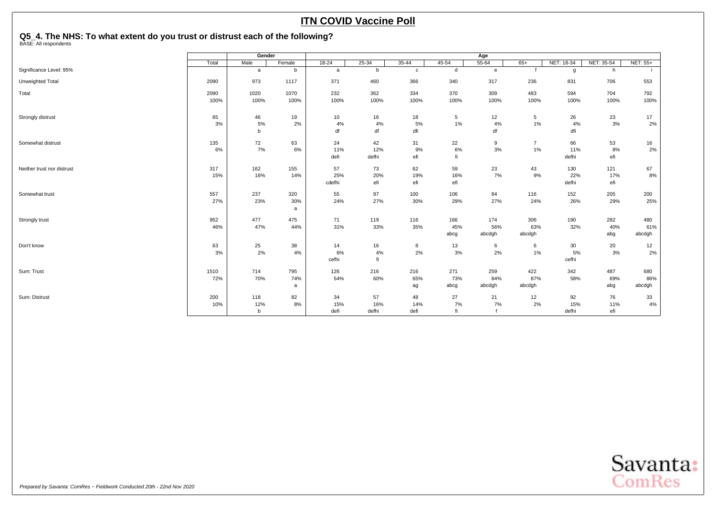## <span id="page-38-0"></span>**Q5\_4. The NHS: To what extent do you trust or distrust each of the following?** BASE: All respondents

|                            |       | Gender      |          |           |           |              |           | Age          |                |            |            |                 |
|----------------------------|-------|-------------|----------|-----------|-----------|--------------|-----------|--------------|----------------|------------|------------|-----------------|
|                            | Total | Male        | Female   | $18 - 24$ | $25 - 34$ | $35 - 44$    | $45 - 54$ | $55 - 64$    | $65+$          | NET: 18-34 | NET: 35-54 | <b>NET: 55+</b> |
| Significance Level: 95%    |       | a           | b        | a         | b         | $\mathbf{c}$ | d         | $\mathbf{e}$ |                | g          | h          |                 |
| Unweighted Total           | 2090  | 973         | 1117     | 371       | 460       | 366          | 340       | 317          | 236            | 831        | 706        | 553             |
| Total                      | 2090  | 1020        | 1070     | 232       | 362       | 334          | 370       | 309          | 483            | 594        | 704        | 792             |
|                            | 100%  | 100%        | 100%     | 100%      | 100%      | 100%         | 100%      | 100%         | 100%           | 100%       | 100%       | 100%            |
| Strongly distrust          | 65    | 46          | 19       | 10        | 16        | 18           | 5         | 12           | 5              | 26         | 23         | 17              |
|                            | 3%    | 5%          | 2%       | 4%        | 4%        | 5%           | 1%        | 4%           | $1\%$          | 4%         | 3%         | 2%              |
|                            |       | $\mathbf b$ |          | df        | df        | dfi          |           | df           |                | dfi        |            |                 |
| Somewhat distrust          | 135   | 72          | 63       | 24        | 42        | 31           | 22        | 9            | $\overline{7}$ | 66         | 53         | 16              |
|                            | 6%    | 7%          | 6%       | 11%       | 12%       | 9%           | 6%        | 3%           | $1\%$          | 11%        | 8%         | 2%              |
|                            |       |             |          | defi      | defhi     | efi          | fi        |              |                | defhi      | efi        |                 |
| Neither trust nor distrust | 317   | 162         | 155      | 57        | 73        | 62           | 59        | 23           | 43             | 130        | 121        | 67              |
|                            | 15%   | 16%         | 14%      | 25%       | 20%       | 19%          | 16%       | 7%           | 9%             | 22%        | 17%        | 8%              |
|                            |       |             |          | cdefhi    | efi       | efi          | efi       |              |                | defhi      | efi        |                 |
| Somewhat trust             | 557   | 237         | 320      | 55        | 97        | 100          | 106       | 84           | 116            | 152        | 205        | 200             |
|                            | 27%   | 23%         | 30%<br>a | 24%       | 27%       | 30%          | 29%       | 27%          | 24%            | 26%        | 29%        | 25%             |
| Strongly trust             | 952   | 477         | 475      | 71        | 119       | 116          | 166       | 174          | 306            | 190        | 282        | 480             |
|                            | 46%   | 47%         | 44%      | 31%       | 33%       | 35%          | 45%       | 56%          | 63%            | 32%        | 40%        | 61%             |
|                            |       |             |          |           |           |              | abcg      | abcdgh       | abcdgh         |            | abg        | abcdgh          |
| Don't know                 | 63    | 25          | 38       | 14        | 16        | 8            | 13        | 6            | 6              | 30         | 20         | 12              |
|                            | 3%    | 2%          | 4%       | 6%        | 4%        | 2%           | 3%        | 2%           | $1\%$          | 5%         | 3%         | 2%              |
|                            |       |             |          | cefhi     | fi        |              |           |              |                | cefhi      |            |                 |
| Sum: Trust                 | 1510  | 714         | 795      | 126       | 216       | 216          | 271       | 259          | 422            | 342        | 487        | 680             |
|                            | 72%   | 70%         | 74%      | 54%       | 60%       | 65%          | 73%       | 84%          | 87%            | 58%        | 69%        | 86%             |
|                            |       |             | a        |           |           | ag           | abcg      | abcdgh       | abcdgh         |            | abg        | abcdgh          |
| Sum: Distrust              | 200   | 118         | 82       | 34        | 57        | 48           | 27        | 21           | 12             | 92         | 76         | 33              |
|                            | 10%   | 12%         | 8%       | 15%       | 16%       | 14%          | 7%        | 7%           | 2%             | 15%        | 11%        | 4%              |
|                            |       | $\mathbf b$ |          | defi      | defhi     | defi         | fi        |              |                | defhi      | efi        |                 |

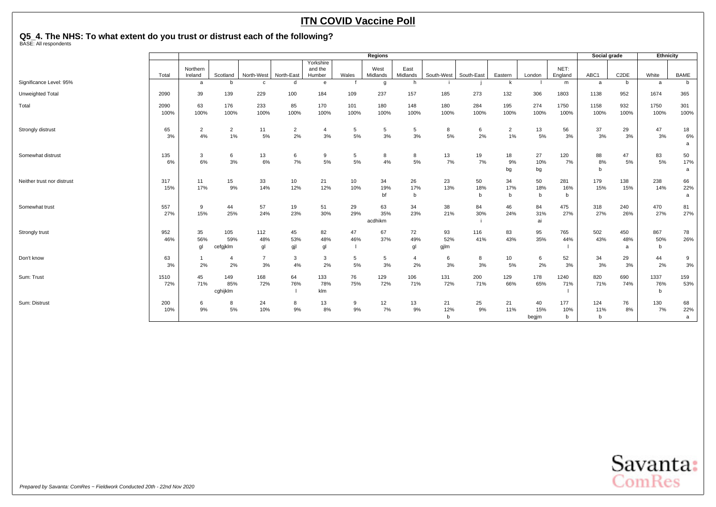## **Q5\_4. The NHS: To what extent do you trust or distrust each of the following?** BASE: All respondents

|                            |              |                     |                 |                |                |                                |             | Regions          |                     |             |             |                |              |                 | Social grade        |                   | Ethnicity    |             |
|----------------------------|--------------|---------------------|-----------------|----------------|----------------|--------------------------------|-------------|------------------|---------------------|-------------|-------------|----------------|--------------|-----------------|---------------------|-------------------|--------------|-------------|
|                            | Total        | Northern<br>Ireland | Scotland        | North-West     | North-East     | Yorkshire<br>and the<br>Humber | Wales       | West<br>Midlands | East<br>Midlands    | South-West  | South-East  | Eastern        | London       | NET:<br>England | ABC1                | C <sub>2</sub> DE | White        | <b>BAME</b> |
| Significance Level: 95%    |              | a                   | h               | $\mathbf{c}$   | d              | e                              |             | g                | h.                  |             |             | k              |              | m               | a                   | b                 | a            | b           |
| Unweighted Total           | 2090         | 39                  | 139             | 229            | 100            | 184                            | 109         | 237              | 157                 | 185         | 273         | 132            | 306          | 1803            | 1138                | 952               | 1674         | 365         |
| Total                      | 2090<br>100% | 63<br>100%          | 176<br>100%     | 233<br>100%    | 85             | 170                            | 101<br>100% | 180              | 148<br>100%         | 180<br>100% | 284<br>100% | 195<br>100%    | 274          | 1750            | 1158<br>100%        | 932<br>100%       | 1750<br>100% | 301         |
|                            |              |                     |                 |                | 100%           | 100%                           |             | 100%             |                     |             |             |                | 100%         | 100%            |                     |                   |              | 100%        |
| Strongly distrust          | 65           | $\overline{2}$      | $\overline{2}$  | 11             | $\overline{2}$ | $\overline{4}$                 | 5           | 5                | 5                   | 8           | 6           | $\overline{2}$ | 13           | 56              | 37                  | 29                | 47           | 18          |
|                            | 3%           | 4%                  | 1%              | 5%             | 2%             | 3%                             | 5%          | 3%               | 3%                  | 5%          | 2%          | 1%             | 5%           | 3%              | 3%                  | 3%                | 3%           | 6%<br>a     |
| Somewhat distrust          | 135          | 3                   | 6               | 13             | 6              | 9                              | 5           | 8                | 8                   | 13          | 19          | 18             | 27           | 120             | 88                  | 47                | 83           | 50          |
|                            | 6%           | 6%                  | 3%              | 6%             | 7%             | 5%                             | 5%          | 4%               | 5%                  | 7%          | 7%          | 9%<br>bg       | 10%<br>bg    | 7%              | 8%<br>b             | 5%                | 5%           | 17%<br>a    |
| Neither trust nor distrust | 317          | 11                  | 15              | 33             | 10             | 21                             | 10          | 34               | 26                  | 23          | 50          | 34             | 50           | 281             | 179                 | 138               | 238          | 66          |
|                            | 15%          | 17%                 | 9%              | 14%            | 12%            | 12%                            | 10%         | 19%<br>bf        | 17%<br><sub>b</sub> | 13%         | 18%<br>b    | 17%<br>b       | 18%<br>b     | 16%<br>b        | 15%                 | 15%               | 14%          | 22%<br>a    |
| Somewhat trust             | 557          | 9                   | 44              | 57             | 19             | 51                             | 29          | 63               | 34                  | 38          | 84          | 46             | 84           | 475             | 318                 | 240               | 470          | 81          |
|                            | 27%          | 15%                 | 25%             | 24%            | 23%            | 30%                            | 29%         | 35%<br>acdhikm   | 23%                 | 21%         | 30%         | 24%            | 31%<br>ai    | 27%             | 27%                 | 26%               | 27%          | 27%         |
| Strongly trust             | 952          | 35                  | 105             | 112            | 45             | 82                             | 47          | 67               | 72                  | 93          | 116         | 83             | 95           | 765             | 502                 | 450               | 867          | 78          |
|                            | 46%          | 56%<br>gl           | 59%<br>cefgjklm | 48%<br>gl      | 53%<br>gjl     | 48%<br>gl                      | 46%         | 37%              | 49%<br>gl           | 52%<br>gjlm | 41%         | 43%            | 35%          | 44%             | 43%                 | 48%<br>a          | 50%<br>b     | 26%         |
| Don't know                 | 63           |                     | $\overline{a}$  | $\overline{7}$ | 3              | 3                              | 5           | 5                | $\overline{a}$      | 6           | 8           | 10             | 6            | 52              | 34                  | 29                | 44           | 9           |
|                            | 3%           | 2%                  | 2%              | 3%             | 4%             | 2%                             | 5%          | 3%               | 2%                  | 3%          | 3%          | 5%             | 2%           | 3%              | 3%                  | 3%                | 2%           | 3%          |
| Sum: Trust                 | 1510         | 45                  | 149             | 168            | 64             | 133                            | 76          | 129              | 106                 | 131         | 200         | 129            | 178          | 1240            | 820                 | 690               | 1337         | 159         |
|                            | 72%          | 71%                 | 85%<br>cghijklm | 72%            | 76%            | 78%<br>klm                     | 75%         | 72%              | 71%                 | 72%         | 71%         | 66%            | 65%          | 71%             | 71%                 | 74%               | 76%<br>b     | 53%         |
| Sum: Distrust              | 200          | 6                   | 8               | 24             | 8              | 13                             | 9           | 12               | 13                  | 21          | 25          | 21             | 40           | 177             | 124                 | 76                | 130          | 68          |
|                            | 10%          | 9%                  | 5%              | 10%            | 9%             | 8%                             | 9%          | 7%               | 9%                  | 12%<br>b    | 9%          | 11%            | 15%<br>begjm | 10%<br>b        | 11%<br>$\mathsf{b}$ | 8%                | 7%           | 22%<br>a    |
|                            |              |                     |                 |                |                |                                |             |                  |                     |             |             |                |              |                 |                     |                   |              |             |

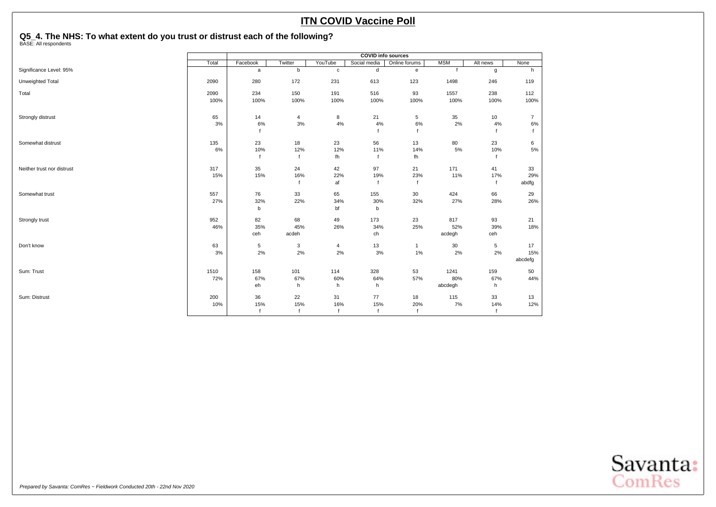## **Q5\_4. The NHS: To what extent do you trust or distrust each of the following?** BASE: All respondents

|                            |       |              |             |              | <b>COVID info sources</b> |                                   |              |          |                |
|----------------------------|-------|--------------|-------------|--------------|---------------------------|-----------------------------------|--------------|----------|----------------|
|                            | Total | Facebook     | Twitter     | YouTube      | Social media              | Online forums                     | <b>MSM</b>   | Alt news | None           |
| Significance Level: 95%    |       | $\mathsf{a}$ | b           | $\mathbf c$  | d                         | $\mathsf{e}% _{t}\left( t\right)$ | $\mathbf{f}$ | g        | h              |
| Unweighted Total           | 2090  | 280          | 172         | 231          | 613                       | 123                               | 1498         | 246      | 119            |
| Total                      | 2090  | 234          | 150         | 191          | 516                       | 93                                | 1557         | 238      | 112            |
|                            | 100%  | 100%         | 100%        | 100%         | 100%                      | 100%                              | 100%         | 100%     | 100%           |
| Strongly distrust          | 65    | 14           | 4           | 8            | 21                        | 5                                 | 35           | 10       | $\overline{7}$ |
|                            | 3%    | 6%           | $3%$        | 4%           | 4%                        | 6%                                | 2%           | 4%       | 6%             |
|                            |       |              |             |              |                           |                                   |              |          |                |
| Somewhat distrust          | 135   | 23           | 18          | 23           | 56                        | 13                                | 80           | 23       | 6              |
|                            | 6%    | 10%          | 12%         | 12%          | 11%                       | 14%                               | 5%           | 10%      | 5%             |
|                            |       | $\mathbf{f}$ | $\mathbf f$ | fh           | $\mathsf{f}$              | fh                                |              |          |                |
| Neither trust nor distrust | 317   | 35           | 24          | 42           | 97                        | 21                                | 171          | 41       | 33             |
|                            | 15%   | 15%          | 16%         | 22%          | 19%                       | 23%                               | 11%          | 17%      | 29%            |
|                            |       |              |             | af           | $\mathbf{f}$              | $\mathbf{f}$                      |              |          | abdfg          |
| Somewhat trust             | 557   | 76           | 33          | 65           | 155                       | 30                                | 424          | 66       | 29             |
|                            | 27%   | 32%          | 22%         | 34%          | 30%                       | 32%                               | 27%          | 28%      | 26%            |
|                            |       | b            |             | bf           | b                         |                                   |              |          |                |
| Strongly trust             | 952   | 82           | 68          | 49           | 173                       | 23                                | 817          | 93       | 21             |
|                            | 46%   | 35%          | 45%         | 26%          | 34%                       | 25%                               | 52%          | 39%      | 18%            |
|                            |       | ceh          | acdeh       |              | ch                        |                                   | acdegh       | ceh      |                |
| Don't know                 | 63    | $\,$ 5 $\,$  | 3           | 4            | 13                        | $\mathbf{1}$                      | $30\,$       | 5        | 17             |
|                            | 3%    | 2%           | 2%          | 2%           | 3%                        | $1\%$                             | 2%           | 2%       | 15%            |
|                            |       |              |             |              |                           |                                   |              |          | abcdefg        |
| Sum: Trust                 | 1510  | 158          | 101         | 114          | 328                       | 53                                | 1241         | 159      | 50             |
|                            | 72%   | 67%          | 67%         | 60%          | 64%                       | 57%                               | 80%          | 67%      | 44%            |
|                            |       | eh           | h           | h            | h                         |                                   | abcdegh      | h        |                |
| Sum: Distrust              | 200   | 36           | 22          | 31           | 77                        | 18                                | 115          | 33       | 13             |
|                            | 10%   | 15%          | 15%         | 16%          | 15%                       | 20%                               | 7%           | 14%      | 12%            |
|                            |       | f            |             | $\mathsf{f}$ | $\mathbf{f}$              | $\mathbf{f}$                      |              |          |                |

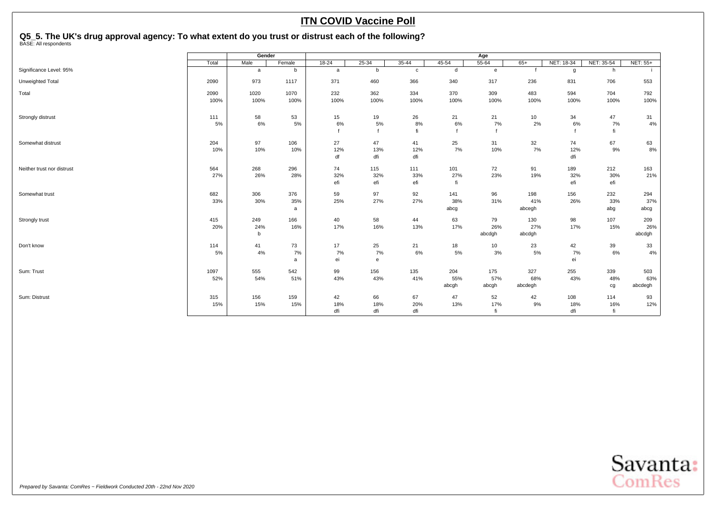## <span id="page-41-0"></span>**Q5\_5. The UK's drug approval agency: To what extent do you trust or distrust each of the following?** BASE: All respondents

|                            |             | Gender     |            |           |            |              |              | Age          |            |            |            |                 |
|----------------------------|-------------|------------|------------|-----------|------------|--------------|--------------|--------------|------------|------------|------------|-----------------|
|                            | Total       | Male       | Female     | $18 - 24$ | $25 - 34$  | $35 - 44$    | $45 - 54$    | $55 - 64$    | $65+$      | NET: 18-34 | NET: 35-54 | <b>NET: 55+</b> |
| Significance Level: 95%    |             | a          | b          | a         | b          | $\mathbf{c}$ | $\mathsf{d}$ | $\mathbf{e}$ |            | g          | h          |                 |
| Unweighted Total           | 2090        | 973        | 1117       | 371       | 460        | 366          | 340          | 317          | 236        | 831        | 706        | 553             |
| Total                      | 2090        | 1020       | 1070       | 232       | 362        | 334          | 370          | 309          | 483        | 594        | 704        | 792             |
|                            | 100%        | 100%       | 100%       | 100%      | 100%       | 100%         | 100%         | 100%         | 100%       | 100%       | 100%       | 100%            |
| Strongly distrust          | 111         | 58         | 53         | 15        | 19         | 26           | 21           | 21           | 10         | 34         | 47         | 31              |
|                            | 5%          | 6%         | 5%         | 6%        | 5%         | $8\%$<br>fi  | 6%           | 7%           | 2%         | 6%         | 7%<br>fi   | 4%              |
|                            |             |            |            |           |            |              |              |              |            |            |            |                 |
| Somewhat distrust          | 204         | 97         | 106        | 27        | 47         | 41           | 25           | 31           | 32         | 74         | 67         | 63              |
|                            | 10%         | 10%        | 10%        | 12%<br>df | 13%<br>dfi | 12%<br>dfi   | 7%           | 10%          | 7%         | 12%<br>dfi | 9%         | $8\%$           |
|                            |             |            |            |           |            |              |              |              |            |            |            |                 |
| Neither trust nor distrust | 564<br>27%  | 268<br>26% | 296<br>28% | 74<br>32% | 115<br>32% | 111<br>33%   | 101<br>27%   | 72<br>23%    | 91<br>19%  | 189<br>32% | 212<br>30% | 163<br>21%      |
|                            |             |            |            | efi       | efi        | efi          | fi           |              |            | efi        | efi        |                 |
| Somewhat trust             | 682         | 306        | 376        | 59        | 97         | 92           | 141          | 96           | 198        | 156        | 232        | 294             |
|                            | 33%         | 30%        | 35%        | 25%       | 27%        | 27%          | 38%          | 31%          | 41%        | 26%        | 33%        | 37%             |
|                            |             |            | a          |           |            |              | abcg         |              | abcegh     |            | abg        | abcg            |
| Strongly trust             | 415         | 249        | 166        | 40        | 58         | 44           | 63           | 79           | 130        | 98         | 107        | 209             |
|                            | 20%         | 24%        | 16%        | 17%       | 16%        | 13%          | 17%          | 26%          | 27%        | 17%        | 15%        | 26%             |
|                            |             | b          |            |           |            |              |              | abcdgh       | abcdgh     |            |            | abcdgh          |
| Don't know                 | 114         | 41         | 73         | 17        | 25         | 21           | 18           | 10           | 23         | 42         | 39         | 33              |
|                            | 5%          | 4%         | 7%<br>a    | 7%<br>ei  | 7%<br>e    | 6%           | 5%           | 3%           | 5%         | 7%<br>ei   | 6%         | 4%              |
|                            |             |            |            |           |            |              |              |              |            |            |            |                 |
| Sum: Trust                 | 1097<br>52% | 555<br>54% | 542<br>51% | 99<br>43% | 156<br>43% | 135<br>41%   | 204<br>55%   | 175<br>57%   | 327<br>68% | 255<br>43% | 339<br>48% | 503<br>63%      |
|                            |             |            |            |           |            |              | abcgh        | abcgh        | abcdegh    |            | cg         | abcdegh         |
| Sum: Distrust              | 315         | 156        | 159        | 42        | 66         | 67           | 47           | 52           | 42         | 108        | 114        | 93              |
|                            | 15%         | 15%        | 15%        | 18%       | 18%        | 20%          | 13%          | 17%          | 9%         | 18%        | 16%        | 12%             |
|                            |             |            |            | dfi       | dfi        | dfi          |              | fi           |            | dfi        | fi         |                 |

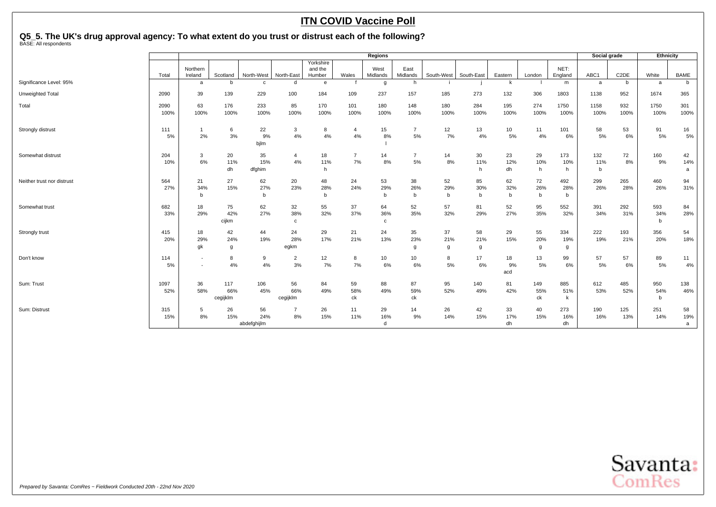**Q5\_5. The UK's drug approval agency: To what extent do you trust or distrust each of the following?** BASE: All respondents

|                            |              |                                                      |                        |                          |                          |                                |                      | <b>Regions</b>            |                           |                          |                |                  |                          |                  | Social grade |                   | Ethnicity       |                |
|----------------------------|--------------|------------------------------------------------------|------------------------|--------------------------|--------------------------|--------------------------------|----------------------|---------------------------|---------------------------|--------------------------|----------------|------------------|--------------------------|------------------|--------------|-------------------|-----------------|----------------|
|                            | Total        | Northern<br>Ireland                                  | Scotland               | North-West               | North-East               | Yorkshire<br>and the<br>Humber | Wales                | West<br>Midlands          | East<br>Midlands          | South-West               | South-East     | Eastern          | London                   | NET:<br>England  | ABC1         | C <sub>2</sub> DE | White           | BAME           |
| Significance Level: 95%    |              | a                                                    | <sub>b</sub>           | c                        | d                        | e                              |                      | g                         | h                         |                          |                | k                |                          | m                | a            | b                 | a               | b              |
| Unweighted Total           | 2090         | 39                                                   | 139                    | 229                      | 100                      | 184                            | 109                  | 237                       | 157                       | 185                      | 273            | 132              | 306                      | 1803             | 1138         | 952               | 1674            | 365            |
| Total                      | 2090<br>100% | 63<br>100%                                           | 176<br>100%            | 233<br>100%              | 85<br>100%               | 170<br>100%                    | 101<br>100%          | 180<br>100%               | 148<br>100%               | 180<br>100%              | 284<br>100%    | 195<br>100%      | 274<br>100%              | 1750<br>100%     | 1158<br>100% | 932<br>100%       | 1750<br>100%    | 301<br>100%    |
| Strongly distrust          | 111          | $\mathbf{1}$                                         | 6                      | 22                       | $\mathbf{3}$             | 8                              | $\overline{4}$       | 15                        | $\overline{7}$            | 12                       | 13             | 10 <sup>10</sup> | 11                       | 101              | 58           | 53                | 91              | 16             |
|                            | 5%           | 2%                                                   | 3%                     | 9%<br>bjlm               | 4%                       | 4%                             | 4%                   | 8%                        | 5%                        | 7%                       | 4%             | 5%               | 4%                       | 6%               | 5%           | 6%                | 5%              | 5%             |
| Somewhat distrust          | 204<br>10%   | 3<br>6%                                              | 20<br>11%              | 35<br>15%                | $\overline{4}$<br>4%     | 18<br>11%                      | $\overline{7}$<br>7% | 14<br>8%                  | $\overline{7}$<br>5%      | 14<br>8%                 | 30<br>11%      | 23<br>12%        | 29<br>10%                | 173<br>10%       | 132<br>11%   | 72<br>8%          | 160<br>9%       | 42<br>14%      |
|                            |              |                                                      | dh                     | dfghim                   |                          | h                              |                      |                           |                           |                          | h              | dh               | h                        | h                | b            |                   |                 | a              |
| Neither trust nor distrust | 564<br>27%   | 21<br>34%<br>b                                       | 27<br>15%              | 62<br>27%<br>$\mathbf b$ | 20<br>23%                | 48<br>28%<br>b                 | 24<br>24%            | 53<br>29%<br>$b$          | 38<br>26%<br>$\mathsf{b}$ | 52<br>29%<br>$\mathbf b$ | 85<br>30%<br>b | 62<br>32%<br>b   | 72<br>26%<br>$\mathbf b$ | 492<br>28%<br>b  | 299<br>26%   | 265<br>28%        | 460<br>26%      | 94<br>31%      |
| Somewhat trust             | 682<br>33%   | 18<br>29%                                            | 75<br>42%<br>cijkm     | 62<br>27%                | 32<br>38%<br>$\mathbf c$ | 55<br>32%                      | 37<br>37%            | 64<br>36%<br>$\mathbf{C}$ | 52<br>35%                 | 57<br>32%                | 81<br>29%      | 52<br>27%        | 95<br>35%                | 552<br>32%       | 391<br>34%   | 292<br>31%        | 593<br>34%<br>b | 84<br>28%      |
| Strongly trust             | 415<br>20%   | 18<br>29%<br>gk                                      | 42<br>24%<br>g         | 44<br>19%                | 24<br>28%<br>egkm        | 29<br>17%                      | 21<br>21%            | 24<br>13%                 | 35<br>23%<br>g            | 37<br>21%<br>g           | 58<br>21%<br>g | 29<br>15%        | 55<br>20%<br>g           | 334<br>19%<br>g  | 222<br>19%   | 193<br>21%        | 356<br>20%      | 54<br>18%      |
| Don't know                 | 114<br>5%    | $\overline{\phantom{a}}$<br>$\overline{\phantom{a}}$ | 8<br>4%                | 9<br>4%                  | $\overline{2}$<br>3%     | 12<br>7%                       | 8<br>7%              | 10<br>6%                  | 10<br>6%                  | 8<br>5%                  | 17<br>6%       | 18<br>9%<br>acd  | 13<br>5%                 | 99<br>6%         | 57<br>5%     | 57<br>6%          | 89<br>5%        | 11<br>4%       |
| Sum: Trust                 | 1097<br>52%  | 36<br>58%                                            | 117<br>66%<br>cegijklm | 106<br>45%               | 56<br>66%<br>cegijklm    | 84<br>49%                      | 59<br>58%<br>ck      | 88<br>49%                 | 87<br>59%<br>ck           | 95<br>52%                | 140<br>49%     | 81<br>42%        | 149<br>55%<br>ck         | 885<br>51%<br>k  | 612<br>53%   | 485<br>52%        | 950<br>54%<br>b | 138<br>46%     |
| Sum: Distrust              | 315<br>15%   | 5<br>8%                                              | 26<br>15%              | 56<br>24%<br>abdefghijlm | $\overline{7}$<br>8%     | 26<br>15%                      | 11<br>11%            | 29<br>16%<br>d            | 14<br>9%                  | 26<br>14%                | 42<br>15%      | 33<br>17%<br>dh  | 40<br>15%                | 273<br>16%<br>dh | 190<br>16%   | 125<br>13%        | 251<br>14%      | 58<br>19%<br>a |

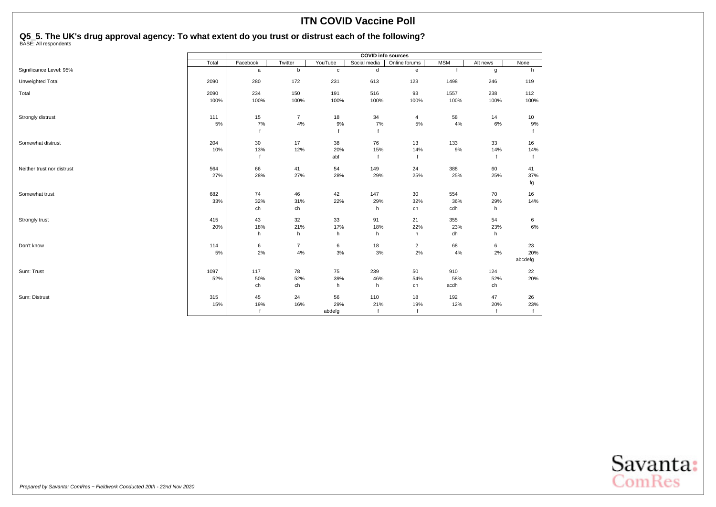## **Q5\_5. The UK's drug approval agency: To what extent do you trust or distrust each of the following?** BASE: All respondents

|                            |       |             |                |             | <b>COVID info sources</b> |                         |            |          |         |
|----------------------------|-------|-------------|----------------|-------------|---------------------------|-------------------------|------------|----------|---------|
|                            | Total | Facebook    | Twitter        | YouTube     | Social media              | Online forums           | <b>MSM</b> | Alt news | None    |
| Significance Level: 95%    |       | a           | b              | $\mathbf c$ | ${\sf d}$                 | $\mathbf{e}$            |            | g        | h       |
| Unweighted Total           | 2090  | 280         | 172            | 231         | 613                       | 123                     | 1498       | 246      | 119     |
| Total                      | 2090  | 234         | 150            | 191         | 516                       | 93                      | 1557       | 238      | 112     |
|                            | 100%  | 100%        | 100%           | 100%        | 100%                      | 100%                    | 100%       | 100%     | 100%    |
| Strongly distrust          | 111   | 15          | $\overline{7}$ | 18          | 34                        | 4                       | 58         | 14       | 10      |
|                            | 5%    | 7%          | 4%             | 9%          | 7%                        | $5\%$                   | 4%         | 6%       | 9%      |
|                            |       |             |                |             |                           |                         |            |          |         |
| Somewhat distrust          | 204   | 30          | 17             | 38          | 76                        | 13                      | 133        | 33       | 16      |
|                            | 10%   | 13%         | 12%            | 20%         | 15%                       | 14%                     | 9%         | 14%      | 14%     |
|                            |       | $\mathbf f$ |                | abf         | $\mathbf{f}$              | $\mathbf f$             |            |          |         |
| Neither trust nor distrust | 564   | 66          | 41             | 54          | 149                       | 24                      | 388        | 60       | 41      |
|                            | 27%   | 28%         | 27%            | 28%         | 29%                       | 25%                     | 25%        | 25%      | 37%     |
|                            |       |             |                |             |                           |                         |            |          | fg      |
| Somewhat trust             | 682   | 74          | 46             | 42          | 147                       | 30                      | 554        | 70       | 16      |
|                            | 33%   | 32%         | 31%            | 22%         | 29%                       | 32%                     | 36%        | 29%      | 14%     |
|                            |       | ch          | ch             |             | h                         | ch                      | cdh        | h        |         |
| Strongly trust             | 415   | 43          | 32             | 33          | 91                        | 21                      | 355        | 54       | 6       |
|                            | 20%   | 18%         | 21%            | 17%         | 18%                       | 22%                     | 23%        | 23%      | $6\%$   |
|                            |       | h           | h              | h           | h                         | h                       | dh         | h        |         |
| Don't know                 | 114   | 6           | $\overline{7}$ | 6           | 18                        | $\overline{\mathbf{c}}$ | 68         | 6        | 23      |
|                            | 5%    | 2%          | 4%             | 3%          | 3%                        | 2%                      | 4%         | 2%       | 20%     |
|                            |       |             |                |             |                           |                         |            |          | abcdefg |
| Sum: Trust                 | 1097  | 117         | 78             | 75          | 239                       | 50                      | 910        | 124      | 22      |
|                            | 52%   | 50%         | 52%            | 39%         | 46%                       | 54%                     | 58%        | 52%      | 20%     |
|                            |       | ch          | ch             | h           | h                         | ch                      | acdh       | ch       |         |
| Sum: Distrust              | 315   | 45          | 24             | 56          | 110                       | 18                      | 192        | 47       | 26      |
|                            | 15%   | 19%         | 16%            | 29%         | 21%                       | 19%                     | 12%        | 20%      | 23%     |
|                            |       | $\mathbf f$ |                | abdefg      | f                         | $\mathbf f$             |            |          | f       |

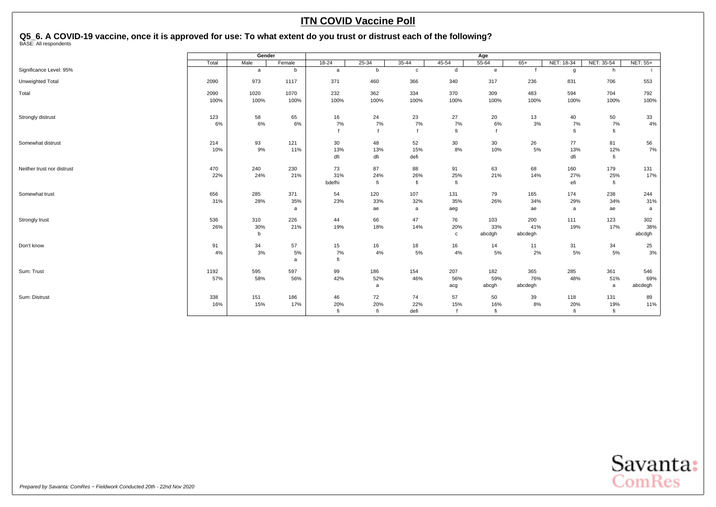## <span id="page-44-0"></span>**Q5\_6. A COVID-19 vaccine, once it is approved for use: To what extent do you trust or distrust each of the following?** BASE: All respondents

|                            |       | Gender      |        |           |           |              |                 | Age          |         |            |            |          |
|----------------------------|-------|-------------|--------|-----------|-----------|--------------|-----------------|--------------|---------|------------|------------|----------|
|                            | Total | Male        | Female | $18 - 24$ | $25 - 34$ | $35 - 44$    | $45 - 54$       | $55 - 64$    | $65+$   | NET: 18-34 | NET: 35-54 | NET: 55+ |
| Significance Level: 95%    |       | a           | b      | a         | b         | $\mathbf{c}$ | d               | $\mathbf{e}$ |         | g          | h          |          |
| Unweighted Total           | 2090  | 973         | 1117   | 371       | 460       | 366          | 340             | 317          | 236     | 831        | 706        | 553      |
| Total                      | 2090  | 1020        | 1070   | 232       | 362       | 334          | 370             | 309          | 483     | 594        | 704        | 792      |
|                            | 100%  | 100%        | 100%   | 100%      | 100%      | 100%         | 100%            | 100%         | 100%    | 100%       | 100%       | 100%     |
| Strongly distrust          | 123   | 58          | 65     | 16        | 24        | 23           | 27              | 20           | 13      | 40         | 50         | 33       |
|                            | 6%    | 6%          | 6%     | 7%        | 7%        | 7%           | 7%              | 6%           | 3%      | 7%         | 7%         | 4%       |
|                            |       |             |        |           |           |              | fi              |              |         | fi         | fi         |          |
| Somewhat distrust          | 214   | 93          | 121    | 30        | 48        | 52           | 30 <sup>°</sup> | 30           | 26      | 77         | 81         | 56       |
|                            | 10%   | 9%          | 11%    | 13%       | 13%       | 15%          | 8%              | 10%          | 5%      | 13%        | 12%        | 7%       |
|                            |       |             |        | dfi       | dfi       | defi         |                 |              |         | dfi        | fi         |          |
| Neither trust nor distrust | 470   | 240         | 230    | 73        | 87        | 88           | 91              | 63           | 68      | 160        | 179        | 131      |
|                            | 22%   | 24%         | 21%    | 31%       | 24%       | 26%          | 25%             | 21%          | 14%     | 27%        | 25%        | 17%      |
|                            |       |             |        | bdefhi    | fi        | fi           | fi              |              |         | efi        | fi         |          |
| Somewhat trust             | 656   | 285         | 371    | 54        | 120       | 107          | 131             | 79           | 165     | 174        | 238        | 244      |
|                            | 31%   | 28%         | 35%    | 23%       | 33%       | 32%          | 35%             | 26%          | 34%     | 29%        | 34%        | 31%      |
|                            |       |             | a      |           | ae        | a            | aeg             |              | ae      | a          | ae         | a        |
| Strongly trust             | 536   | 310         | 226    | 44        | 66        | 47           | 76              | 103          | 200     | 111        | 123        | 302      |
|                            | 26%   | 30%         | 21%    | 19%       | 18%       | 14%          | 20%             | 33%          | 41%     | 19%        | 17%        | 38%      |
|                            |       | $\mathsf b$ |        |           |           |              | $\mathtt{C}$    | abcdgh       | abcdegh |            |            | abcdgh   |
| Don't know                 | 91    | 34          | 57     | 15        | 16        | 18           | 16              | 14           | 11      | 31         | 34         | 25       |
|                            | 4%    | 3%          | 5%     | 7%        | 4%        | 5%           | 4%              | 5%           | 2%      | 5%         | 5%         | 3%       |
|                            |       |             | a      | fi        |           |              |                 |              |         |            |            |          |
| Sum: Trust                 | 1192  | 595         | 597    | 99        | 186       | 154          | 207             | 182          | 365     | 285        | 361        | 546      |
|                            | 57%   | 58%         | 56%    | 42%       | 52%       | 46%          | 56%             | 59%          | 76%     | 48%        | 51%        | 69%      |
|                            |       |             |        |           | a         |              | acg             | abcgh        | abcdegh |            | a          | abcdegh  |
| Sum: Distrust              | 338   | 151         | 186    | 46        | 72        | 74           | 57              | 50           | 39      | 118        | 131        | 89       |
|                            | 16%   | 15%         | 17%    | 20%       | 20%       | 22%          | 15%             | 16%          | 8%      | 20%        | 19%        | 11%      |
|                            |       |             |        | fi        | fi        | defi         |                 | fi           |         | fi         | fi         |          |

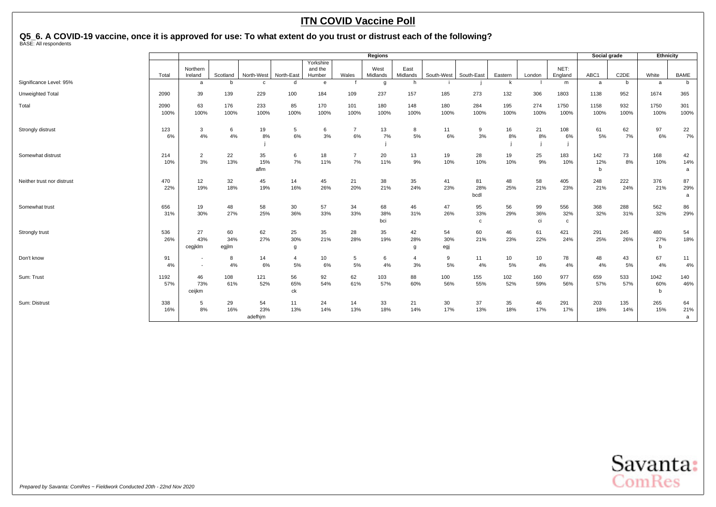## **Q5\_6. A COVID-19 vaccine, once it is approved for use: To what extent do you trust or distrust each of the following?** BASE: All respondents

|                            |              |                                                      |                    |                      |                      |                                |                      | <b>Regions</b>   |                  |                  |                           |             |                 |                 | Social grade    |                   | Ethnicity        |                |
|----------------------------|--------------|------------------------------------------------------|--------------------|----------------------|----------------------|--------------------------------|----------------------|------------------|------------------|------------------|---------------------------|-------------|-----------------|-----------------|-----------------|-------------------|------------------|----------------|
|                            | Total        | Northern<br>Ireland                                  | Scotland           | North-West           | North-East           | Yorkshire<br>and the<br>Humber | Wales                | West<br>Midlands | East<br>Midlands | South-West       | South-East                | Eastern     | London          | NET:<br>England | ABC1            | C <sub>2</sub> DE | White            | <b>BAME</b>    |
| Significance Level: 95%    |              | a                                                    | b                  | $\mathbf{c}$         | d                    | e                              |                      | g                | h                |                  |                           | k           |                 | m               | a               | b                 | a                | b              |
| Unweighted Total           | 2090         | 39                                                   | 139                | 229                  | 100                  | 184                            | 109                  | 237              | 157              | 185              | 273                       | 132         | 306             | 1803            | 1138            | 952               | 1674             | 365            |
| Total                      | 2090<br>100% | 63<br>100%                                           | 176<br>100%        | 233<br>100%          | 85<br>100%           | 170<br>100%                    | 101<br>100%          | 180<br>100%      | 148<br>100%      | 180<br>100%      | 284<br>100%               | 195<br>100% | 274<br>100%     | 1750<br>100%    | 1158<br>100%    | 932<br>100%       | 1750<br>100%     | 301<br>100%    |
| Strongly distrust          | 123<br>6%    | 3<br>4%                                              | 6<br>4%            | 19<br>8%             | 5<br>6%              | 6<br>3%                        | $\overline{7}$<br>6% | 13<br>7%         | 8<br>5%          | 11<br>6%         | 9<br>3%                   | 16<br>8%    | 21<br>8%        | 108<br>6%       | 61<br>5%        | 62<br>7%          | 97<br>6%         | 22<br>7%       |
| Somewhat distrust          | 214<br>10%   | $\overline{2}$<br>3%                                 | 22<br>13%          | 35<br>15%<br>aflm    | 6<br>7%              | 18<br>11%                      | $\overline{7}$<br>7% | 20<br>11%        | 13<br>9%         | 19<br>10%        | 28<br>10%                 | 19<br>10%   | 25<br>9%        | 183<br>10%      | 142<br>12%<br>b | 73<br>8%          | 168<br>10%       | 42<br>14%<br>a |
| Neither trust nor distrust | 470<br>22%   | 12<br>19%                                            | 32<br>18%          | 45<br>19%            | 14<br>16%            | 45<br>26%                      | 21<br>20%            | 38<br>21%        | 35<br>24%        | 41<br>23%        | 81<br>28%<br>bcdl         | 48<br>25%   | 58<br>21%       | 405<br>23%      | 248<br>21%      | 222<br>24%        | 376<br>21%       | 87<br>29%<br>a |
| Somewhat trust             | 656<br>31%   | 19<br>30%                                            | 48<br>27%          | 58<br>25%            | 30<br>36%            | 57<br>33%                      | 34<br>33%            | 68<br>38%<br>bci | 46<br>31%        | 47<br>26%        | 95<br>33%<br>$\mathtt{c}$ | 56<br>29%   | 99<br>36%<br>ci | 556<br>32%<br>c | 368<br>32%      | 288<br>31%        | 562<br>32%       | 86<br>29%      |
| Strongly trust             | 536<br>26%   | 27<br>43%<br>cegiklm                                 | 60<br>34%<br>egjlm | 62<br>27%            | 25<br>30%<br>g       | 35<br>21%                      | 28<br>28%            | 35<br>19%        | 42<br>28%<br>g   | 54<br>30%<br>egj | 60<br>21%                 | 46<br>23%   | 61<br>22%       | 421<br>24%      | 291<br>25%      | 245<br>26%        | 480<br>27%<br>b  | 54<br>18%      |
| Don't know                 | 91<br>4%     | $\overline{\phantom{a}}$<br>$\overline{\phantom{a}}$ | 8<br>4%            | 14<br>6%             | $\overline{4}$<br>5% | 10<br>6%                       | 5<br>5%              | 6<br>4%          | 4<br>3%          | 9<br>5%          | 11<br>4%                  | 10<br>5%    | 10<br>4%        | 78<br>4%        | 48<br>4%        | 43<br>5%          | 67<br>4%         | 11<br>4%       |
| Sum: Trust                 | 1192<br>57%  | 46<br>73%<br>ceijkm                                  | 108<br>61%         | 121<br>52%           | 56<br>65%<br>ck      | 92<br>54%                      | 62<br>61%            | 103<br>57%       | 88<br>60%        | 100<br>56%       | 155<br>55%                | 102<br>52%  | 160<br>59%      | 977<br>56%      | 659<br>57%      | 533<br>57%        | 1042<br>60%<br>n | 140<br>46%     |
| Sum: Distrust              | 338<br>16%   | 5<br>8%                                              | 29<br>16%          | 54<br>23%<br>adefhim | 11<br>13%            | 24<br>14%                      | 14<br>13%            | 33<br>18%        | 21<br>14%        | 30<br>17%        | 37<br>13%                 | 35<br>18%   | 46<br>17%       | 291<br>17%      | 203<br>18%      | 135<br>14%        | 265<br>15%       | 64<br>21%<br>a |

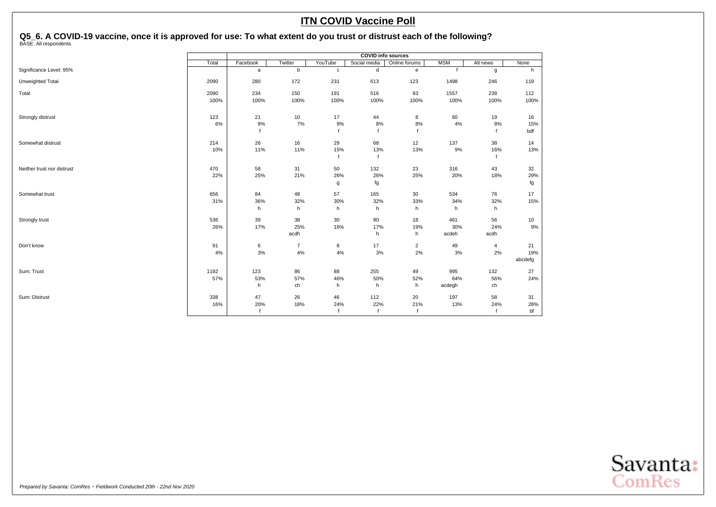## **Q5\_6. A COVID-19 vaccine, once it is approved for use: To what extent do you trust or distrust each of the following?** BASE: All respondents

|                            |       |          |                |             | <b>COVID</b> info sources |                |            |                |         |
|----------------------------|-------|----------|----------------|-------------|---------------------------|----------------|------------|----------------|---------|
|                            | Total | Facebook | Twitter        | YouTube     | Social media              | Online forums  | <b>MSM</b> | Alt news       | None    |
| Significance Level: 95%    |       | a        | b              | $\mathbf c$ | d                         | e              |            | g              | h       |
| Unweighted Total           | 2090  | 280      | 172            | 231         | 613                       | 123            | 1498       | 246            | 119     |
| Total                      | 2090  | 234      | 150            | 191         | 516                       | 93             | 1557       | 238            | 112     |
|                            | 100%  | 100%     | 100%           | 100%        | 100%                      | 100%           | 100%       | 100%           | 100%    |
| Strongly distrust          | 123   | 21       | 10             | 17          | 44                        | 8              | 60         | 19             | 16      |
|                            | 6%    | 9%       | 7%             | 9%          | 8%                        | 8%             | 4%         | 8%             | 15%     |
|                            |       |          |                |             |                           |                |            |                | bdf     |
| Somewhat distrust          | 214   | 26       | 16             | 29          | 68                        | 12             | 137        | 38             | 14      |
|                            | 10%   | 11%      | 11%            | 15%         | 13%                       | 13%            | 9%         | 16%            | 13%     |
|                            |       |          |                |             | f                         |                |            |                |         |
| Neither trust nor distrust | 470   | 58       | 31             | 50          | 132                       | 23             | 316        | 43             | 32      |
|                            | 22%   | 25%      | 21%            | 26%         | 26%                       | 25%            | 20%        | 18%            | 29%     |
|                            |       |          |                | g           | fg                        |                |            |                | fg      |
| Somewhat trust             | 656   | 84       | 48             | 57          | 165                       | 30             | 534        | 76             | 17      |
|                            | 31%   | 36%      | 32%            | 30%         | 32%                       | 33%            | 34%        | 32%            | 15%     |
|                            |       | h        | h              | h           | h                         | h              | h          | h              |         |
| Strongly trust             | 536   | 39       | 38             | 30          | 90                        | 18             | 461        | 56             | 10      |
|                            | 26%   | 17%      | 25%            | 16%         | 17%                       | 19%            | 30%        | 24%            | 9%      |
|                            |       |          | acdh           |             | h                         | h              | acdeh      | acdh           |         |
| Don't know                 | 91    | 6        | $\overline{7}$ | 8           | $17$                      | $\overline{2}$ | 49         | $\overline{4}$ | 21      |
|                            | 4%    | 3%       | 4%             | 4%          | 3%                        | $2\%$          | $3%$       | 2%             | 19%     |
|                            |       |          |                |             |                           |                |            |                | abcdefg |
| Sum: Trust                 | 1192  | 123      | 86             | 88          | 255                       | 49             | 995        | 132            | 27      |
|                            | 57%   | 53%      | 57%            | 46%         | 50%                       | 52%            | 64%        | 56%            | 24%     |
|                            |       | h        | ch             | h           | h                         | h              | acdegh     | ch             |         |
| Sum: Distrust              | 338   | 47       | 26             | 46          | 112                       | 20             | 197        | 58             | 31      |
|                            | 16%   | 20%      | 18%            | 24%         | 22%                       | 21%            | 13%        | 24%            | 28%     |
|                            |       |          |                |             |                           | $\mathsf{f}$   |            |                | bf      |

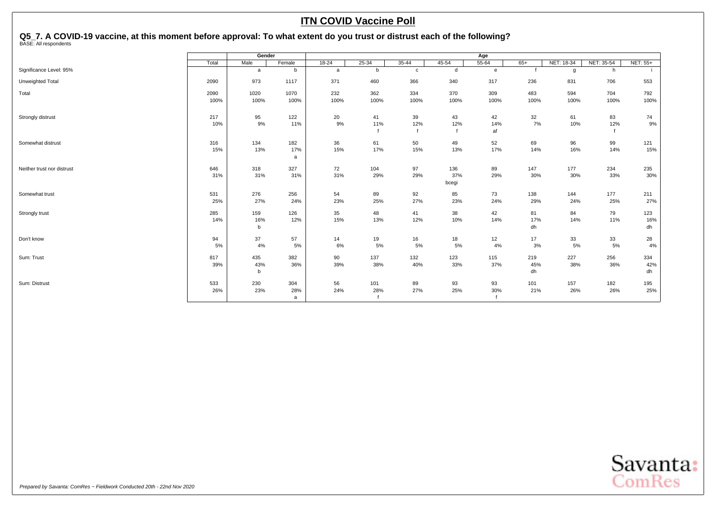## <span id="page-47-0"></span>Q5\_7. A COVID-19 vaccine, at this moment before approval: To what extent do you trust or distrust each of the following?<br><sup>BASE: All respondents</sup>

|                            | Gender<br>Male<br>Total<br>Female<br>b<br>a<br>2090<br>973<br>1117 |                           |                 |             |             |             |                     | Age             |                  |             |             |                  |
|----------------------------|--------------------------------------------------------------------|---------------------------|-----------------|-------------|-------------|-------------|---------------------|-----------------|------------------|-------------|-------------|------------------|
|                            |                                                                    |                           |                 | $18 - 24$   | $25 - 34$   | $35 - 44$   | $45 - 54$           | $55 - 64$       | $65+$            | NET: 18-34  | NET: 35-54  | <b>NET: 55+</b>  |
| Significance Level: 95%    |                                                                    |                           |                 | a           | b           | $\mathbf c$ | d                   | e               |                  | g           | h           |                  |
| Unweighted Total           |                                                                    |                           |                 | 371         | 460         | 366         | 340                 | 317             | 236              | 831         | 706         | 553              |
| Total                      | 2090<br>100%                                                       | 1020<br>100%              | 1070<br>100%    | 232<br>100% | 362<br>100% | 334<br>100% | 370<br>100%         | 309<br>100%     | 483<br>100%      | 594<br>100% | 704<br>100% | 792<br>100%      |
| Strongly distrust          | 217<br>10%                                                         | 95<br>9%                  | 122<br>11%      | 20<br>9%    | 41<br>11%   | 39<br>12%   | 43<br>12%           | 42<br>14%<br>af | 32<br>7%         | 61<br>10%   | 83<br>12%   | 74<br>$9\%$      |
| Somewhat distrust          | 316<br>15%                                                         | 134<br>13%                | 182<br>17%<br>a | 36<br>15%   | 61<br>17%   | 50<br>15%   | 49<br>13%           | 52<br>17%       | 69<br>14%        | 96<br>16%   | 99<br>14%   | 121<br>15%       |
| Neither trust nor distrust | 646<br>31%                                                         | 318<br>31%                | 327<br>31%      | 72<br>31%   | 104<br>29%  | 97<br>29%   | 136<br>37%<br>bcegi | 89<br>29%       | 147<br>30%       | 177<br>30%  | 234<br>33%  | 235<br>30%       |
| Somewhat trust             | 531<br>25%                                                         | 276<br>27%                | 256<br>24%      | 54<br>23%   | 89<br>25%   | 92<br>27%   | 85<br>23%           | 73<br>24%       | 138<br>29%       | 144<br>24%  | 177<br>25%  | 211<br>27%       |
| Strongly trust             | 285<br>14%                                                         | 159<br>16%<br>b           | 126<br>12%      | 35<br>15%   | 48<br>13%   | 41<br>12%   | 38<br>10%           | 42<br>14%       | 81<br>17%<br>dh  | 84<br>14%   | 79<br>11%   | 123<br>16%<br>dh |
| Don't know                 | 94<br>5%                                                           | 37<br>4%                  | 57<br>5%        | 14<br>6%    | 19<br>5%    | 16<br>5%    | 18<br>5%            | 12<br>4%        | 17<br>3%         | 33<br>5%    | 33<br>5%    | 28<br>4%         |
| Sum: Trust                 | 817<br>39%                                                         | 435<br>43%<br>$\mathbf b$ | 382<br>36%      | 90<br>39%   | 137<br>38%  | 132<br>40%  | 123<br>33%          | 115<br>37%      | 219<br>45%<br>dh | 227<br>38%  | 256<br>36%  | 334<br>42%<br>dh |
| Sum: Distrust              | 533<br>26%                                                         | 230<br>23%                | 304<br>28%<br>a | 56<br>24%   | 101<br>28%  | 89<br>27%   | 93<br>25%           | 93<br>30%       | 101<br>21%       | 157<br>26%  | 182<br>26%  | 195<br>25%       |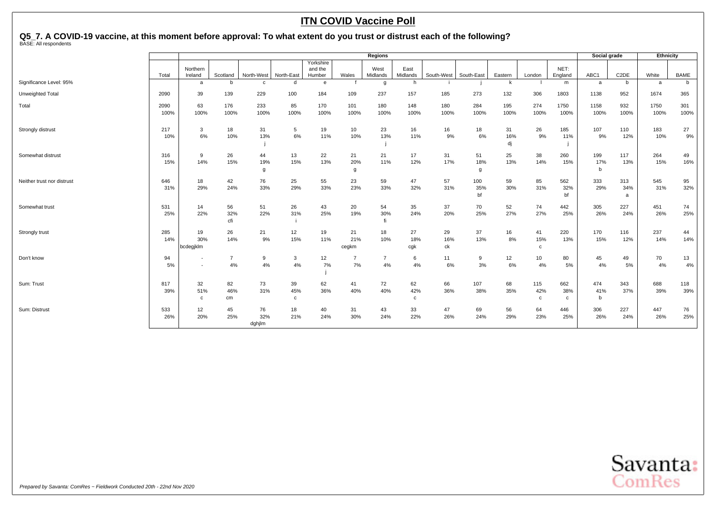## Q5\_7. A COVID-19 vaccine, at this moment before approval: To what extent do you trust or distrust each of the following?<br><sup>BASE: All respondents</sup>

|                            |          |                                    |                      |             |             |                                |                      | <b>Regions</b>       |                  |            |            |           |                     |                 | Social grade |                   | Ethnicity |             |
|----------------------------|----------|------------------------------------|----------------------|-------------|-------------|--------------------------------|----------------------|----------------------|------------------|------------|------------|-----------|---------------------|-----------------|--------------|-------------------|-----------|-------------|
|                            | Total    | Northern<br>Ireland                | Scotland             | North-West  | North-East  | Yorkshire<br>and the<br>Humber | Wales                | West<br>Midlands     | East<br>Midlands | South-West | South-East | Eastern   | London              | NET:<br>England | ABC1         | C <sub>2</sub> DE | White     | <b>BAME</b> |
| Significance Level: 95%    |          | a                                  |                      | $\mathbf c$ | h           | $\mathbf{e}$                   |                      | g                    | h                |            |            | k         |                     | m               | a            | b                 | a         | b           |
| Unweighted Total           | 2090     | 39                                 | 139                  | 229         | 100         | 184                            | 109                  | 237                  | 157              | 185        | 273        | 132       | 306                 | 1803            | 1138         | 952               | 1674      | 365         |
| Total                      | 2090     | 63                                 | 176                  | 233         | 85          | 170                            | 101                  | 180                  | 148              | 180        | 284        | 195       | 274                 | 1750            | 1158         | 932               | 1750      | 301         |
|                            | 100%     | 100%                               | 100%                 | 100%        | 100%        | 100%                           | 100%                 | 100%                 | 100%             | 100%       | 100%       | 100%      | 100%                | 100%            | 100%         | 100%              | 100%      | 100%        |
| Strongly distrust          | 217      | 3                                  | 18                   | 31          | 5           | 19                             | 10                   | 23                   | 16               | 16         | 18         | 31        | 26                  | 185             | 107          | 110               | 183       | 27          |
|                            | 10%      | 6%                                 | 10%                  | 13%         | 6%          | 11%                            | 10%                  | 13%                  | 11%              | 9%         | 6%         | 16%<br>dj | 9%                  | 11%             | 9%           | 12%               | 10%       | 9%          |
| Somewhat distrust          | 316      | 9                                  | 26                   | 44          | 13          | 22                             | 21                   | 21                   | 17               | 31         | 51         | 25        | 38                  | 260             | 199          | 117               | 264       | 49          |
|                            | 15%      | 14%                                | 15%                  | 19%         | 15%         | 13%                            | 20%                  | 11%                  | 12%              | 17%        | 18%        | 13%       | 14%                 | 15%             | 17%          | 13%               | 15%       | 16%         |
|                            |          |                                    |                      | g           |             |                                | g                    |                      |                  |            | g          |           |                     |                 | $\mathbf b$  |                   |           |             |
| Neither trust nor distrust | 646      | 18                                 | 42                   | 76          | 25          | 55                             | 23                   | 59                   | 47               | 57         | 100        | 59        | 85                  | 562             | 333          | 313               | 545       | 95          |
|                            | 31%      | 29%                                | 24%                  | 33%         | 29%         | 33%                            | 23%                  | 33%                  | 32%              | 31%        | 35%<br>bf  | 30%       | 31%                 | 32%<br>bf       | 29%          | 34%<br>a          | 31%       | 32%         |
| Somewhat trust             | 531      | 14                                 | 56                   | 51          | 26          | 43                             | 20                   | 54                   | 35               | 37         | 70         | 52        | 74                  | 442             | 305          | 227               | 451       | 74          |
|                            | 25%      | 22%                                | 32%<br>cfi           | 22%         | 31%         | 25%                            | 19%                  | 30%<br>fi            | 24%              | 20%        | 25%        | 27%       | 27%                 | 25%             | 26%          | 24%               | 26%       | 25%         |
| Strongly trust             | 285      | 19                                 | 26                   | 21          | 12          | 19                             | 21                   | 18                   | 27               | 29         | 37         | 16        | 41                  | 220             | 170          | 116               | 237       | 44          |
|                            | 14%      | 30%<br>bcdegjklm                   | 14%                  | 9%          | 15%         | 11%                            | 21%<br>cegkm         | 10%                  | 18%<br>cgk       | 16%<br>ck  | 13%        | 8%        | 15%<br>$\mathbf{C}$ | 13%             | 15%          | 12%               | 14%       | 14%         |
|                            |          |                                    |                      |             |             |                                |                      |                      |                  |            |            |           |                     |                 |              |                   |           |             |
| Don't know                 | 94<br>5% | $\overline{\phantom{a}}$<br>$\sim$ | $\overline{7}$<br>4% | 9<br>4%     | 3<br>4%     | 12<br>7%                       | $\overline{7}$<br>7% | $\overline{7}$<br>4% | 6<br>4%          | 11<br>6%   | 9<br>3%    | 12<br>6%  | 10<br>4%            | 80<br>5%        | 45<br>4%     | 49<br>5%          | 70<br>4%  | 13<br>4%    |
|                            |          |                                    |                      |             |             |                                |                      |                      |                  |            |            |           |                     |                 |              |                   |           |             |
| Sum: Trust                 | 817      | 32                                 | 82                   | 73          | 39          | 62                             | 41                   | 72                   | 62               | 66         | 107        | 68        | 115                 | 662             | 474          | 343               | 688       | 118         |
|                            | 39%      | 51%                                | 46%                  | 31%         | 45%         | 36%                            | 40%                  | 40%                  | 42%              | 36%        | 38%        | 35%       | 42%                 | 38%             | 41%          | 37%               | 39%       | 39%         |
|                            |          | C                                  | cm                   |             | $\mathbf c$ |                                |                      |                      | $\mathbf{C}$     |            |            |           | $\mathbf{C}$        | $\mathbf{c}$    | b            |                   |           |             |
| Sum: Distrust              | 533      | 12                                 | 45                   | 76          | 18          | 40                             | 31                   | 43                   | 33               | 47         | 69         | 56        | 64                  | 446             | 306          | 227               | 447       | 76          |
|                            | 26%      | 20%                                | 25%                  | 32%         | 21%         | 24%                            | 30%                  | 24%                  | 22%              | 26%        | 24%        | 29%       | 23%                 | 25%             | 26%          | 24%               | 26%       | 25%         |
|                            |          |                                    |                      | dghjlm      |             |                                |                      |                      |                  |            |            |           |                     |                 |              |                   |           |             |

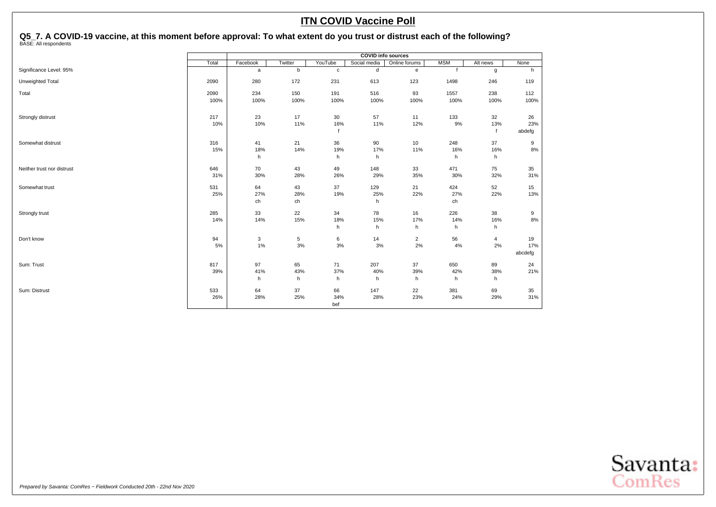## Q5\_7. A COVID-19 vaccine, at this moment before approval: To what extent do you trust or distrust each of the following?<br><sup>BASE: All respondents</sup>

|                            |       |              |         |             | <b>COVID info sources</b> |                |            |          |         |
|----------------------------|-------|--------------|---------|-------------|---------------------------|----------------|------------|----------|---------|
|                            | Total | Facebook     | Twitter | YouTube     | Social media              | Online forums  | <b>MSM</b> | Alt news | None    |
| Significance Level: 95%    |       | $\mathsf{a}$ | b       | $\mathbf c$ | $\mathsf{d}$              | e              |            | g        | h       |
| Unweighted Total           | 2090  | 280          | 172     | 231         | 613                       | 123            | 1498       | 246      | 119     |
| Total                      | 2090  | 234          | 150     | 191         | 516                       | 93             | 1557       | 238      | 112     |
|                            | 100%  | 100%         | 100%    | 100%        | 100%                      | 100%           | 100%       | 100%     | 100%    |
| Strongly distrust          | 217   | 23           | 17      | 30          | 57                        | 11             | 133        | 32       | 26      |
|                            | 10%   | 10%          | 11%     | 16%         | 11%                       | 12%            | $9\%$      | 13%      | 23%     |
|                            |       |              |         |             |                           |                |            | f        | abdefg  |
| Somewhat distrust          | 316   | 41           | 21      | 36          | 90                        | 10             | 248        | 37       | 9       |
|                            | 15%   | 18%          | 14%     | 19%         | 17%                       | 11%            | 16%        | 16%      | 8%      |
|                            |       | h            |         | h           | h                         |                | h          | h        |         |
| Neither trust nor distrust | 646   | 70           | 43      | 49          | 148                       | 33             | 471        | 75       | 35      |
|                            | 31%   | 30%          | 28%     | 26%         | 29%                       | 35%            | 30%        | 32%      | 31%     |
| Somewhat trust             | 531   | 64           | 43      | 37          | 129                       | 21             | 424        | 52       | 15      |
|                            | 25%   | 27%          | 28%     | 19%         | 25%                       | 22%            | 27%        | 22%      | 13%     |
|                            |       | ch           | ch      |             | h                         |                | ch         |          |         |
| Strongly trust             | 285   | 33           | 22      | 34          | 78                        | 16             | 226        | 38       | 9       |
|                            | 14%   | 14%          | 15%     | 18%         | 15%                       | 17%            | 14%        | 16%      | 8%      |
|                            |       |              |         | h           | h                         | h              | h          | h        |         |
| Don't know                 | 94    | 3            | 5       | 6           | 14                        | $\overline{2}$ | 56         | 4        | 19      |
|                            | 5%    | 1%           | 3%      | $3%$        | 3%                        | 2%             | 4%         | 2%       | 17%     |
|                            |       |              |         |             |                           |                |            |          | abcdefg |
| Sum: Trust                 | 817   | 97           | 65      | 71          | 207                       | 37             | 650        | 89       | 24      |
|                            | 39%   | 41%          | 43%     | 37%         | 40%                       | 39%            | 42%        | 38%      | 21%     |
|                            |       | h            | h       | h           | h                         | h              | h          | h        |         |
| Sum: Distrust              | 533   | 64           | 37      | 66          | 147                       | 22             | 381        | 69       | 35      |
|                            | 26%   | 28%          | 25%     | 34%         | 28%                       | 23%            | 24%        | 29%      | 31%     |
|                            |       |              |         | bef         |                           |                |            |          |         |

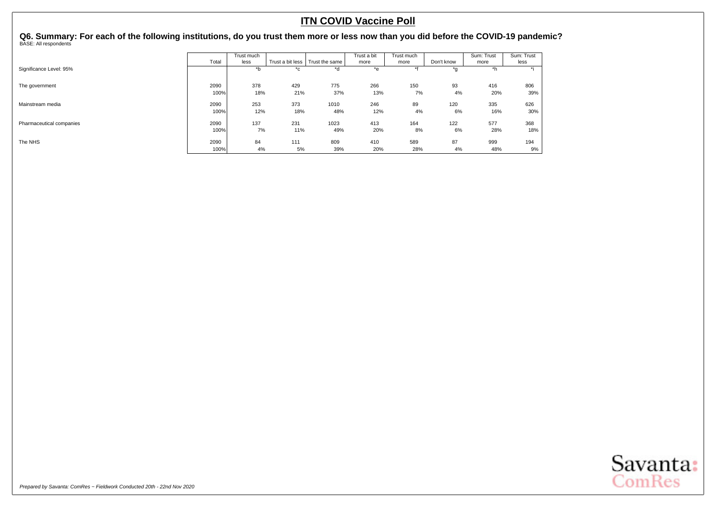<span id="page-50-0"></span>**Q6. Summary: For each of the following institutions, do you trust them more or less now than you did before the COVID-19 pandemic?** BASE: All respondents

|                          |       | Trust much |                  |                | Trust a bit | Trust much |            | Sum: Trust | Sum: Trust |
|--------------------------|-------|------------|------------------|----------------|-------------|------------|------------|------------|------------|
|                          | Total | less       | Trust a bit less | Trust the same | more        | more       | Don't know | more       | less       |
| Significance Level: 95%  |       | *b         | *c               | *d             | *e          | $*f$       | *g         | *h         | $\star$ :  |
| The government           | 2090  | 378        | 429              | 775            | 266         | 150        | 93         | 416        | 806        |
|                          | 100%  | 18%        | 21%              | 37%            | 13%         | 7%         | 4%         | 20%        | 39%        |
| Mainstream media         | 2090  | 253        | 373              | 1010           | 246         | 89         | 120        | 335        | 626        |
|                          | 100%  | 12%        | 18%              | 48%            | 12%         | 4%         | 6%         | 16%        | 30%        |
| Pharmaceutical companies | 2090  | 137        | 231              | 1023           | 413         | 164        | 122        | 577        | 368        |
|                          | 100%  | 7%         | 11%              | 49%            | 20%         | 8%         | 6%         | 28%        | 18%        |
| The NHS                  | 2090  | 84         | 111              | 809            | 410         | 589        | 87         | 999        | 194        |
|                          | 100%  | 4%         | 5%               | 39%            | 20%         | 28%        | 4%         | 48%        | 9%         |

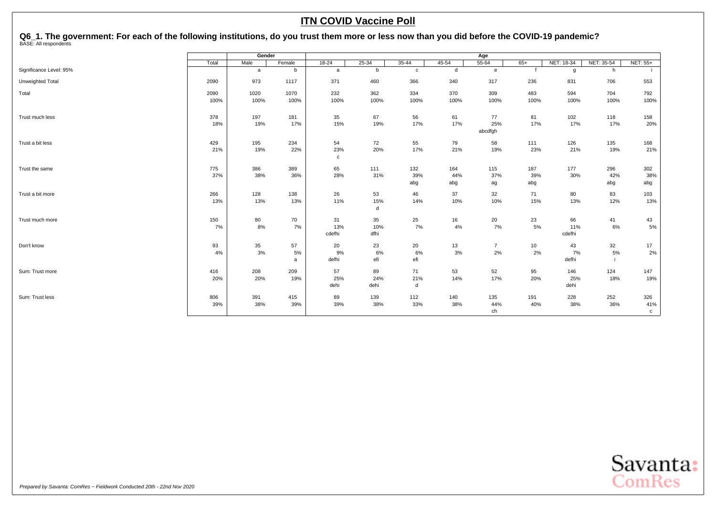<span id="page-51-0"></span>Q6\_1. The government: For each of the following institutions, do you trust them more or less now than you did before the COVID-19 pandemic?<br><sup>BASE: All respondents</sup>

|                         |       | Gender       |        |              |           |              |           | Age            |       |            |            |                 |
|-------------------------|-------|--------------|--------|--------------|-----------|--------------|-----------|----------------|-------|------------|------------|-----------------|
|                         | Total | Male         | Female | $18 - 24$    | $25 - 34$ | $35 - 44$    | $45 - 54$ | $55 - 64$      | $65+$ | NET: 18-34 | NET: 35-54 | <b>NET: 55+</b> |
| Significance Level: 95% |       | $\mathsf{a}$ | b      | $\mathsf{a}$ | b         | $\mathbf{c}$ | d         | $\mathbf{e}$   |       | g          | h          |                 |
| Unweighted Total        | 2090  | 973          | 1117   | 371          | 460       | 366          | 340       | 317            | 236   | 831        | 706        | 553             |
| Total                   | 2090  | 1020         | 1070   | 232          | 362       | 334          | 370       | 309            | 483   | 594        | 704        | 792             |
|                         | 100%  | 100%         | 100%   | 100%         | 100%      | 100%         | 100%      | 100%           | 100%  | 100%       | 100%       | 100%            |
| Trust much less         | 378   | 197          | 181    | 35           | 67        | 56           | 61        | 77             | 81    | 102        | 118        | 158             |
|                         | 18%   | 19%          | 17%    | 15%          | 19%       | 17%          | 17%       | 25%<br>abcdfgh | 17%   | 17%        | 17%        | 20%             |
| Trust a bit less        | 429   | 195          | 234    | 54           | 72        | 55           | 79        | 58             | 111   | 126        | 135        | 168             |
|                         | 21%   | 19%          | 22%    | 23%          | 20%       | 17%          | 21%       | 19%            | 23%   | 21%        | 19%        | 21%             |
|                         |       |              |        | $\mathbf{C}$ |           |              |           |                |       |            |            |                 |
| Trust the same          | 775   | 386          | 389    | 65           | 111       | 132          | 164       | 115            | 187   | 177        | 296        | 302             |
|                         | 37%   | 38%          | 36%    | 28%          | 31%       | 39%          | 44%       | 37%            | 39%   | 30%        | 42%        | 38%             |
|                         |       |              |        |              |           | abg          | abg       | ag             | abg   |            | abg        | abg             |
| Trust a bit more        | 266   | 128          | 138    | 26           | 53        | 46           | 37        | 32             | 71    | 80         | 83         | 103             |
|                         | 13%   | 13%          | 13%    | 11%          | 15%<br>d  | 14%          | 10%       | 10%            | 15%   | 13%        | 12%        | 13%             |
| Trust much more         | 150   | 80           | 70     | 31           | 35        | 25           | 16        | 20             | 23    | 66         | 41         | 43              |
|                         | 7%    | 8%           | 7%     | 13%          | 10%       | 7%           | $4\%$     | 7%             | $5\%$ | 11%        | 6%         | $5\%$           |
|                         |       |              |        | cdefhi       | dfhi      |              |           |                |       | cdefhi     |            |                 |
| Don't know              | 93    | 35           | 57     | 20           | 23        | 20           | 13        | $\overline{7}$ | 10    | 43         | 32         | 17              |
|                         | 4%    | 3%           | 5%     | 9%           | 6%        | 6%           | 3%        | 2%             | 2%    | 7%         | 5%         | 2%              |
|                         |       |              | a      | defhi        | efi       | efi          |           |                |       | defhi      |            |                 |
| Sum: Trust more         | 416   | 208          | 209    | 57           | 89        | 71           | 53        | 52             | 95    | 146        | 124        | 147             |
|                         | 20%   | 20%          | 19%    | 25%          | 24%       | 21%          | 14%       | 17%            | 20%   | 25%        | 18%        | 19%             |
|                         |       |              |        | dehi         | dehi      | d            |           |                |       | dehi       |            |                 |
| Sum: Trust less         | 806   | 391          | 415    | 89           | 139       | 112          | 140       | 135            | 191   | 228        | 252        | 326             |
|                         | 39%   | 38%          | 39%    | 39%          | 38%       | 33%          | 38%       | 44%            | 40%   | 38%        | 36%        | 41%             |
|                         |       |              |        |              |           |              |           | ch             |       |            |            | $\mathbf{C}$    |

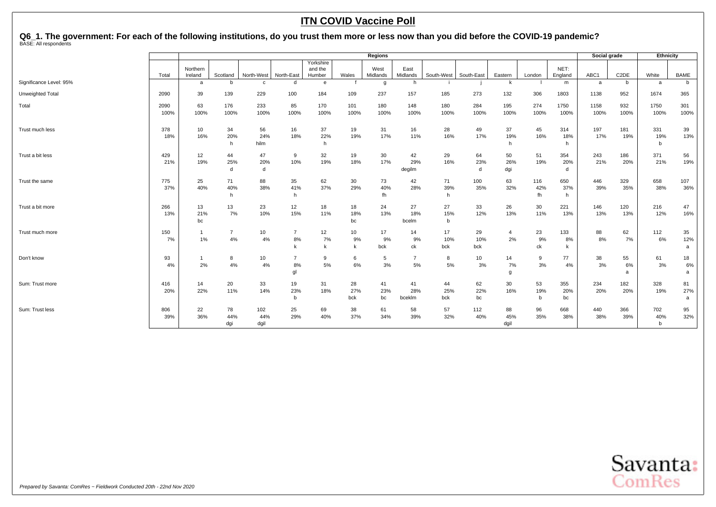# Q6\_1. The government: For each of the following institutions, do you trust them more or less now than you did before the COVID-19 pandemic?<br><sup>BASE: All respondents</sup>

|                         |              | <b>Regions</b><br>Yorkshire |                      |                    |                              |                   |                  |                  |                      |                          |                  |                   |                  | Social grade     |              | Ethnicity         |                            |                |
|-------------------------|--------------|-----------------------------|----------------------|--------------------|------------------------------|-------------------|------------------|------------------|----------------------|--------------------------|------------------|-------------------|------------------|------------------|--------------|-------------------|----------------------------|----------------|
|                         | Total        | Northern<br>Ireland         | Scotland             | North-West         | North-East                   | and the<br>Humber | Wales            | West<br>Midlands | East<br>Midlands     | South-West               | South-East       | Eastern           | London           | NET:<br>England  | ABC1         | C <sub>2</sub> DE | White                      | BAME           |
| Significance Level: 95% |              | a                           | <sub>b</sub>         | $\mathbf{C}$       | d                            | $\epsilon$        |                  | g                | h                    |                          |                  | k                 |                  | m                | a            | b                 | a                          | b              |
| Unweighted Total        | 2090         | 39                          | 139                  | 229                | 100                          | 184               | 109              | 237              | 157                  | 185                      | 273              | 132               | 306              | 1803             | 1138         | 952               | 1674                       | 365            |
| Total                   | 2090<br>100% | 63<br>100%                  | 176<br>100%          | 233<br>100%        | 85<br>100%                   | 170<br>100%       | 101<br>100%      | 180<br>100%      | 148<br>100%          | 180<br>100%              | 284<br>100%      | 195<br>100%       | 274<br>100%      | 1750<br>100%     | 1158<br>100% | 932<br>100%       | 1750<br>100%               | 301<br>100%    |
| Trust much less         | 378<br>18%   | 10<br>16%                   | 34<br>20%<br>h       | 56<br>24%<br>hilm  | 16<br>18%                    | 37<br>22%<br>h    | 19<br>19%        | 31<br>17%        | 16<br>11%            | 28<br>16%                | 49<br>17%        | 37<br>19%<br>h    | 45<br>16%        | 314<br>18%<br>h  | 197<br>17%   | 181<br>19%        | 331<br>19%<br>$\mathbf b$  | 39<br>13%      |
| Trust a bit less        | 429<br>21%   | 12<br>19%                   | 44<br>25%<br>d       | 47<br>20%<br>d     | 9<br>10%                     | 32<br>19%         | 19<br>18%        | 30<br>17%        | 42<br>29%<br>degilm  | 29<br>16%                | 64<br>23%<br>d   | 50<br>26%<br>dgi  | 51<br>19%        | 354<br>20%<br>d  | 243<br>21%   | 186<br>20%        | 371<br>21%                 | 56<br>19%      |
| Trust the same          | 775<br>37%   | 25<br>40%                   | 71<br>40%<br>h       | 88<br>38%          | 35<br>41%<br>h               | 62<br>37%         | 30<br>29%        | 73<br>40%<br>fh  | 42<br>28%            | 71<br>39%<br>h           | 100<br>35%       | 63<br>32%         | 116<br>42%<br>fh | 650<br>37%<br>h  | 446<br>39%   | 329<br>35%        | 658<br>38%                 | 107<br>36%     |
| Trust a bit more        | 266<br>13%   | 13<br>21%<br>bc             | 13<br>7%             | 23<br>10%          | 12<br>15%                    | 18<br>11%         | 18<br>18%<br>bc  | 24<br>13%        | 27<br>18%<br>bcelm   | 27<br>15%<br>$\mathbf b$ | 33<br>12%        | 26<br>13%         | 30<br>11%        | 221<br>13%       | 146<br>13%   | 120<br>13%        | 216<br>12%                 | 47<br>16%      |
| Trust much more         | 150<br>7%    | 1%                          | $\overline{7}$<br>4% | 10<br>4%           | $\overline{7}$<br>$8\%$<br>k | 12<br>7%          | 10<br>9%<br>k    | 17<br>9%<br>bck  | 14<br>9%<br>ck       | 17<br>10%<br>bck         | 29<br>10%<br>bck | 4<br>2%           | 23<br>9%<br>ck   | 133<br>8%        | 88<br>8%     | 62<br>7%          | 112<br>6%                  | 35<br>12%<br>a |
| Don't know              | 93<br>4%     | 2%                          | 8<br>4%              | 10<br>4%           | $\overline{7}$<br>8%<br>gl   | 9<br>5%           | 6<br>6%          | 5<br>3%          | $\overline{7}$<br>5% | 8<br>5%                  | 10<br>3%         | 14<br>7%<br>g     | 9<br>3%          | 77<br>4%         | 38<br>3%     | 55<br>6%<br>a     | 61<br>3%                   | 18<br>6%<br>a  |
| Sum: Trust more         | 416<br>20%   | 14<br>22%                   | 20<br>11%            | 33<br>14%          | 19<br>23%<br>b               | 31<br>18%         | 28<br>27%<br>bck | 41<br>23%<br>bc  | 41<br>28%<br>bceklm  | 44<br>25%<br>bck         | 62<br>22%<br>bc  | 30<br>16%         | 53<br>19%<br>b   | 355<br>20%<br>bc | 234<br>20%   | 182<br>20%        | 328<br>19%                 | 81<br>27%<br>a |
| Sum: Trust less         | 806<br>39%   | 22<br>36%                   | 78<br>44%<br>dgi     | 102<br>44%<br>dgil | 25<br>29%                    | 69<br>40%         | 38<br>37%        | 61<br>34%        | 58<br>39%            | 57<br>32%                | 112<br>40%       | 88<br>45%<br>dgil | 96<br>35%        | 668<br>38%       | 440<br>38%   | 366<br>39%        | 702<br>40%<br>$\mathsf{b}$ | 95<br>32%      |

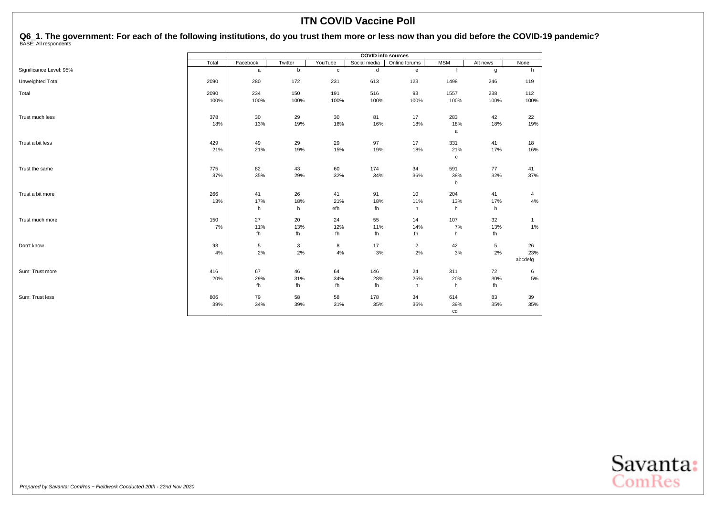Q6\_1. The government: For each of the following institutions, do you trust them more or less now than you did before the COVID-19 pandemic?<br><sup>BASE: All respondents</sup>

|                         | Total<br>Twitter<br>Facebook<br>b<br>a |           |           | <b>COVID info sources</b> |              |                         |                     |             |              |
|-------------------------|----------------------------------------|-----------|-----------|---------------------------|--------------|-------------------------|---------------------|-------------|--------------|
|                         |                                        |           |           | YouTube                   | Social media | Online forums           | <b>MSM</b>          | Alt news    | None         |
| Significance Level: 95% |                                        |           |           | $\mathbf c$               | d            | ${\bf e}$               | $\ddot{\mathbf{f}}$ | g           | h            |
| Unweighted Total        | 2090                                   | 280       | 172       | 231                       | 613          | 123                     | 1498                | 246         | 119          |
| Total                   | 2090                                   | 234       | 150       | 191                       | 516          | 93                      | 1557                | 238         | 112          |
|                         | 100%                                   | 100%      | 100%      | 100%                      | 100%         | 100%                    | 100%                | 100%        | 100%         |
| Trust much less         | 378                                    | 30        | 29        | 30                        | 81           | 17                      | 283                 | 42          | 22           |
|                         | 18%                                    | 13%       | 19%       | 16%                       | 16%          | 18%                     | 18%<br>a            | 18%         | 19%          |
| Trust a bit less        | 429                                    | 49        | 29        | 29                        | 97           | 17                      | 331                 | 41          | 18           |
|                         | 21%                                    | 21%       | 19%       | 15%                       | 19%          | 18%                     | 21%<br>$\mathbf c$  | 17%         | 16%          |
| Trust the same          | 775                                    | 82        | 43        | 60                        | 174          | 34                      | 591                 | 77          | 41           |
|                         | 37%                                    | 35%       | 29%       | 32%                       | 34%          | 36%                     | 38%<br>b            | 32%         | 37%          |
| Trust a bit more        | 266                                    | 41        | 26        | 41                        | 91           | 10                      | 204                 | 41          | 4            |
|                         | 13%                                    | 17%       | 18%       | 21%                       | 18%          | 11%                     | 13%                 | 17%         | 4%           |
|                         |                                        | h         | h         | efh                       | fh           | h                       | h                   | h           |              |
| Trust much more         | 150                                    | 27        | 20        | 24                        | 55           | 14                      | 107                 | 32          | $\mathbf{1}$ |
|                         | 7%                                     | 11%<br>fh | 13%<br>fh | 12%<br>fh                 | 11%<br>fh    | 14%<br>fh               | 7%<br>h             | 13%<br>fh   | 1%           |
| Don't know              | 93                                     | 5         | 3         | 8                         | 17           | $\overline{\mathbf{c}}$ | 42                  | $\,$ 5 $\,$ | 26           |
|                         | 4%                                     | 2%        | $2\%$     | $4\%$                     | $3%$         | $2\%$                   | $3%$                | 2%          | 23%          |
|                         |                                        |           |           |                           |              |                         |                     |             | abcdefg      |
| Sum: Trust more         | 416                                    | 67        | 46        | 64                        | 146          | 24                      | 311                 | 72          | 6            |
|                         | 20%                                    | 29%<br>fh | 31%<br>fh | 34%<br>fh                 | 28%<br>fh    | 25%<br>h                | 20%<br>h            | 30%<br>fh   | 5%           |
|                         |                                        |           |           |                           |              |                         |                     |             |              |
| Sum: Trust less         | 806<br>39%                             | 79        | 58        | 58                        | 178<br>35%   | 34                      | 614                 | 83          | 39<br>35%    |
|                         |                                        | 34%       | 39%       | 31%                       |              | 36%                     | 39%<br>cd           | 35%         |              |

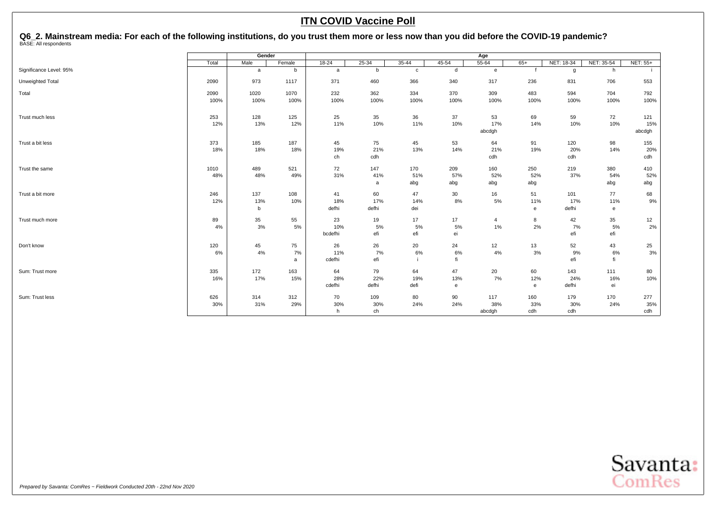<span id="page-54-0"></span>Q6\_2. Mainstream media: For each of the following institutions, do you trust them more or less now than you did before the COVID-19 pandemic?<br><sup>BASE: All respondents</sup>

|                         |       | Gender | $18 - 24$<br>$35 - 44$<br>Female<br>$25 - 34$<br>$45 - 54$ |         |       |              | Age  |                |       |              |              |          |
|-------------------------|-------|--------|------------------------------------------------------------|---------|-------|--------------|------|----------------|-------|--------------|--------------|----------|
|                         | Total | Male   |                                                            |         |       |              |      | $55 - 64$      | $65+$ | NET: 18-34   | NET: 35-54   | NET: 55+ |
| Significance Level: 95% |       | a      | b                                                          | a       | b     | $\mathbf{c}$ | d    | e              |       | $\mathbf{g}$ | h            |          |
| Unweighted Total        | 2090  | 973    | 1117                                                       | 371     | 460   | 366          | 340  | 317            | 236   | 831          | 706          | 553      |
| Total                   | 2090  | 1020   | 1070                                                       | 232     | 362   | 334          | 370  | 309            | 483   | 594          | 704          | 792      |
|                         | 100%  | 100%   | 100%                                                       | 100%    | 100%  | 100%         | 100% | 100%           | 100%  | 100%         | 100%         | 100%     |
| Trust much less         | 253   | 128    | 125                                                        | 25      | 35    | 36           | 37   | 53             | 69    | 59           | 72           | 121      |
|                         | 12%   | 13%    | 12%                                                        | 11%     | 10%   | 11%          | 10%  | 17%            | 14%   | 10%          | 10%          | 15%      |
|                         |       |        |                                                            |         |       |              |      | abcdgh         |       |              |              | abcdgh   |
| Trust a bit less        | 373   | 185    | 187                                                        | 45      | 75    | 45           | 53   | 64             | 91    | 120          | 98           | 155      |
|                         | 18%   | 18%    | 18%                                                        | 19%     | 21%   | 13%          | 14%  | 21%            | 19%   | 20%          | 14%          | 20%      |
|                         |       |        |                                                            | ch      | cdh   |              |      | cdh            |       | cdh          |              | cdh      |
| Trust the same          | 1010  | 489    | 521                                                        | 72      | 147   | 170          | 209  | 160            | 250   | 219          | 380          | 410      |
|                         | 48%   | 48%    | 49%                                                        | 31%     | 41%   | 51%          | 57%  | 52%            | 52%   | 37%          | 54%          | 52%      |
|                         |       |        |                                                            |         | a     | abg          | abg  | abg            | abg   |              | abg          | abg      |
| Trust a bit more        | 246   | 137    | 108                                                        | 41      | 60    | 47           | 30   | 16             | 51    | 101          | 77           | 68       |
|                         | 12%   | 13%    | 10%                                                        | 18%     | 17%   | 14%          | 8%   | 5%             | 11%   | 17%          | 11%          | 9%       |
|                         |       | b      |                                                            | defhi   | defhi | dei          |      |                | e     | defhi        | $\mathbf{e}$ |          |
| Trust much more         | 89    | 35     | 55                                                         | 23      | 19    | 17           | 17   | $\overline{4}$ | 8     | 42           | 35           | 12       |
|                         | 4%    | 3%     | 5%                                                         | 10%     | 5%    | 5%           | 5%   | 1%             | 2%    | 7%           | 5%           | 2%       |
|                         |       |        |                                                            | bcdefhi | efi   | efi          | ei   |                |       | efi          | efi          |          |
| Don't know              | 120   | 45     | 75                                                         | 26      | 26    | 20           | 24   | 12             | 13    | 52           | 43           | 25       |
|                         | 6%    | 4%     | 7%                                                         | 11%     | 7%    | 6%           | 6%   | 4%             | 3%    | 9%           | 6%           | 3%       |
|                         |       |        | a                                                          | cdefhi  | efi   |              |      |                |       | efi          | fi           |          |
| Sum: Trust more         | 335   | 172    | 163                                                        | 64      | 79    | 64           | 47   | 20             | 60    | 143          | 111          | 80       |
|                         | 16%   | 17%    | 15%                                                        | 28%     | 22%   | 19%          | 13%  | 7%             | 12%   | 24%          | 16%          | 10%      |
|                         |       |        |                                                            | cdefhi  | defhi | defi         | e    |                | e     | defhi        | ei           |          |
| Sum: Trust less         | 626   | 314    | 312                                                        | 70      | 109   | 80           | 90   | 117            | 160   | 179          | 170          | 277      |
|                         | 30%   | 31%    | 29%                                                        | 30%     | 30%   | 24%          | 24%  | 38%            | 33%   | 30%          | 24%          | 35%      |
|                         |       |        |                                                            | h       | ch    |              |      | abcdgh         | cdh   | cdh          |              | cdh      |

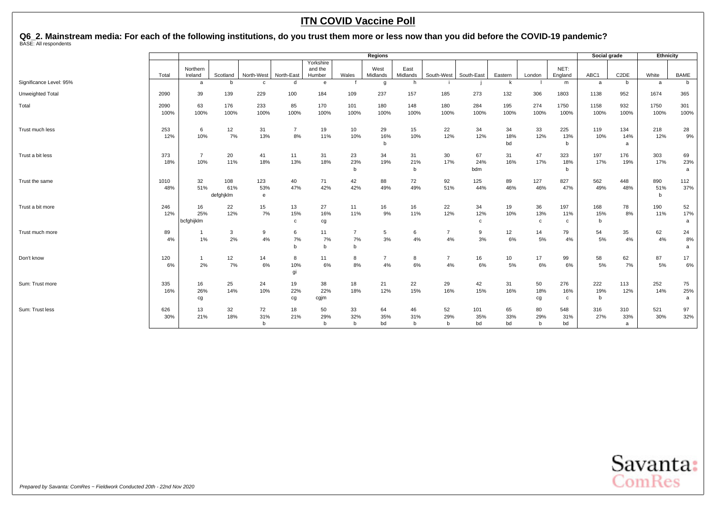# Q6\_2. Mainstream media: For each of the following institutions, do you trust them more or less now than you did before the COVID-19 pandemic?<br><sup>BASE: All respondents</sup>

|                         |              |                         |                         |                  |                          |                                |                          | <b>Regions</b>            |                          |                      |                           |                 |                           |                  | Social grade    |                   | Ethnicity       |                |
|-------------------------|--------------|-------------------------|-------------------------|------------------|--------------------------|--------------------------------|--------------------------|---------------------------|--------------------------|----------------------|---------------------------|-----------------|---------------------------|------------------|-----------------|-------------------|-----------------|----------------|
|                         | Total        | Northern<br>Ireland     | Scotland                | North-West       | North-East               | Yorkshire<br>and the<br>Humber | Wales                    | West<br>Midlands          | East<br>Midlands         | South-West           | South-East                | Eastern         | London                    | NET:<br>England  | ABC1            | C <sub>2</sub> DE | White           | <b>BAME</b>    |
| Significance Level: 95% |              | a                       | <sub>b</sub>            | $\mathbf{C}$     | d                        | e                              |                          | g                         | h                        |                      |                           | k               |                           | m                | a               | b                 | a               | b              |
| Unweighted Total        | 2090         | 39                      | 139                     | 229              | 100                      | 184                            | 109                      | 237                       | 157                      | 185                  | 273                       | 132             | 306                       | 1803             | 1138            | 952               | 1674            | 365            |
| Total                   | 2090<br>100% | 63<br>100%              | 176<br>100%             | 233<br>100%      | 85<br>100%               | 170<br>100%                    | 101<br>100%              | 180<br>100%               | 148<br>100%              | 180<br>100%          | 284<br>100%               | 195<br>100%     | 274<br>100%               | 1750<br>100%     | 1158<br>100%    | 932<br>100%       | 1750<br>100%    | 301<br>100%    |
| Trust much less         | 253<br>12%   | 6<br>10%                | 12<br>7%                | 31<br>13%        | $\overline{7}$<br>8%     | 19<br>11%                      | 10<br>10%                | 29<br>16%<br>$\mathsf{b}$ | 15<br>10%                | 22<br>12%            | 34<br>12%                 | 34<br>18%<br>bd | 33<br>12%                 | 225<br>13%<br>b  | 119<br>10%      | 134<br>14%<br>a   | 218<br>12%      | 28<br>9%       |
| Trust a bit less        | 373<br>18%   | $\overline{7}$<br>10%   | 20<br>11%               | 41<br>18%        | 11<br>13%                | 31<br>18%                      | 23<br>23%<br>b           | 34<br>19%                 | 31<br>21%<br>$\mathbf b$ | 30<br>17%            | 67<br>24%<br>bdm          | 31<br>16%       | 47<br>17%                 | 323<br>18%<br>b  | 197<br>17%      | 176<br>19%        | 303<br>17%      | 69<br>23%<br>a |
| Trust the same          | 1010<br>48%  | 32<br>51%               | 108<br>61%<br>defahiklm | 123<br>53%<br>e  | 40<br>47%                | 71<br>42%                      | 42<br>42%                | 88<br>49%                 | 72<br>49%                | 92<br>51%            | 125<br>44%                | 89<br>46%       | 127<br>46%                | 827<br>47%       | 562<br>49%      | 448<br>48%        | 890<br>51%<br>b | 112<br>37%     |
| Trust a bit more        | 246<br>12%   | 16<br>25%<br>bcfghijklm | 22<br>12%               | 15<br>7%         | 13<br>15%<br>$\mathbf c$ | 27<br>16%<br>cg                | 11<br>11%                | 16<br>9%                  | 16<br>11%                | 22<br>12%            | 34<br>12%<br>$\mathbf{c}$ | 19<br>10%       | 36<br>13%<br>$\mathbf{c}$ | 197<br>11%<br>c  | 168<br>15%<br>b | 78<br>8%          | 190<br>11%      | 52<br>17%<br>a |
| Trust much more         | 89<br>4%     | 1%                      | 3<br>2%                 | 9<br>4%          | 6<br>7%<br>b             | 11<br>7%<br>b                  | 7<br>7%<br>b             | 5<br>3%                   | 6<br>4%                  | $\overline{7}$<br>4% | 9<br>3%                   | 12<br>6%        | 14<br>5%                  | 79<br>4%         | 54<br>5%        | 35<br>4%          | 62<br>4%        | 24<br>8%<br>a  |
| Don't know              | 120<br>6%    | 2%                      | 12<br>7%                | 14<br>6%         | 8<br>10%<br>gi           | 11<br>6%                       | 8<br>8%                  | $\overline{7}$<br>4%      | 8<br>6%                  | $\overline{7}$<br>4% | 16<br>6%                  | 10<br>5%        | 17<br>6%                  | 99<br>6%         | 58<br>5%        | 62<br>7%          | 87<br>5%        | 17<br>6%       |
| Sum: Trust more         | 335<br>16%   | 16<br>26%<br>cg         | 25<br>14%               | 24<br>10%        | 19<br>22%<br>cg          | 38<br>22%<br>cgjm              | 18<br>18%                | 21<br>12%                 | 22<br>15%                | 29<br>16%            | 42<br>15%                 | 31<br>16%       | 50<br>18%<br>cg           | 276<br>16%<br>c  | 222<br>19%<br>b | 113<br>12%        | 252<br>14%      | 75<br>25%<br>a |
| Sum: Trust less         | 626<br>30%   | 13<br>21%               | 32<br>18%               | 72<br>31%<br>$b$ | 18<br>21%                | 50<br>29%<br>b                 | 33<br>32%<br>$\mathbf b$ | 64<br>35%<br>bd           | 46<br>31%<br>b           | 52<br>29%<br>b       | 101<br>35%<br>bd          | 65<br>33%<br>bd | 80<br>29%<br>$\mathbf b$  | 548<br>31%<br>bd | 316<br>27%      | 310<br>33%<br>a   | 521<br>30%      | 97<br>32%      |

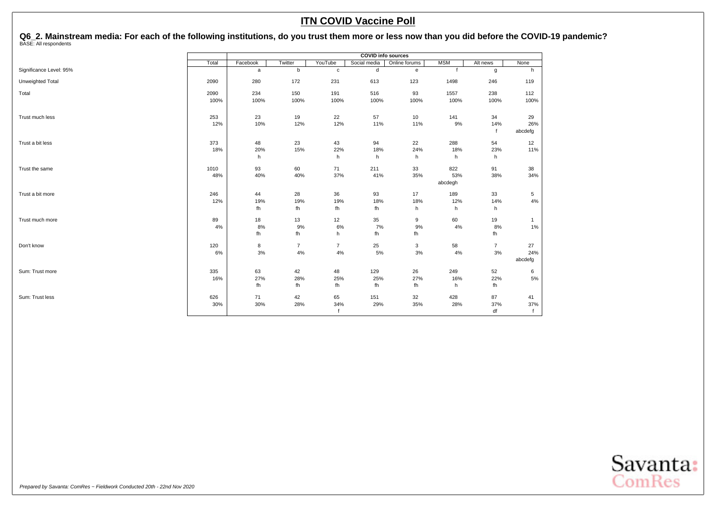Q6\_2. Mainstream media: For each of the following institutions, do you trust them more or less now than you did before the COVID-19 pandemic?<br><sup>BASE: All respondents</sup>

|                         |       |          |                |                | <b>COVID info sources</b> |               |            |                |                |
|-------------------------|-------|----------|----------------|----------------|---------------------------|---------------|------------|----------------|----------------|
|                         | Total | Facebook | Twitter        | YouTube        | Social media              | Online forums | <b>MSM</b> | Alt news       | None           |
| Significance Level: 95% |       | a        | b              | $\mathbf{C}$   | d                         | e             |            | g              | h              |
| Unweighted Total        | 2090  | 280      | 172            | 231            | 613                       | 123           | 1498       | 246            | 119            |
| Total                   | 2090  | 234      | 150            | 191            | 516                       | 93            | 1557       | 238            | 112            |
|                         | 100%  | 100%     | 100%           | 100%           | 100%                      | 100%          | 100%       | 100%           | 100%           |
| Trust much less         | 253   | 23       | 19             | 22             | 57                        | 10            | 141        | 34             | 29             |
|                         | 12%   | 10%      | 12%            | 12%            | 11%                       | 11%           | 9%         | 14%<br>f       | 26%<br>abcdefg |
| Trust a bit less        | 373   | 48       | 23             | 43             | 94                        | 22            | 288        | 54             | 12             |
|                         | 18%   | 20%      | 15%            | 22%            | 18%                       | 24%           | 18%        | 23%            | 11%            |
|                         |       | h        |                | h              | h                         | h             | h          | h              |                |
| Trust the same          | 1010  | 93       | 60             | 71             | 211                       | 33            | 822        | 91             | 38             |
|                         | 48%   | 40%      | 40%            | 37%            | 41%                       | 35%           | 53%        | 38%            | 34%            |
|                         |       |          |                |                |                           |               | abcdegh    |                |                |
| Trust a bit more        | 246   | 44       | 28             | 36             | 93                        | 17            | 189        | 33             | 5              |
|                         | 12%   | 19%      | 19%            | 19%            | 18%                       | 18%           | 12%        | 14%            | $4\%$          |
|                         |       | fh       | fh             | fh             | fh                        | h             | h          | h              |                |
| Trust much more         | 89    | 18       | 13             | 12             | 35                        | 9             | 60         | 19             | $\mathbf{1}$   |
|                         | 4%    | 8%       | 9%             | 6%             | 7%                        | 9%            | 4%         | 8%             | $1\%$          |
|                         |       | fh       | fh             | h              | fh                        | fh            |            | fh             |                |
| Don't know              | 120   | 8        | $\overline{7}$ | $\overline{7}$ | 25                        | 3             | 58         | $\overline{7}$ | 27             |
|                         | 6%    | $3%$     | $4\%$          | 4%             | 5%                        | $3%$          | 4%         | 3%             | 24%            |
|                         |       |          |                |                |                           |               |            |                | abcdefg        |
| Sum: Trust more         | 335   | 63       | 42             | 48             | 129                       | 26            | 249        | 52             | 6              |
|                         | 16%   | 27%      | 28%            | 25%            | 25%                       | 27%           | 16%        | 22%            | 5%             |
|                         |       | fh       | fh             | fh             | fh                        | fh            | h          | fh             |                |
| Sum: Trust less         | 626   | 71       | 42             | 65             | 151                       | 32            | 428        | 87             | 41             |
|                         | 30%   | 30%      | 28%            | 34%            | 29%                       | 35%           | 28%        | 37%            | 37%            |
|                         |       |          |                | $\mathbf f$    |                           |               |            | df             |                |

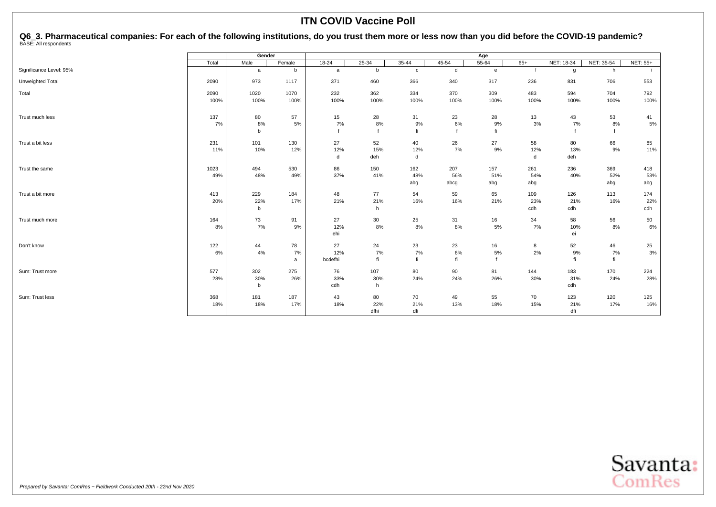<span id="page-57-0"></span>Q6\_3. Pharmaceutical companies: For each of the following institutions, do you trust them more or less now than you did before the COVID-19 pandemic?<br><sup>BASE: All respondents</sup>

|                         |       | Gender      |        |           |           |             |              | Age          |       |            |            |                 |
|-------------------------|-------|-------------|--------|-----------|-----------|-------------|--------------|--------------|-------|------------|------------|-----------------|
|                         | Total | Male        | Female | $18 - 24$ | $25 - 34$ | $35 - 44$   | $45 - 54$    | $55 - 64$    | $65+$ | NET: 18-34 | NET: 35-54 | <b>NET: 55+</b> |
| Significance Level: 95% |       | a           | b      | a         | b         | $\mathbf c$ | $\mathsf{d}$ | $\mathbf{e}$ |       | g          | h          |                 |
| Unweighted Total        | 2090  | 973         | 1117   | 371       | 460       | 366         | 340          | 317          | 236   | 831        | 706        | 553             |
| Total                   | 2090  | 1020        | 1070   | 232       | 362       | 334         | 370          | 309          | 483   | 594        | 704        | 792             |
|                         | 100%  | 100%        | 100%   | 100%      | 100%      | 100%        | 100%         | 100%         | 100%  | 100%       | 100%       | 100%            |
| Trust much less         | 137   | 80          | 57     | 15        | 28        | 31          | 23           | 28           | 13    | 43         | 53         | 41              |
|                         | 7%    | 8%          | 5%     | 7%        | 8%        | 9%          | 6%           | 9%           | 3%    | 7%         | 8%         | 5%              |
|                         |       | b           |        |           |           | fi          |              | fi           |       |            |            |                 |
| Trust a bit less        | 231   | 101         | 130    | 27        | 52        | 40          | 26           | 27           | 58    | 80         | 66         | 85              |
|                         | 11%   | 10%         | 12%    | 12%       | 15%       | 12%         | 7%           | 9%           | 12%   | 13%        | 9%         | 11%             |
|                         |       |             |        | d         | deh       | d           |              |              | d     | deh        |            |                 |
| Trust the same          | 1023  | 494         | 530    | 86        | 150       | 162         | 207          | 157          | 261   | 236        | 369        | 418             |
|                         | 49%   | 48%         | 49%    | 37%       | 41%       | 48%         | 56%          | 51%          | 54%   | 40%        | 52%        | 53%             |
|                         |       |             |        |           |           | abg         | abcg         | abg          | abg   |            | abg        | abg             |
| Trust a bit more        | 413   | 229         | 184    | 48        | 77        | 54          | 59           | 65           | 109   | 126        | 113        | 174             |
|                         | 20%   | 22%         | 17%    | 21%       | 21%       | 16%         | 16%          | 21%          | 23%   | 21%        | 16%        | 22%             |
|                         |       | b           |        |           | h         |             |              |              | cdh   | cdh        |            | cdh             |
| Trust much more         | 164   | 73          | 91     | 27        | 30        | 25          | 31           | 16           | 34    | 58         | 56         | 50              |
|                         | 8%    | 7%          | 9%     | 12%       | 8%        | 8%          | $8\%$        | 5%           | 7%    | 10%        | 8%         | 6%              |
|                         |       |             |        | ehi       |           |             |              |              |       | ei         |            |                 |
| Don't know              | 122   | 44          | 78     | 27        | 24        | 23          | 23           | 16           | 8     | 52         | 46         | 25              |
|                         | 6%    | 4%          | 7%     | 12%       | 7%        | 7%          | 6%           | 5%           | 2%    | 9%         | 7%         | 3%              |
|                         |       |             | a      | bcdefhi   | fi        | fi          | fi           |              |       | fi         | fi         |                 |
| Sum: Trust more         | 577   | 302         | 275    | 76        | 107       | 80          | 90           | 81           | 144   | 183        | 170        | 224             |
|                         | 28%   | 30%         | 26%    | 33%       | 30%       | 24%         | 24%          | 26%          | 30%   | 31%        | 24%        | 28%             |
|                         |       | $\mathbf b$ |        | cdh       | h         |             |              |              |       | cdh        |            |                 |
| Sum: Trust less         | 368   | 181         | 187    | 43        | 80        | 70          | 49           | 55           | 70    | 123        | 120        | 125             |
|                         | 18%   | 18%         | 17%    | 18%       | 22%       | 21%         | 13%          | 18%          | 15%   | 21%        | 17%        | 16%             |
|                         |       |             |        |           | dfhi      | dfi         |              |              |       | dfi        |            |                 |

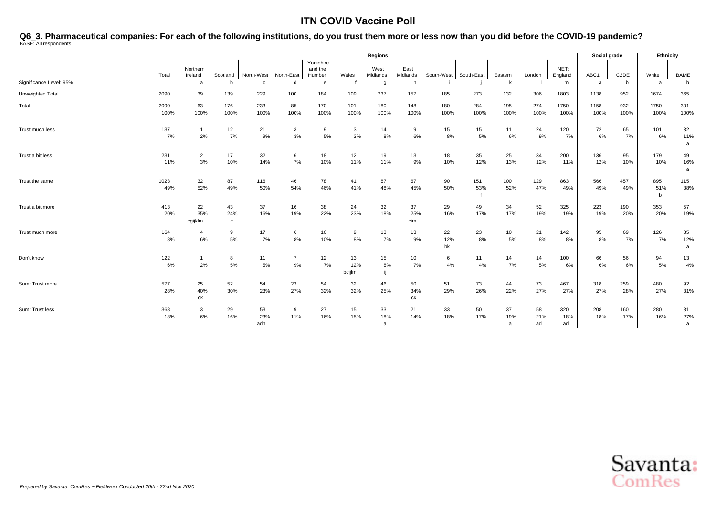Q6\_3. Pharmaceutical companies: For each of the following institutions, do you trust them more or less now than you did before the COVID-19 pandemic?<br><sup>BASE: All respondents</sup>

|                         |              | <b>Regions</b>       |                           |                  |                    |                                |                     |                           |                  |                 |             |                |                 | Social grade     |              | Ethnicity         |                 |                |
|-------------------------|--------------|----------------------|---------------------------|------------------|--------------------|--------------------------------|---------------------|---------------------------|------------------|-----------------|-------------|----------------|-----------------|------------------|--------------|-------------------|-----------------|----------------|
|                         | Total        | Northern<br>Ireland  | Scotland                  | North-West       | North-East         | Yorkshire<br>and the<br>Humber | Wales               | West<br>Midlands          | East<br>Midlands | South-West      | South-East  | Eastern        | London          | NET:<br>England  | ABC1         | C <sub>2</sub> DE | White           | <b>BAME</b>    |
| Significance Level: 95% |              | a                    | b                         | $\mathbf{C}$     | d                  | e                              |                     | g                         | h                |                 |             | k              |                 | m                | a            | b                 | a               | b              |
| Unweighted Total        | 2090         | 39                   | 139                       | 229              | 100                | 184                            | 109                 | 237                       | 157              | 185             | 273         | 132            | 306             | 1803             | 1138         | 952               | 1674            | 365            |
| Total                   | 2090<br>100% | 63<br>100%           | 176<br>100%               | 233<br>100%      | 85<br>100%         | 170<br>100%                    | 101<br>100%         | 180<br>100%               | 148<br>100%      | 180<br>100%     | 284<br>100% | 195<br>100%    | 274<br>100%     | 1750<br>100%     | 1158<br>100% | 932<br>100%       | 1750<br>100%    | 301<br>100%    |
| Trust much less         | 137<br>7%    | $\overline{1}$<br>2% | 12<br>7%                  | 21<br>9%         | $\mathbf{3}$<br>3% | 9<br>5%                        | 3<br>3%             | 14<br>8%                  | 9<br>6%          | 15<br>8%        | 15<br>5%    | 11<br>6%       | 24<br>9%        | 120<br>7%        | 72<br>6%     | 65<br>7%          | 101<br>6%       | 32<br>11%<br>a |
| Trust a bit less        | 231<br>11%   | $\overline{2}$<br>3% | 17<br>10%                 | 32<br>14%        | 6<br>7%            | 18<br>10%                      | 12<br>11%           | 19<br>11%                 | 13<br>9%         | 18<br>10%       | 35<br>12%   | 25<br>13%      | 34<br>12%       | 200<br>11%       | 136<br>12%   | 95<br>10%         | 179<br>10%      | 49<br>16%<br>a |
| Trust the same          | 1023<br>49%  | 32<br>52%            | 87<br>49%                 | 116<br>50%       | 46<br>54%          | 78<br>46%                      | 41<br>41%           | 87<br>48%                 | 67<br>45%        | 90<br>50%       | 151<br>53%  | 100<br>52%     | 129<br>47%      | 863<br>49%       | 566<br>49%   | 457<br>49%        | 895<br>51%<br>b | 115<br>38%     |
| Trust a bit more        | 413<br>20%   | 22<br>35%<br>cgijklm | 43<br>24%<br>$\mathbf{c}$ | 37<br>16%        | 16<br>19%          | 38<br>22%                      | 24<br>23%           | 32<br>18%                 | 37<br>25%<br>cim | 29<br>16%       | 49<br>17%   | 34<br>17%      | 52<br>19%       | 325<br>19%       | 223<br>19%   | 190<br>20%        | 353<br>20%      | 57<br>19%      |
| Trust much more         | 164<br>8%    | $\overline{a}$<br>6% | 9<br>5%                   | 17<br>7%         | 6<br>8%            | 16<br>10%                      | 9<br>8%             | 13<br>7%                  | 13<br>9%         | 22<br>12%<br>bk | 23<br>8%    | 10<br>5%       | 21<br>8%        | 142<br>8%        | 95<br>8%     | 69<br>7%          | 126<br>7%       | 35<br>12%<br>a |
| Don't know              | 122<br>6%    | 2%                   | 8<br>5%                   | 11<br>5%         | -7<br>9%           | 12<br>7%                       | 13<br>12%<br>bcijlm | 15<br>8%                  | 10<br>7%         | 6<br>4%         | 11<br>4%    | 14<br>7%       | 14<br>5%        | 100<br>6%        | 66<br>6%     | 56<br>6%          | 94<br>5%        | 13<br>4%       |
| Sum: Trust more         | 577<br>28%   | 25<br>40%<br>ck      | 52<br>30%                 | 54<br>23%        | 23<br>27%          | 54<br>32%                      | 32<br>32%           | 46<br>25%                 | 50<br>34%<br>ck  | 51<br>29%       | 73<br>26%   | 44<br>22%      | 73<br>27%       | 467<br>27%       | 318<br>27%   | 259<br>28%        | 480<br>27%      | 92<br>31%      |
| Sum: Trust less         | 368<br>18%   | 3<br>6%              | 29<br>16%                 | 53<br>23%<br>adh | 9<br>11%           | 27<br>16%                      | 15<br>15%           | 33<br>18%<br>$\mathsf{a}$ | 21<br>14%        | 33<br>18%       | 50<br>17%   | 37<br>19%<br>a | 58<br>21%<br>ad | 320<br>18%<br>ad | 208<br>18%   | 160<br>17%        | 280<br>16%      | 81<br>27%<br>a |

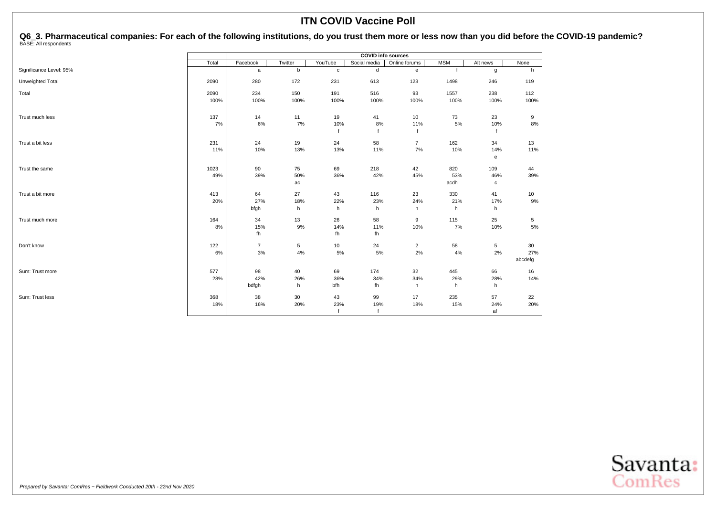Q6\_3. Pharmaceutical companies: For each of the following institutions, do you trust them more or less now than you did before the COVID-19 pandemic?<br><sup>BASE: All respondents</sup>

|                         | Twitter<br>YouTube<br>Total<br>Facebook |                | <b>COVID info sources</b> |              |              |                |              |          |         |
|-------------------------|-----------------------------------------|----------------|---------------------------|--------------|--------------|----------------|--------------|----------|---------|
|                         |                                         |                |                           |              | Social media | Online forums  | <b>MSM</b>   | Alt news | None    |
| Significance Level: 95% |                                         | a              | b                         | $\mathbf{c}$ | d            | e              | $\mathbf{f}$ | g        | h       |
| Unweighted Total        | 2090                                    | 280            | 172                       | 231          | 613          | 123            | 1498         | 246      | 119     |
| Total                   | 2090                                    | 234            | 150                       | 191          | 516          | 93             | 1557         | 238      | 112     |
|                         | 100%                                    | 100%           | 100%                      | 100%         | 100%         | 100%           | 100%         | 100%     | 100%    |
| Trust much less         | 137                                     | 14             | 11                        | 19           | 41           | 10             | 73           | 23       | 9       |
|                         | 7%                                      | 6%             | 7%                        | 10%          | 8%           | 11%            | 5%           | 10%      | 8%      |
|                         |                                         |                |                           | $\mathsf{f}$ | $\ddot{f}$   | $\mathbf{f}$   |              |          |         |
| Trust a bit less        | 231                                     | 24             | 19                        | 24           | 58           | $\overline{7}$ | 162          | 34       | 13      |
|                         | 11%                                     | 10%            | 13%                       | 13%          | 11%          | 7%             | 10%          | 14%      | 11%     |
|                         |                                         |                |                           |              |              |                |              | e        |         |
| Trust the same          | 1023                                    | 90             | 75                        | 69           | 218          | 42             | 820          | 109      | 44      |
|                         | 49%                                     | 39%            | 50%                       | 36%          | 42%          | 45%            | 53%          | 46%      | 39%     |
|                         |                                         |                | ac                        |              |              |                | acdh         | с        |         |
| Trust a bit more        | 413                                     | 64             | 27                        | 43           | 116          | 23             | 330          | 41       | 10      |
|                         | 20%                                     | 27%            | 18%                       | 22%          | 23%          | 24%            | 21%          | 17%      | 9%      |
|                         |                                         | bfgh           | h                         | h            | h            | h              | h            | h        |         |
| Trust much more         | 164                                     | 34             | 13                        | 26           | 58           | 9              | 115          | 25       | 5       |
|                         | 8%                                      | 15%            | $9\%$                     | 14%          | 11%          | 10%            | 7%           | 10%      | 5%      |
|                         |                                         | fh             |                           | fh           | fh           |                |              |          |         |
| Don't know              | 122                                     | $\overline{7}$ | 5                         | 10           | 24           | $\overline{2}$ | 58           | 5        | 30      |
|                         | 6%                                      | $3%$           | $4\%$                     | $5\%$        | 5%           | 2%             | 4%           | 2%       | 27%     |
|                         |                                         |                |                           |              |              |                |              |          | abcdefg |
| Sum: Trust more         | 577                                     | 98             | 40                        | 69           | 174          | 32             | 445          | 66       | 16      |
|                         | 28%                                     | 42%            | 26%                       | 36%          | 34%          | 34%            | 29%          | 28%      | 14%     |
|                         |                                         | bdfgh          | h                         | bfh          | fh           | h              | h            | h        |         |
| Sum: Trust less         | 368                                     | 38             | 30                        | 43           | 99           | 17             | 235          | 57       | 22      |
|                         | 18%                                     | 16%            | 20%                       | 23%          | 19%          | 18%            | 15%          | 24%      | 20%     |
|                         |                                         |                |                           | $\mathsf{f}$ | $\mathbf{f}$ |                |              | af       |         |

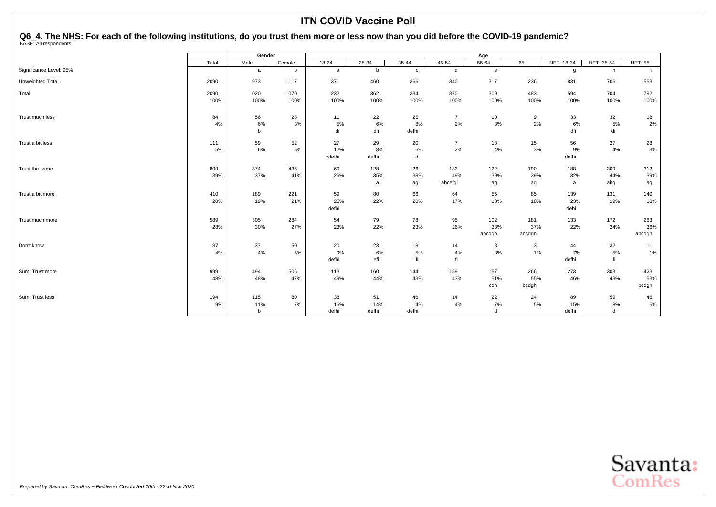# <span id="page-60-0"></span>Q6\_4. The NHS: For each of the following institutions, do you trust them more or less now than you did before the COVID-19 pandemic?<br><sup>BASE: All respondents</sup>

|                         |       | Gender      |        |           |           |              |                | Age       |        |            |            |          |
|-------------------------|-------|-------------|--------|-----------|-----------|--------------|----------------|-----------|--------|------------|------------|----------|
|                         | Total | Male        | Female | $18 - 24$ | $25 - 34$ | $35 - 44$    | $45 - 54$      | $55 - 64$ | $65+$  | NET: 18-34 | NET: 35-54 | NET: 55+ |
| Significance Level: 95% |       | a           | b      | a         | b         | $\mathbf{c}$ | d              | e         |        | g          | h          |          |
| Unweighted Total        | 2090  | 973         | 1117   | 371       | 460       | 366          | 340            | 317       | 236    | 831        | 706        | 553      |
| Total                   | 2090  | 1020        | 1070   | 232       | 362       | 334          | 370            | 309       | 483    | 594        | 704        | 792      |
|                         | 100%  | 100%        | 100%   | 100%      | 100%      | 100%         | 100%           | 100%      | 100%   | 100%       | 100%       | 100%     |
| Trust much less         | 84    | 56          | 28     | 11        | 22        | 25           | $\overline{7}$ | 10        | 9      | 33         | 32         | 18       |
|                         | 4%    | 6%          | 3%     | 5%        | 6%        | 8%           | 2%             | 3%        | 2%     | 6%         | 5%         | 2%       |
|                         |       | b           |        | di        | dfi       | defhi        |                |           |        | dfi        | di         |          |
| Trust a bit less        | 111   | 59          | 52     | 27        | 29        | 20           | $\overline{7}$ | 13        | 15     | 56         | 27         | 28       |
|                         | 5%    | 6%          | 5%     | 12%       | 8%        | 6%           | 2%             | 4%        | 3%     | 9%         | 4%         | 3%       |
|                         |       |             |        | cdefhi    | defhi     | d            |                |           |        | defhi      |            |          |
| Trust the same          | 809   | 374         | 435    | 60        | 128       | 126          | 183            | 122       | 190    | 188        | 309        | 312      |
|                         | 39%   | 37%         | 41%    | 26%       | 35%       | 38%          | 49%            | 39%       | 39%    | 32%        | 44%        | 39%      |
|                         |       |             |        |           | a         | ag           | abcefgi        | ag        | ag     | a          | abg        | ag       |
| Trust a bit more        | 410   | 189         | 221    | 59        | 80        | 66           | 64             | 55        | 85     | 139        | 131        | 140      |
|                         | 20%   | 19%         | 21%    | 25%       | 22%       | 20%          | 17%            | 18%       | 18%    | 23%        | 19%        | 18%      |
|                         |       |             |        | defhi     |           |              |                |           |        | dehi       |            |          |
| Trust much more         | 589   | 305         | 284    | 54        | 79        | 78           | 95             | 102       | 181    | 133        | 172        | 283      |
|                         | 28%   | 30%         | 27%    | 23%       | 22%       | 23%          | 26%            | 33%       | 37%    | 22%        | 24%        | 36%      |
|                         |       |             |        |           |           |              |                | abcdgh    | abcdgh |            |            | abcdgh   |
| Don't know              | 87    | 37          | 50     | 20        | 23        | 18           | 14             | 8         | 3      | 44         | 32         | 11       |
|                         | 4%    | 4%          | 5%     | 9%        | 6%        | 5%           | 4%             | 3%        | 1%     | 7%         | 5%         | 1%       |
|                         |       |             |        | defhi     | efi       | fi           | fi             |           |        | defhi      | fi         |          |
| Sum: Trust more         | 999   | 494         | 506    | 113       | 160       | 144          | 159            | 157       | 266    | 273        | 303        | 423      |
|                         | 48%   | 48%         | 47%    | 49%       | 44%       | 43%          | 43%            | 51%       | 55%    | 46%        | 43%        | 53%      |
|                         |       |             |        |           |           |              |                | cdh       | bcdgh  |            |            | bcdgh    |
| Sum: Trust less         | 194   | 115         | 80     | 38        | 51        | 46           | 14             | 22        | 24     | 89         | 59         | 46       |
|                         | 9%    | 11%         | 7%     | 16%       | 14%       | 14%          | 4%             | 7%        | 5%     | 15%        | 8%         | 6%       |
|                         |       | $\mathbf b$ |        | defhi     | defhi     | defhi        |                | d         |        | defhi      | d          |          |

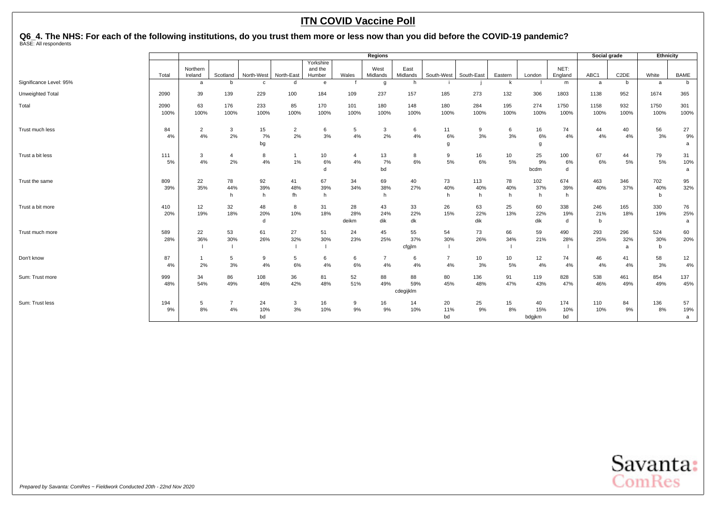# Q6\_4. The NHS: For each of the following institutions, do you trust them more or less now than you did before the COVID-19 pandemic?<br><sup>BASE: All respondents</sup>

|                         |            | <b>Regions</b>      |                |             |                |                                |                |                  |                  |                | Social grade |           | Ethnicity     |                 |            |                   |            |             |
|-------------------------|------------|---------------------|----------------|-------------|----------------|--------------------------------|----------------|------------------|------------------|----------------|--------------|-----------|---------------|-----------------|------------|-------------------|------------|-------------|
|                         | Total      | Northern<br>Ireland | Scotland       | North-West  | North-East     | Yorkshire<br>and the<br>Humber | Wales          | West<br>Midlands | East<br>Midlands | South-West     | South-East   | Eastern   | London        | NET:<br>England | ABC1       | C <sub>2</sub> DE | White      | <b>BAME</b> |
| Significance Level: 95% |            | a                   | h              | $\mathbf c$ | $\mathsf{r}$   | $\mathbf{e}$                   |                | g                | h                |                |              | k         |               | m               | a          | b                 | a          | b           |
| Unweighted Total        | 2090       | 39                  | 139            | 229         | 100            | 184                            | 109            | 237              | 157              | 185            | 273          | 132       | 306           | 1803            | 1138       | 952               | 1674       | 365         |
| Total                   | 2090       | 63                  | 176            | 233         | 85             | 170                            | 101            | 180              | 148              | 180            | 284          | 195       | 274           | 1750            | 1158       | 932               | 1750       | 301         |
|                         | 100%       | 100%                | 100%           | 100%        | 100%           | 100%                           | 100%           | 100%             | 100%             | 100%           | 100%         | 100%      | 100%          | 100%            | 100%       | 100%              | 100%       | 100%        |
| Trust much less         | 84         | 2                   | 3              | 15          | $\overline{2}$ | 6                              | 5              | 3                | 6                | 11             | 9            | 6         | 16            | 74              | 44         | 40                | 56         | 27          |
|                         | 4%         | 4%                  | 2%             | 7%<br>bg    | 2%             | 3%                             | 4%             | 2%               | 4%               | 6%<br>g        | 3%           | 3%        | 6%<br>g       | 4%              | 4%         | 4%                | 3%         | 9%<br>a     |
| Trust a bit less        | 111        | 3                   | $\overline{4}$ | 8           |                | 10                             | $\overline{4}$ | 13               | 8                | 9              | 16           | 10        | 25            | 100             | 67         | 44                | 79         | 31          |
|                         | 5%         | 4%                  | 2%             | 4%          | 1%             | 6%<br>d                        | 4%             | 7%<br>bd         | 6%               | 5%             | 6%           | 5%        | 9%<br>bcdm    | 6%<br>d         | 6%         | 5%                | 5%         | 10%<br>a    |
| Trust the same          | 809        | 22                  | 78             | 92          | 41             | 67                             | 34             | 69               | 40               | 73             | 113          | 78        | 102           | 674             | 463        | 346               | 702        | 95          |
|                         | 39%        | 35%                 | 44%            | 39%         | 48%            | 39%                            | 34%            | 38%              | 27%              | 40%            | 40%          | 40%       | 37%           | 39%             | 40%        | 37%               | 40%        | 32%         |
|                         |            |                     | h              | h           | fh             | h                              |                | h                |                  | h              | h            | h         | h             | h               |            |                   | b          |             |
| Trust a bit more        | 410        | 12                  | 32             | 48          | 8              | 31                             | 28             | 43               | 33               | 26             | 63           | 25        | 60            | 338             | 246        | 165               | 330        | 76          |
|                         | 20%        | 19%                 | 18%            | 20%<br>d    | 10%            | 18%                            | 28%<br>deikm   | 24%<br>dik       | 22%<br>dk        | 15%            | 22%<br>dik   | 13%       | 22%<br>dik    | 19%<br>d        | 21%<br>b   | 18%               | 19%        | 25%<br>a    |
|                         |            |                     |                |             |                |                                |                |                  |                  |                |              |           |               |                 |            |                   |            |             |
| Trust much more         | 589<br>28% | 22<br>36%           | 53<br>30%      | 61<br>26%   | 27<br>32%      | 51<br>30%                      | 24<br>23%      | 45<br>25%        | 55<br>37%        | 54<br>30%      | 73<br>26%    | 66<br>34% | 59<br>21%     | 490<br>28%      | 293<br>25% | 296<br>32%        | 524<br>30% | 60<br>20%   |
|                         |            |                     |                |             |                |                                |                |                  | cfgjlm           |                |              |           |               |                 |            | a                 | b          |             |
| Don't know              | 87         | $\mathbf{1}$        | 5              | 9           | 5              | 6                              | 6              | $\overline{7}$   | 6                | $\overline{7}$ | 10           | 10        | 12            | 74              | 46         | 41                | 58         | 12          |
|                         | 4%         | 2%                  | 3%             | 4%          | 6%             | 4%                             | 6%             | 4%               | 4%               | 4%             | 3%           | 5%        | 4%            | 4%              | 4%         | 4%                | 3%         | 4%          |
| Sum: Trust more         | 999        | 34                  | 86             | 108         | 36             | 81                             | 52             | 88               | 88               | 80             | 136          | 91        | 119           | 828             | 538        | 461               | 854        | 137         |
|                         | 48%        | 54%                 | 49%            | 46%         | 42%            | 48%                            | 51%            | 49%              | 59%              | 45%            | 48%          | 47%       | 43%           | 47%             | 46%        | 49%               | 49%        | 45%         |
|                         |            |                     |                |             |                |                                |                |                  | cdegijklm        |                |              |           |               |                 |            |                   |            |             |
| Sum: Trust less         | 194        | 5                   | $\overline{7}$ | 24          | 3              | 16                             | 9              | 16               | 14               | 20             | 25           | 15        | 40            | 174             | 110        | 84                | 136        | 57          |
|                         | 9%         | 8%                  | 4%             | 10%<br>bd   | 3%             | 10%                            | 9%             | 9%               | 10%              | 11%<br>bd      | 9%           | 8%        | 15%<br>bdgjkm | 10%<br>bd       | 10%        | 9%                | 8%         | 19%<br>a    |
|                         |            |                     |                |             |                |                                |                |                  |                  |                |              |           |               |                 |            |                   |            |             |

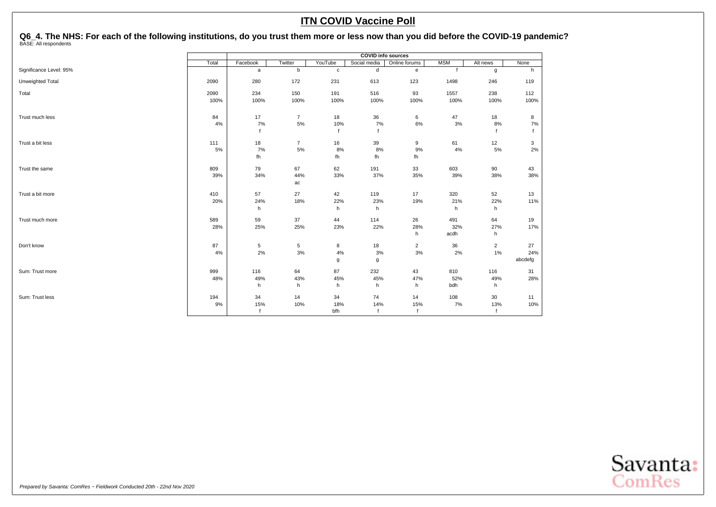Q6\_4. The NHS: For each of the following institutions, do you trust them more or less now than you did before the COVID-19 pandemic?<br><sup>BASE: All respondents</sup>

|                         |       | <b>COVID info sources</b> |                |              |              |                                   |              |                |              |  |
|-------------------------|-------|---------------------------|----------------|--------------|--------------|-----------------------------------|--------------|----------------|--------------|--|
|                         | Total | Facebook                  | Twitter        | YouTube      | Social media | Online forums                     | <b>MSM</b>   | Alt news       | None         |  |
| Significance Level: 95% |       | a                         | $\mathsf b$    | $\mathbf c$  | d            | $\mathsf{e}% _{t}\left( t\right)$ | $\mathbf{f}$ | g              | h            |  |
| Unweighted Total        | 2090  | 280                       | 172            | 231          | 613          | 123                               | 1498         | 246            | 119          |  |
| Total                   | 2090  | 234                       | 150            | 191          | 516          | 93                                | 1557         | 238            | 112          |  |
|                         | 100%  | 100%                      | 100%           | 100%         | 100%         | 100%                              | 100%         | 100%           | 100%         |  |
| Trust much less         | 84    | 17                        | $\overline{7}$ | 18           | 36           | 6                                 | 47           | 18             | 8            |  |
|                         | $4\%$ | 7%                        | 5%             | 10%          | 7%           | 6%                                | 3%           | 8%             | 7%           |  |
|                         |       | $\mathsf{f}$              |                | $\mathsf{f}$ | $\mathbf{f}$ |                                   |              |                | $\mathbf{f}$ |  |
| Trust a bit less        | 111   | 18                        | $\overline{7}$ | 16           | 39           | 9                                 | 61           | 12             | 3            |  |
|                         | 5%    | 7%                        | $5\%$          | 8%           | 8%           | 9%                                | 4%           | 5%             | 2%           |  |
|                         |       | fh                        |                | fh           | fh           | fh                                |              |                |              |  |
| Trust the same          | 809   | 79                        | 67             | 62           | 191          | 33                                | 603          | 90             | 43           |  |
|                         | 39%   | 34%                       | 44%            | 33%          | 37%          | 35%                               | 39%          | 38%            | 38%          |  |
|                         |       |                           | ac             |              |              |                                   |              |                |              |  |
| Trust a bit more        | 410   | 57                        | 27             | 42           | 119          | 17                                | 320          | 52             | 13           |  |
|                         | 20%   | 24%                       | 18%            | 22%          | 23%          | 19%                               | 21%          | 22%            | 11%          |  |
|                         |       | h                         |                | h            | h            |                                   | h            | h              |              |  |
| Trust much more         | 589   | 59                        | 37             | 44           | 114          | 26                                | 491          | 64             | 19           |  |
|                         | 28%   | 25%                       | 25%            | 23%          | 22%          | 28%                               | 32%          | 27%            | 17%          |  |
|                         |       |                           |                |              |              | h                                 | acdh         | h              |              |  |
| Don't know              | 87    | 5                         | 5              | 8            | 18           | $\overline{2}$                    | 36           | $\overline{2}$ | 27           |  |
|                         | 4%    | 2%                        | $3%$           | 4%           | 3%           | 3%                                | 2%           | 1%             | 24%          |  |
|                         |       |                           |                | g            | g            |                                   |              |                | abcdefg      |  |
| Sum: Trust more         | 999   | 116                       | 64             | 87           | 232          | 43                                | 810          | 116            | 31           |  |
|                         | 48%   | 49%                       | 43%            | 45%          | 45%          | 47%                               | 52%          | 49%            | 28%          |  |
|                         |       | h                         | h              | h            | h            | h                                 | bdh          | h              |              |  |
| Sum: Trust less         | 194   | 34                        | 14             | 34           | 74           | 14                                | 108          | 30             | 11           |  |
|                         | 9%    | 15%                       | 10%            | 18%          | 14%          | 15%                               | 7%           | 13%            | 10%          |  |
|                         |       | f                         |                | bfh          | $\mathsf{f}$ | $\mathbf{f}$                      |              |                |              |  |

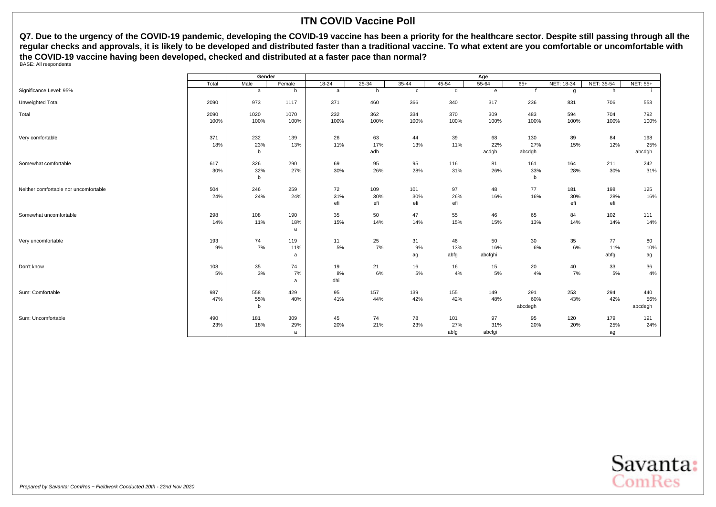<span id="page-63-0"></span>Q7. Due to the urgency of the COVID-19 pandemic, developing the COVID-19 vaccine has been a priority for the healthcare sector. Despite still passing through all the **regular checks and approvals, it is likely to be developed and distributed faster than a traditional vaccine. To what extent are you comfortable or uncomfortable with the COVID-19 vaccine having been developed, checked and distributed at a faster pace than normal?** BASE: All respondents

|                                       |       | Gender      |          | Age       |           |              |       |              |         |              |            |                 |  |
|---------------------------------------|-------|-------------|----------|-----------|-----------|--------------|-------|--------------|---------|--------------|------------|-----------------|--|
|                                       | Total | Male        | Female   | $18 - 24$ | $25 - 34$ | $35 - 44$    | 45-54 | $55 - 64$    | $65+$   | NET: 18-34   | NET: 35-54 | <b>NET: 55+</b> |  |
| Significance Level: 95%               |       | a           | b        | a         | b         | $\mathbf{C}$ | d     | $\mathbf{e}$ |         | $\mathbf{q}$ | h          |                 |  |
| Unweighted Total                      | 2090  | 973         | 1117     | 371       | 460       | 366          | 340   | 317          | 236     | 831          | 706        | 553             |  |
| Total                                 | 2090  | 1020        | 1070     | 232       | 362       | 334          | 370   | 309          | 483     | 594          | 704        | 792             |  |
|                                       | 100%  | 100%        | 100%     | 100%      | 100%      | 100%         | 100%  | 100%         | 100%    | 100%         | 100%       | 100%            |  |
| Very comfortable                      | 371   | 232         | 139      | 26        | 63        | 44           | 39    | 68           | 130     | 89           | 84         | 198             |  |
|                                       | 18%   | 23%         | 13%      | 11%       | 17%       | 13%          | 11%   | 22%          | 27%     | 15%          | 12%        | 25%             |  |
|                                       |       | $\mathbf b$ |          |           | adh       |              |       | acdgh        | abcdgh  |              |            | abcdgh          |  |
| Somewhat comfortable                  | 617   | 326         | 290      | 69        | 95        | 95           | 116   | 81           | 161     | 164          | 211        | 242             |  |
|                                       | 30%   | 32%         | 27%      | 30%       | 26%       | 28%          | 31%   | 26%          | 33%     | 28%          | 30%        | 31%             |  |
|                                       |       | b           |          |           |           |              |       |              | b       |              |            |                 |  |
| Neither comfortable nor uncomfortable | 504   | 246         | 259      | 72        | 109       | 101          | 97    | 48           | 77      | 181          | 198        | 125             |  |
|                                       | 24%   | 24%         | 24%      | 31%       | 30%       | 30%          | 26%   | 16%          | 16%     | 30%          | 28%        | 16%             |  |
|                                       |       |             |          | efi       | efi       | efi          | efi   |              |         | efi          | efi        |                 |  |
| Somewhat uncomfortable                | 298   | 108         | 190      | 35        | 50        | 47           | 55    | 46           | 65      | 84           | 102        | 111             |  |
|                                       | 14%   | 11%         | 18%<br>a | 15%       | 14%       | 14%          | 15%   | 15%          | 13%     | 14%          | 14%        | 14%             |  |
|                                       |       |             |          |           |           |              |       |              |         |              |            |                 |  |
| Very uncomfortable                    | 193   | 74          | 119      | 11        | 25        | 31           | 46    | 50           | 30      | 35           | 77         | 80              |  |
|                                       | 9%    | 7%          | 11%      | 5%        | 7%        | 9%           | 13%   | 16%          | 6%      | 6%           | 11%        | 10%             |  |
|                                       |       |             | a        |           |           | ag           | abfg  | abcfghi      |         |              | abfg       | ag              |  |
| Don't know                            | 108   | 35          | 74       | 19        | 21        | 16           | 16    | 15           | 20      | 40           | 33         | 36              |  |
|                                       | 5%    | 3%          | 7%       | 8%        | 6%        | 5%           | 4%    | 5%           | 4%      | 7%           | 5%         | 4%              |  |
|                                       |       |             | a        | dhi       |           |              |       |              |         |              |            |                 |  |
| Sum: Comfortable                      | 987   | 558         | 429      | 95        | 157       | 139          | 155   | 149          | 291     | 253          | 294        | 440             |  |
|                                       | 47%   | 55%         | 40%      | 41%       | 44%       | 42%          | 42%   | 48%          | 60%     | 43%          | 42%        | 56%             |  |
|                                       |       | b           |          |           |           |              |       |              | abcdegh |              |            | abcdegh         |  |
| Sum: Uncomfortable                    | 490   | 181         | 309      | 45        | 74        | 78           | 101   | 97           | 95      | 120          | 179        | 191             |  |
|                                       | 23%   | 18%         | 29%      | 20%       | 21%       | 23%          | 27%   | 31%          | 20%     | 20%          | 25%        | 24%             |  |
|                                       |       |             | a        |           |           |              | abfg  | abcfgi       |         |              | ag         |                 |  |

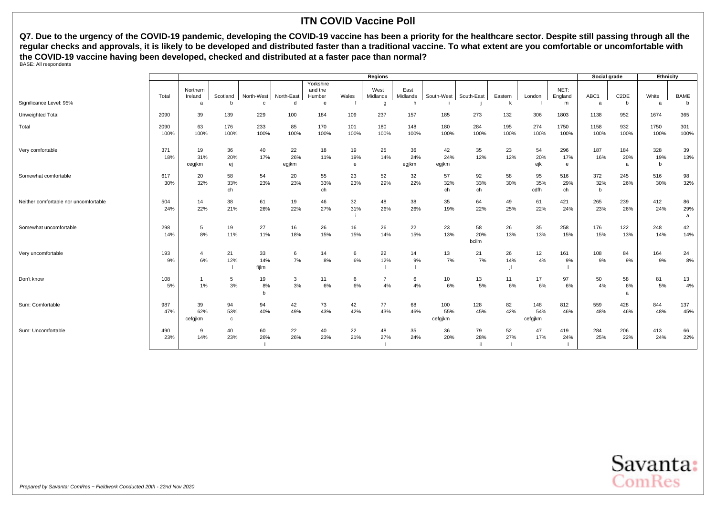**Q7. Due to the urgency of the COVID-19 pandemic, developing the COVID-19 vaccine has been a priority for the healthcare sector. Despite still passing through all the regular checks and approvals, it is likely to be developed and distributed faster than a traditional vaccine. To what extent are you comfortable or uncomfortable with the COVID-19 vaccine having been developed, checked and distributed at a faster pace than normal?** BASE: All respondents

|                                       |              |                      |                           |                    |                    |                                |                | <b>Regions</b>   |                    |                       |                    |             |                       |                  | Social grade    |                   | Ethnicity       |                |
|---------------------------------------|--------------|----------------------|---------------------------|--------------------|--------------------|--------------------------------|----------------|------------------|--------------------|-----------------------|--------------------|-------------|-----------------------|------------------|-----------------|-------------------|-----------------|----------------|
|                                       | Total        | Northern<br>Ireland  | Scotland                  | North-West         | North-East         | Yorkshire<br>and the<br>Humber | Wales          | West<br>Midlands | East<br>Midlands   | South-West            | South-East         | Eastern     | London                | NET:<br>England  | ABC1            | C <sub>2</sub> DE | White           | <b>BAME</b>    |
| Significance Level: 95%               |              | a                    | <sub>b</sub>              | $\mathbf{c}$       | d                  | e                              |                | g                | h.                 |                       |                    | k           |                       | m                | a               | b                 | a               | b.             |
| Unweighted Total                      | 2090         | 39                   | 139                       | 229                | 100                | 184                            | 109            | 237              | 157                | 185                   | 273                | 132         | 306                   | 1803             | 1138            | 952               | 1674            | 365            |
| Total                                 | 2090<br>100% | 63<br>100%           | 176<br>100%               | 233<br>100%        | 85<br>100%         | 170<br>100%                    | 101<br>100%    | 180<br>100%      | 148<br>100%        | 180<br>100%           | 284<br>100%        | 195<br>100% | 274<br>100%           | 1750<br>100%     | 1158<br>100%    | 932<br>100%       | 1750<br>100%    | 301<br>100%    |
| Very comfortable                      | 371<br>18%   | 19<br>31%<br>cegjkm  | 36<br>20%<br>ej           | 40<br>17%          | 22<br>26%<br>egjkm | 18<br>11%                      | 19<br>19%<br>e | 25<br>14%        | 36<br>24%<br>egjkm | 42<br>24%<br>egjkm    | 35<br>12%          | 23<br>12%   | 54<br>20%<br>ejk      | 296<br>17%<br>e  | 187<br>16%      | 184<br>20%<br>a   | 328<br>19%<br>h | 39<br>13%      |
| Somewhat comfortable                  | 617<br>30%   | 20<br>32%            | 58<br>33%<br>ch           | 54<br>23%          | 20<br>23%          | 55<br>33%<br>ch                | 23<br>23%      | 52<br>29%        | 32<br>22%          | 57<br>32%<br>ch       | 92<br>33%<br>ch    | 58<br>30%   | 95<br>35%<br>cdfh     | 516<br>29%<br>ch | 372<br>32%<br>b | 245<br>26%        | 516<br>30%      | 98<br>32%      |
| Neither comfortable nor uncomfortable | 504<br>24%   | 14<br>22%            | 38<br>21%                 | 61<br>26%          | 19<br>22%          | 46<br>27%                      | 32<br>31%      | 48<br>26%        | 38<br>26%          | 35<br>19%             | 64<br>22%          | 49<br>25%   | 61<br>22%             | 421<br>24%       | 265<br>23%      | 239<br>26%        | 412<br>24%      | 86<br>29%<br>a |
| Somewhat uncomfortable                | 298<br>14%   | 5<br>8%              | 19<br>11%                 | 27<br>11%          | 16<br>18%          | 26<br>15%                      | 16<br>15%      | 26<br>14%        | 22<br>15%          | 23<br>13%             | 58<br>20%<br>bcilm | 26<br>13%   | 35<br>13%             | 258<br>15%       | 176<br>15%      | 122<br>13%        | 248<br>14%      | 42<br>14%      |
| Very uncomfortable                    | 193<br>9%    | 4<br>6%              | 21<br>12%                 | 33<br>14%<br>fijlm | 6<br>7%            | 14<br>8%                       | 6<br>6%        | 22<br>12%        | 14<br>9%           | 13<br>7%              | 21<br>7%           | 26<br>14%   | 12<br>4%              | 161<br>9%        | 108<br>9%       | 84<br>9%          | 164<br>9%       | 24<br>8%       |
| Don't know                            | 108<br>5%    | $1\%$                | 5<br>3%                   | 19<br>8%<br>b      | 3<br>3%            | 11<br>6%                       | 6<br>6%        | 7<br>4%          | 6<br>4%            | 10<br>$6\%$           | 13<br>5%           | 11<br>6%    | 17<br>6%              | 97<br>6%         | 50<br>4%        | 58<br>6%<br>a     | 81<br>5%        | 13<br>4%       |
| Sum: Comfortable                      | 987<br>47%   | 39<br>62%<br>cefgjkm | 94<br>53%<br>$\mathbf{c}$ | 94<br>40%          | 42<br>49%          | 73<br>43%                      | 42<br>42%      | 77<br>43%        | 68<br>46%          | 100<br>55%<br>cefgjkm | 128<br>45%         | 82<br>42%   | 148<br>54%<br>cefgjkm | 812<br>46%       | 559<br>48%      | 428<br>46%        | 844<br>48%      | 137<br>45%     |
| Sum: Uncomfortable                    | 490<br>23%   | 9<br>14%             | 40<br>23%                 | 60<br>26%          | 22<br>26%          | 40<br>23%                      | 22<br>21%      | 48<br>27%        | 35<br>24%          | 36<br>20%             | 79<br>28%          | 52<br>27%   | 47<br>17%             | 419<br>24%       | 284<br>25%      | 206<br>22%        | 413<br>24%      | 66<br>22%      |

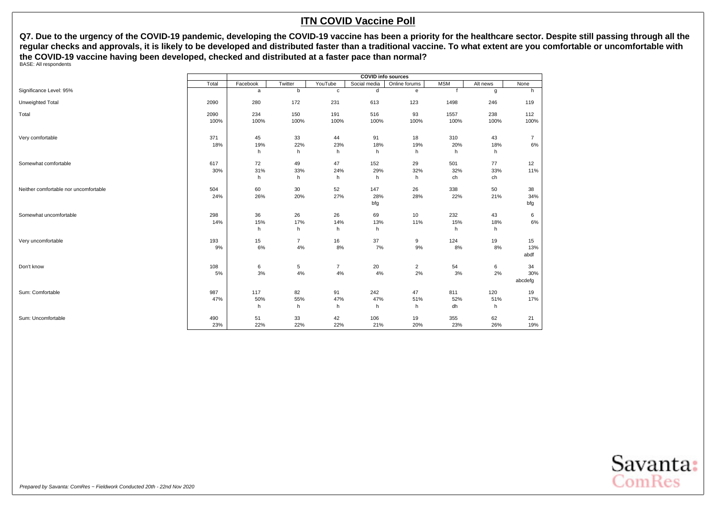**Q7. Due to the urgency of the COVID-19 pandemic, developing the COVID-19 vaccine has been a priority for the healthcare sector. Despite still passing through all the regular checks and approvals, it is likely to be developed and distributed faster than a traditional vaccine. To what extent are you comfortable or uncomfortable with the COVID-19 vaccine having been developed, checked and distributed at a faster pace than normal?** BASE: All respondents

|                                       |       | <b>COVID info sources</b> |                |                |              |                |            |          |                |  |  |
|---------------------------------------|-------|---------------------------|----------------|----------------|--------------|----------------|------------|----------|----------------|--|--|
|                                       | Total | Facebook                  | Twitter        | YouTube        | Social media | Online forums  | <b>MSM</b> | Alt news | None           |  |  |
| Significance Level: 95%               |       | a                         | b              | $\mathbf c$    | d            | e              |            | g        | h              |  |  |
| Unweighted Total                      | 2090  | 280                       | 172            | 231            | 613          | 123            | 1498       | 246      | 119            |  |  |
| Total                                 | 2090  | 234                       | 150            | 191            | 516          | 93             | 1557       | 238      | 112            |  |  |
|                                       | 100%  | 100%                      | 100%           | 100%           | 100%         | 100%           | 100%       | 100%     | 100%           |  |  |
| Very comfortable                      | 371   | 45                        | 33             | 44             | 91           | 18             | 310        | 43       | $\overline{7}$ |  |  |
|                                       | 18%   | 19%                       | 22%            | 23%            | 18%          | 19%            | 20%        | 18%      | 6%             |  |  |
|                                       |       | h                         | h              | h              | h            | h              | h          | h        |                |  |  |
| Somewhat comfortable                  | 617   | 72                        | 49             | 47             | 152          | 29             | 501        | 77       | 12             |  |  |
|                                       | 30%   | 31%                       | 33%            | 24%            | 29%          | 32%            | 32%        | 33%      | 11%            |  |  |
|                                       |       | h                         | h              | h              | h            | h              | ch         | ch       |                |  |  |
| Neither comfortable nor uncomfortable | 504   | 60                        | 30             | 52             | 147          | 26             | 338        | 50       | 38             |  |  |
|                                       | 24%   | 26%                       | 20%            | 27%            | 28%          | 28%            | 22%        | 21%      | 34%            |  |  |
|                                       |       |                           |                |                | bfg          |                |            |          | bfg            |  |  |
| Somewhat uncomfortable                | 298   | 36                        | 26             | 26             | 69           | 10             | 232        | 43       | 6              |  |  |
|                                       | 14%   | 15%                       | 17%            | 14%            | 13%          | 11%            | 15%        | 18%      | 6%             |  |  |
|                                       |       | h                         | h              | h              | h            |                | h          | h        |                |  |  |
| Very uncomfortable                    | 193   | 15                        | $\overline{7}$ | 16             | 37           | 9              | 124        | 19       | 15             |  |  |
|                                       | 9%    | 6%                        | 4%             | 8%             | 7%           | 9%             | 8%         | 8%       | 13%            |  |  |
|                                       |       |                           |                |                |              |                |            |          | abdf           |  |  |
| Don't know                            | 108   | 6                         | 5              | $\overline{7}$ | 20           | $\overline{2}$ | 54         | 6        | 34             |  |  |
|                                       | 5%    | 3%                        | 4%             | 4%             | 4%           | 2%             | 3%         | 2%       | 30%            |  |  |
|                                       |       |                           |                |                |              |                |            |          | abcdefg        |  |  |
| Sum: Comfortable                      | 987   | 117                       | 82             | 91             | 242          | 47             | 811        | 120      | 19             |  |  |
|                                       | 47%   | 50%                       | 55%            | 47%            | 47%          | 51%            | 52%        | 51%      | 17%            |  |  |
|                                       |       | h                         | h              | h              | h            | h              | dh         | h        |                |  |  |
| Sum: Uncomfortable                    | 490   | 51                        | 33             | 42             | 106          | 19             | 355        | 62       | 21             |  |  |
|                                       | 23%   | 22%                       | 22%            | 22%            | 21%          | 20%            | 23%        | 26%      | 19%            |  |  |

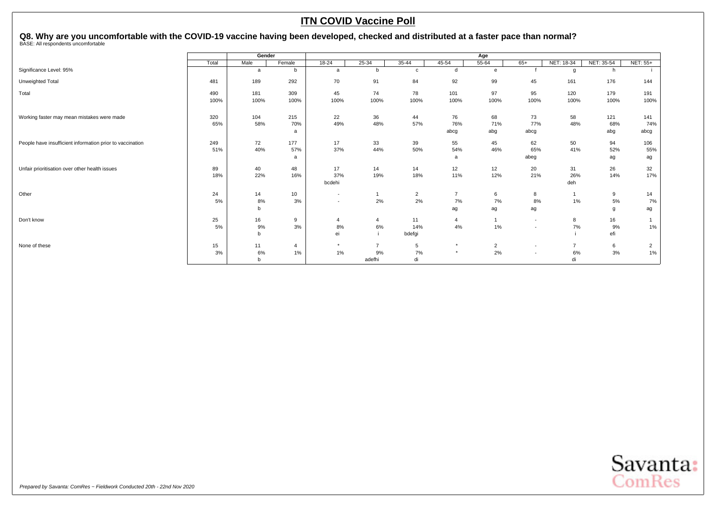# <span id="page-66-0"></span>Q8. Why are you uncomfortable with the COVID-19 vaccine having been developed, checked and distributed at a faster pace than normal?<br><sub>BASE: All respondents uncomfortable</sub>

|                                                           |       | Gender |          |                          | Age            |                |                 |                |                          |                |            |                 |  |  |
|-----------------------------------------------------------|-------|--------|----------|--------------------------|----------------|----------------|-----------------|----------------|--------------------------|----------------|------------|-----------------|--|--|
|                                                           | Total | Male   | Female   | $18 - 24$                | $25 - 34$      | $35 - 44$      | 45-54           | $55 - 64$      | $65+$                    | NET: 18-34     | NET: 35-54 | <b>NET: 55+</b> |  |  |
| Significance Level: 95%                                   |       | a      | b        | a                        | b              | $\mathbf c$    | d               | e              |                          | g              | h          |                 |  |  |
| Unweighted Total                                          | 481   | 189    | 292      | 70                       | 91             | 84             | 92              | 99             | 45                       | 161            | 176        | 144             |  |  |
| Total                                                     | 490   | 181    | 309      | 45                       | 74             | 78             | 101             | 97             | 95                       | 120            | 179        | 191             |  |  |
|                                                           | 100%  | 100%   | 100%     | 100%                     | 100%           | 100%           | 100%            | 100%           | 100%                     | 100%           | 100%       | 100%            |  |  |
| Working faster may mean mistakes were made                | 320   | 104    | 215      | 22                       | 36             | 44             | 76              | 68             | 73                       | 58             | 121        | 141             |  |  |
|                                                           | 65%   | 58%    | 70%<br>a | 49%                      | 48%            | 57%            | 76%<br>abcg     | 71%<br>abg     | 77%<br>abcg              | 48%            | 68%<br>abg | 74%<br>abcg     |  |  |
|                                                           |       |        |          |                          |                |                |                 |                |                          |                |            |                 |  |  |
| People have insufficient information prior to vaccination | 249   | 72     | 177      | 17                       | 33             | 39             | 55              | 45             | 62                       | 50             | 94         | 106             |  |  |
|                                                           | 51%   | 40%    | 57%      | 37%                      | 44%            | 50%            | 54%             | 46%            | 65%                      | 41%            | 52%        | 55%             |  |  |
|                                                           |       |        | a        |                          |                |                | a               |                | abeg                     |                | ag         | ag              |  |  |
| Unfair prioritisation over other health issues            | 89    | 40     | 48       | 17                       | 14             | 14             | 12 <sup>2</sup> | 12             | 20                       | 31             | 26         | 32              |  |  |
|                                                           | 18%   | 22%    | 16%      | 37%                      | 19%            | 18%            | 11%             | 12%            | 21%                      | 26%            | 14%        | 17%             |  |  |
|                                                           |       |        |          | bcdehi                   |                |                |                 |                |                          | deh            |            |                 |  |  |
| Other                                                     | 24    | 14     | 10       | $\overline{\phantom{a}}$ | 1              | $\overline{2}$ | $\overline{7}$  | 6              | 8                        |                | 9          | 14              |  |  |
|                                                           | 5%    | 8%     | 3%       | $\overline{\phantom{a}}$ | 2%             | 2%             | 7%              | 7%             | 8%                       | 1%             | 5%         | 7%              |  |  |
|                                                           |       | b      |          |                          |                |                | ag              | ag             | ag                       |                | q          | ag              |  |  |
| Don't know                                                | 25    | 16     | 9        | $\overline{4}$           | $\overline{4}$ | 11             | $\overline{4}$  | $\overline{1}$ | $\sim$                   | 8              | 16         |                 |  |  |
|                                                           | 5%    | 9%     | 3%       | 8%                       | 6%             | 14%            | 4%              | 1%             | $\overline{\phantom{a}}$ | 7%             | 9%         | 1%              |  |  |
|                                                           |       | b      |          | ei                       |                | bdefgi         |                 |                |                          |                | efi        |                 |  |  |
| None of these                                             | 15    | 11     | 4        | $\star$                  | $\overline{7}$ | 5              | $\star$         | $\overline{2}$ | $\overline{a}$           | $\overline{7}$ | 6          | $\overline{2}$  |  |  |
|                                                           | 3%    | 6%     | 1%       | 1%                       | 9%             | 7%             | $\star$         | 2%             | $\overline{\phantom{a}}$ | 6%             | 3%         | 1%              |  |  |
|                                                           |       | b      |          |                          | adefhi         | di             |                 |                |                          | di             |            |                 |  |  |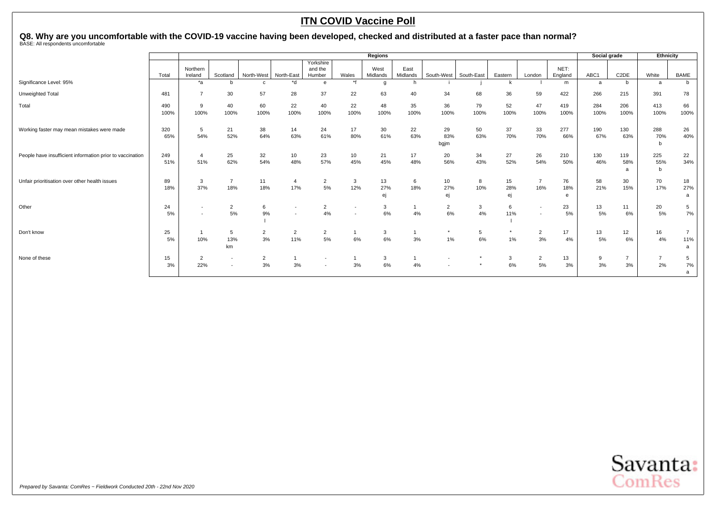# Q8. Why are you uncomfortable with the COVID-19 vaccine having been developed, checked and distributed at a faster pace than normal?<br><sub>BASE: All respondents uncomfortable</sub>

|                                                           |       |                          |                          |                |                          |                          |              | <b>Regions</b>   |                  |                          |            |         |                          |                 | Social grade |                   | Ethnicity      |                |
|-----------------------------------------------------------|-------|--------------------------|--------------------------|----------------|--------------------------|--------------------------|--------------|------------------|------------------|--------------------------|------------|---------|--------------------------|-----------------|--------------|-------------------|----------------|----------------|
|                                                           |       |                          |                          |                |                          | Yorkshire                |              |                  |                  |                          |            |         |                          |                 |              |                   |                |                |
|                                                           | Total | Northern<br>Ireland      | Scotland                 | North-West     | North-East               | and the<br>Humber        | Wales        | West<br>Midlands | East<br>Midlands | South-West               | South-East | Eastern | London                   | NET:<br>England | ABC1         | C <sub>2</sub> DE | White          | <b>BAME</b>    |
| Significance Level: 95%                                   |       | *a                       | h                        | $\mathbf{c}$   | $*_{d}$                  | e                        | $*f$         | g                | h.               |                          |            | k       |                          | m               | a            | b                 | a              | b              |
| Unweighted Total                                          | 481   | $\overline{7}$           | 30                       | 57             | 28                       | 37                       | 22           | 63               | 40               | 34                       | 68         | 36      | 59                       | 422             | 266          | 215               | 391            | 78             |
| Total                                                     | 490   | 9                        | 40                       | 60             | 22                       | 40                       | 22           | 48               | 35               | 36                       | 79         | 52      | 47                       | 419             | 284          | 206               | 413            | 66             |
|                                                           | 100%  | 100%                     | 100%                     | 100%           | 100%                     | 100%                     | 100%         | 100%             | 100%             | 100%                     | 100%       | 100%    | 100%                     | 100%            | 100%         | 100%              | 100%           | 100%           |
| Working faster may mean mistakes were made                | 320   | 5                        | 21                       | 38             | 14                       | 24                       | 17           | 30               | 22               | 29                       | 50         | 37      | 33                       | 277             | 190          | 130               | 288            | 26             |
|                                                           | 65%   | 54%                      | 52%                      | 64%            | 63%                      | 61%                      | 80%          | 61%              | 63%              | 83%                      | 63%        | 70%     | 70%                      | 66%             | 67%          | 63%               | 70%            | 40%            |
|                                                           |       |                          |                          |                |                          |                          |              |                  |                  | bgjm                     |            |         |                          |                 |              |                   |                |                |
| People have insufficient information prior to vaccination | 249   | $\overline{a}$           | 25                       | 32             | 10                       | 23                       | 10           | 21               | 17               | 20                       | 34         | 27      | 26                       | 210             | 130          | 119               | 225            | 22             |
|                                                           | 51%   | 51%                      | 62%                      | 54%            | 48%                      | 57%                      | 45%          | 45%              | 48%              | 56%                      | 43%        | 52%     | 54%                      | 50%             | 46%          | 58%               | 55%            | 34%            |
|                                                           |       |                          |                          |                |                          |                          |              |                  |                  |                          |            |         |                          |                 |              |                   | b              |                |
| Unfair prioritisation over other health issues            | 89    | 3                        | $\overline{7}$           | 11             | $\overline{4}$           | $\overline{2}$           | $\mathbf{3}$ | 13               | 6                | 10                       | 8          | 15      | 7                        | 76              | 58           | 30                | 70             | 18             |
|                                                           | 18%   | 37%                      | 18%                      | 18%            | 17%                      | 5%                       | 12%          | 27%              | 18%              | 27%                      | 10%        | 28%     | 16%                      | 18%             | 21%          | 15%               | 17%            | 27%            |
|                                                           |       |                          |                          |                |                          |                          |              | ej               |                  |                          |            | ej      |                          | е               |              |                   |                | a              |
| Other                                                     | 24    | $\overline{\phantom{a}}$ | $\overline{2}$           | 6              | $\overline{\phantom{a}}$ | $\overline{2}$           |              | 3                |                  | $\overline{2}$           | 3          | 6       | $\overline{\phantom{0}}$ | 23              | 13           | 11                | 20             | 5              |
|                                                           | 5%    | $\sim$                   | 5%                       | 9%             | $\overline{\phantom{a}}$ | 4%                       |              | 6%               | 4%               | 6%                       | 4%         | 11%     |                          | 5%              | 5%           | 6%                | 5%             | 7%             |
|                                                           |       |                          |                          |                |                          |                          |              |                  |                  |                          |            |         |                          |                 |              |                   |                |                |
| Don't know                                                | 25    |                          | 5                        | $\overline{2}$ | $\overline{2}$           | $\overline{2}$           |              | 3                |                  | $\star$                  | 5          | $\star$ | $\overline{2}$           | 17              | 13           | 12                | 16             | $\overline{7}$ |
|                                                           | 5%    | 10%                      | 13%                      | 3%             | 11%                      | 5%                       | 6%           | 6%               | 3%               | 1%                       | 6%         | $1\%$   | 3%                       | 4%              | 5%           | 6%                | 4%             | 11%            |
|                                                           |       |                          | km                       |                |                          |                          |              |                  |                  |                          |            |         |                          |                 |              |                   |                | a              |
| None of these                                             | 15    | $\overline{2}$           | $\overline{\phantom{a}}$ | $\overline{2}$ |                          | $\overline{\phantom{a}}$ |              | 3                |                  | $\overline{\phantom{a}}$ |            | 3       | $\overline{2}$           | 13              | 9            | $\overline{7}$    | $\overline{7}$ | 5              |
|                                                           | 3%    | 22%                      | $\overline{\phantom{a}}$ | 3%             | 3%                       |                          | 3%           | 6%               | 4%               |                          |            | 6%      | 5%                       | 3%              | 3%           | 3%                | 2%             | 7%             |
|                                                           |       |                          |                          |                |                          |                          |              |                  |                  |                          |            |         |                          |                 |              |                   |                | a              |